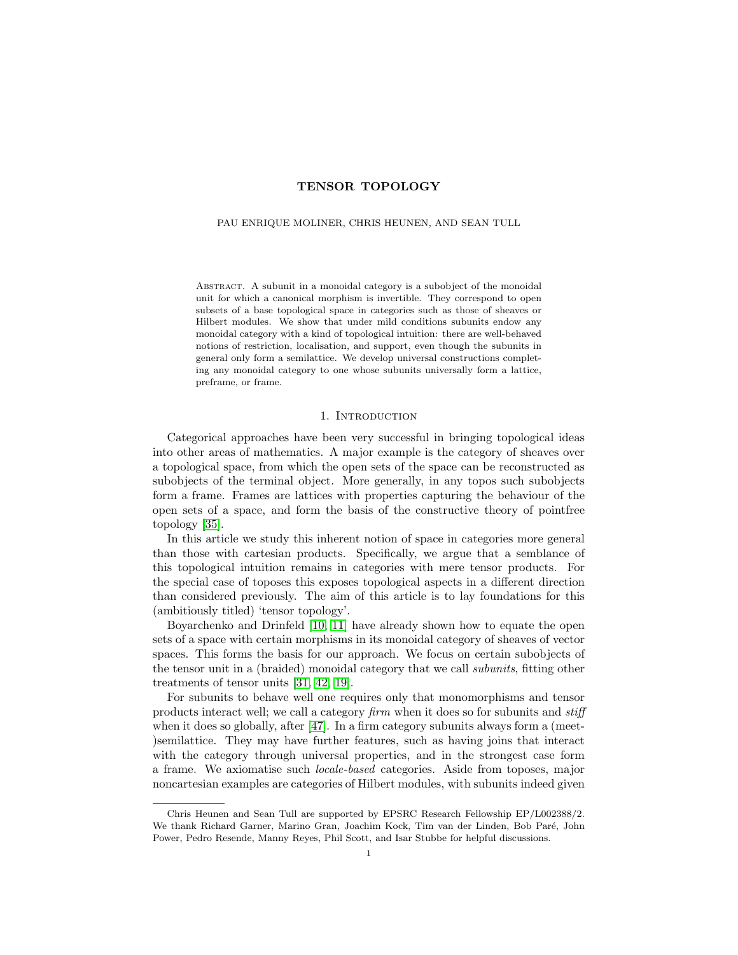# TENSOR TOPOLOGY

### PAU ENRIQUE MOLINER, CHRIS HEUNEN, AND SEAN TULL

Abstract. A subunit in a monoidal category is a subobject of the monoidal unit for which a canonical morphism is invertible. They correspond to open subsets of a base topological space in categories such as those of sheaves or Hilbert modules. We show that under mild conditions subunits endow any monoidal category with a kind of topological intuition: there are well-behaved notions of restriction, localisation, and support, even though the subunits in general only form a semilattice. We develop universal constructions completing any monoidal category to one whose subunits universally form a lattice, preframe, or frame.

### 1. INTRODUCTION

Categorical approaches have been very successful in bringing topological ideas into other areas of mathematics. A major example is the category of sheaves over a topological space, from which the open sets of the space can be reconstructed as subobjects of the terminal object. More generally, in any topos such subobjects form a frame. Frames are lattices with properties capturing the behaviour of the open sets of a space, and form the basis of the constructive theory of pointfree topology [\[35\]](#page-33-0).

In this article we study this inherent notion of space in categories more general than those with cartesian products. Specifically, we argue that a semblance of this topological intuition remains in categories with mere tensor products. For the special case of toposes this exposes topological aspects in a different direction than considered previously. The aim of this article is to lay foundations for this (ambitiously titled) 'tensor topology'.

Boyarchenko and Drinfeld [\[10,](#page-33-1) [11\]](#page-33-2) have already shown how to equate the open sets of a space with certain morphisms in its monoidal category of sheaves of vector spaces. This forms the basis for our approach. We focus on certain subobjects of the tensor unit in a (braided) monoidal category that we call subunits, fitting other treatments of tensor units [\[31,](#page-33-3) [42,](#page-34-0) [19\]](#page-33-4).

For subunits to behave well one requires only that monomorphisms and tensor products interact well; we call a category firm when it does so for subunits and stiff when it does so globally, after [\[47\]](#page-34-1). In a firm category subunits always form a (meet-)semilattice. They may have further features, such as having joins that interact with the category through universal properties, and in the strongest case form a frame. We axiomatise such locale-based categories. Aside from toposes, major noncartesian examples are categories of Hilbert modules, with subunits indeed given

Chris Heunen and Sean Tull are supported by EPSRC Research Fellowship EP/L002388/2. We thank Richard Garner, Marino Gran, Joachim Kock, Tim van der Linden, Bob Par´e, John Power, Pedro Resende, Manny Reyes, Phil Scott, and Isar Stubbe for helpful discussions.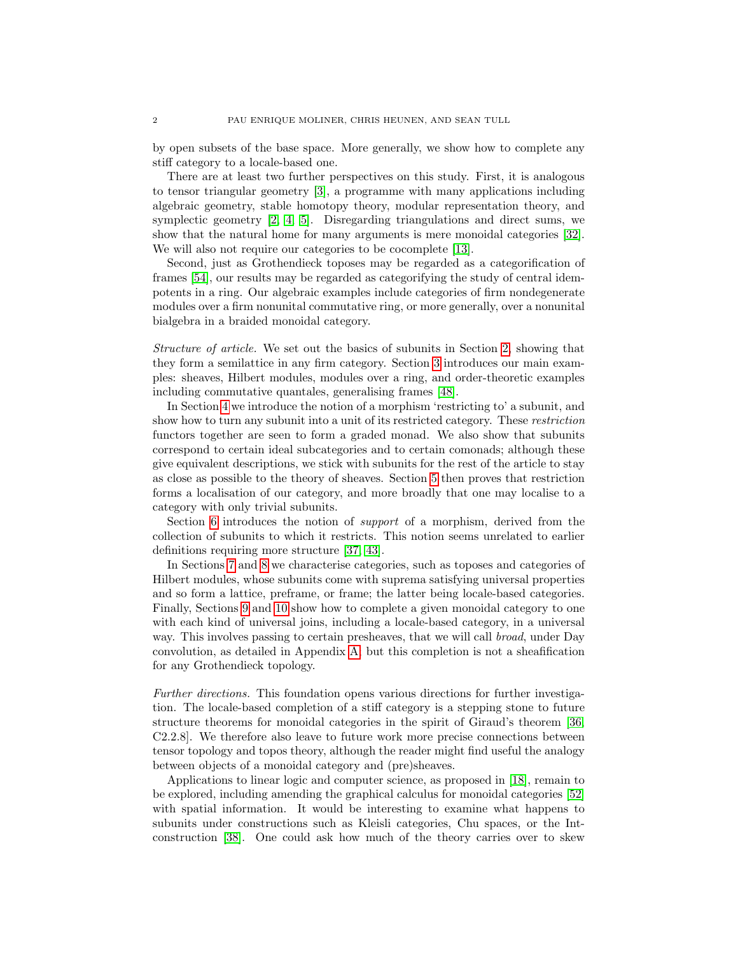by open subsets of the base space. More generally, we show how to complete any stiff category to a locale-based one.

There are at least two further perspectives on this study. First, it is analogous to tensor triangular geometry [\[3\]](#page-32-0), a programme with many applications including algebraic geometry, stable homotopy theory, modular representation theory, and symplectic geometry [\[2,](#page-32-1) [4,](#page-32-2) [5\]](#page-32-3). Disregarding triangulations and direct sums, we show that the natural home for many arguments is mere monoidal categories [\[32\]](#page-33-5). We will also not require our categories to be cocomplete [\[13\]](#page-33-6).

Second, just as Grothendieck toposes may be regarded as a categorification of frames [\[54\]](#page-34-2), our results may be regarded as categorifying the study of central idempotents in a ring. Our algebraic examples include categories of firm nondegenerate modules over a firm nonunital commutative ring, or more generally, over a nonunital bialgebra in a braided monoidal category.

Structure of article. We set out the basics of subunits in Section [2,](#page-2-0) showing that they form a semilattice in any firm category. Section [3](#page-4-0) introduces our main examples: sheaves, Hilbert modules, modules over a ring, and order-theoretic examples including commutative quantales, generalising frames [\[48\]](#page-34-3).

In Section [4](#page-9-0) we introduce the notion of a morphism 'restricting to' a subunit, and show how to turn any subunit into a unit of its restricted category. These restriction functors together are seen to form a graded monad. We also show that subunits correspond to certain ideal subcategories and to certain comonads; although these give equivalent descriptions, we stick with subunits for the rest of the article to stay as close as possible to the theory of sheaves. Section [5](#page-14-0) then proves that restriction forms a localisation of our category, and more broadly that one may localise to a category with only trivial subunits.

Section [6](#page-15-0) introduces the notion of support of a morphism, derived from the collection of subunits to which it restricts. This notion seems unrelated to earlier definitions requiring more structure [\[37,](#page-34-4) [43\]](#page-34-5).

In Sections [7](#page-17-0) and [8](#page-22-0) we characterise categories, such as toposes and categories of Hilbert modules, whose subunits come with suprema satisfying universal properties and so form a lattice, preframe, or frame; the latter being locale-based categories. Finally, Sections [9](#page-24-0) and [10](#page-29-0) show how to complete a given monoidal category to one with each kind of universal joins, including a locale-based category, in a universal way. This involves passing to certain presheaves, that we will call *broad*, under Day convolution, as detailed in Appendix [A;](#page-34-6) but this completion is not a sheafification for any Grothendieck topology.

Further directions. This foundation opens various directions for further investigation. The locale-based completion of a stiff category is a stepping stone to future structure theorems for monoidal categories in the spirit of Giraud's theorem [\[36,](#page-33-7) C2.2.8]. We therefore also leave to future work more precise connections between tensor topology and topos theory, although the reader might find useful the analogy between objects of a monoidal category and (pre)sheaves.

Applications to linear logic and computer science, as proposed in [\[18\]](#page-33-8), remain to be explored, including amending the graphical calculus for monoidal categories [\[52\]](#page-34-7) with spatial information. It would be interesting to examine what happens to subunits under constructions such as Kleisli categories, Chu spaces, or the Intconstruction [\[38\]](#page-34-8). One could ask how much of the theory carries over to skew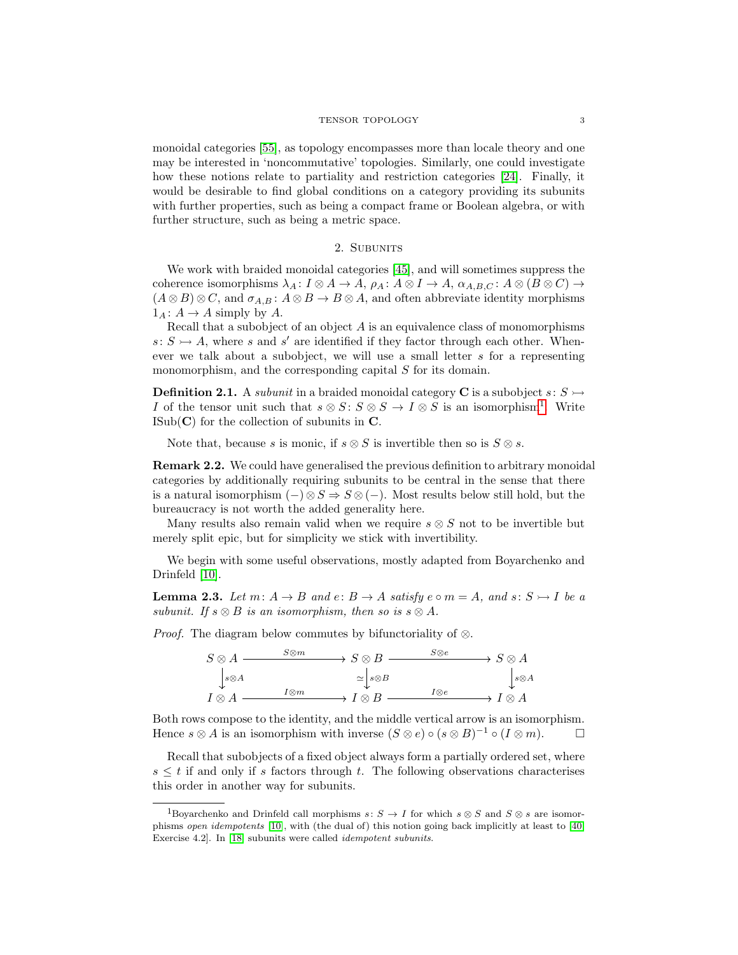monoidal categories [\[55\]](#page-34-9), as topology encompasses more than locale theory and one may be interested in 'noncommutative' topologies. Similarly, one could investigate how these notions relate to partiality and restriction categories [\[24\]](#page-33-9). Finally, it would be desirable to find global conditions on a category providing its subunits with further properties, such as being a compact frame or Boolean algebra, or with further structure, such as being a metric space.

### 2. SUBUNITS

<span id="page-2-0"></span>We work with braided monoidal categories [\[45\]](#page-34-10), and will sometimes suppress the coherence isomorphisms  $\lambda_A: I \otimes A \to A$ ,  $\rho_A: A \otimes I \to A$ ,  $\alpha_{A,B,C}: A \otimes (B \otimes C) \to$  $(A \otimes B) \otimes C$ , and  $\sigma_{A,B}$ :  $A \otimes B \to B \otimes A$ , and often abbreviate identity morphisms  $1_A: A \to A$  simply by A.

Recall that a subobject of an object  $A$  is an equivalence class of monomorphisms  $s: S \rightarrow A$ , where s and s' are identified if they factor through each other. Whenever we talk about a subobject, we will use a small letter s for a representing monomorphism, and the corresponding capital S for its domain.

<span id="page-2-3"></span>**Definition 2.1.** A *subunit* in a braided monoidal category **C** is a subobject  $s: S \rightarrow$ I of the tensor unit such that  $s \otimes S : S \otimes S \to I \otimes S$  is an isomorphism<sup>[1](#page-2-1)</sup>. Write  $\text{ISub}(\mathbf{C})$  for the collection of subunits in  $\mathbf{C}$ .

Note that, because s is monic, if  $s \otimes S$  is invertible then so is  $S \otimes s$ .

Remark 2.2. We could have generalised the previous definition to arbitrary monoidal categories by additionally requiring subunits to be central in the sense that there is a natural isomorphism  $(-)\otimes S \Rightarrow S \otimes (-)$ . Most results below still hold, but the bureaucracy is not worth the added generality here.

Many results also remain valid when we require  $s \otimes S$  not to be invertible but merely split epic, but for simplicity we stick with invertibility.

We begin with some useful observations, mostly adapted from Boyarchenko and Drinfeld [\[10\]](#page-33-1).

<span id="page-2-2"></span>**Lemma 2.3.** Let  $m: A \rightarrow B$  and  $e: B \rightarrow A$  satisfy  $e \circ m = A$ , and  $s: S \rightarrow I$  be a subunit. If  $s \otimes B$  is an isomorphism, then so is  $s \otimes A$ .

*Proof.* The diagram below commutes by bifunctoriality of  $\otimes$ .



Both rows compose to the identity, and the middle vertical arrow is an isomorphism. Hence  $s \otimes A$  is an isomorphism with inverse  $(S \otimes e) \circ (s \otimes B)^{-1} \circ (I \otimes m)$ .

Recall that subobjects of a fixed object always form a partially ordered set, where  $s \leq t$  if and only if s factors through t. The following observations characterises this order in another way for subunits.

<span id="page-2-1"></span><sup>&</sup>lt;sup>1</sup>Boyarchenko and Drinfeld call morphisms  $s: S \to I$  for which  $s \otimes S$  and  $S \otimes s$  are isomorphisms open idempotents [\[10\]](#page-33-1), with (the dual of) this notion going back implicitly at least to [\[40,](#page-34-11) Exercise 4.2]. In [\[18\]](#page-33-8) subunits were called idempotent subunits.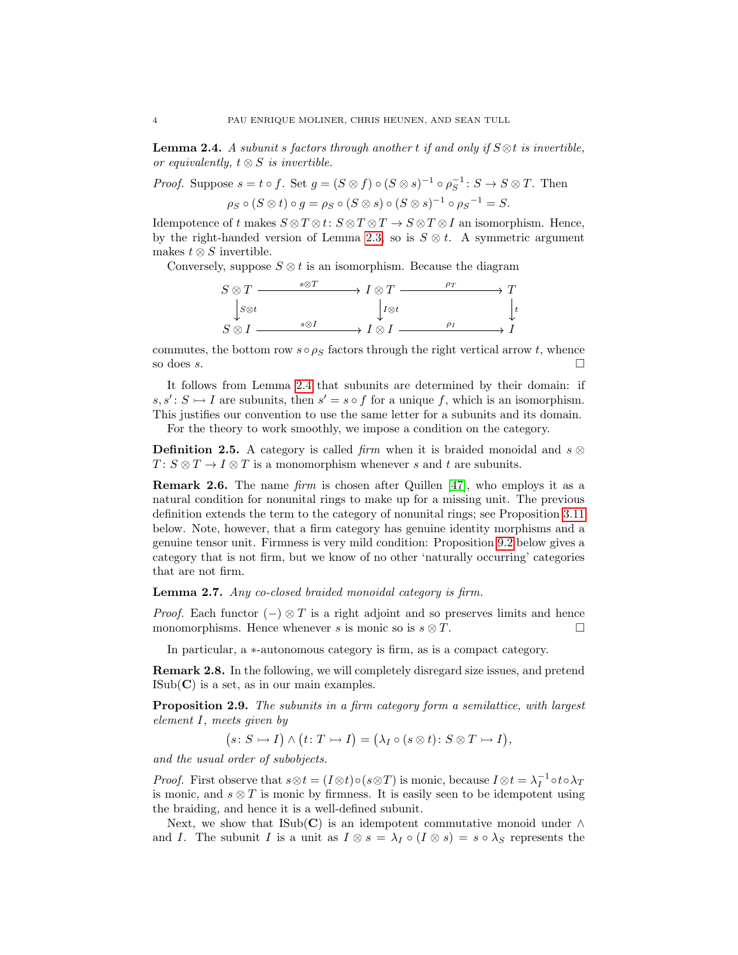<span id="page-3-0"></span>**Lemma 2.4.** A subunit s factors through another t if and only if  $S \otimes t$  is invertible, or equivalently,  $t \otimes S$  is invertible.

*Proof.* Suppose  $s = t \circ f$ . Set  $g = (S \otimes f) \circ (S \otimes s)^{-1} \circ \rho_S^{-1} : S \to S \otimes T$ . Then  $\rho_S \circ (S \otimes t) \circ g = \rho_S \circ (S \otimes s) \circ (S \otimes s)^{-1} \circ \rho_S{}^{-1} = S.$ 

Idempotence of t makes  $S \otimes T \otimes t: S \otimes T \otimes T \to S \otimes T \otimes I$  an isomorphism. Hence, by the right-handed version of Lemma [2.3,](#page-2-2) so is  $S \otimes t$ . A symmetric argument makes  $t \otimes S$  invertible.

Conversely, suppose  $S \otimes t$  is an isomorphism. Because the diagram



commutes, the bottom row  $s \circ \rho_S$  factors through the right vertical arrow t, whence so does s.

It follows from Lemma [2.4](#page-3-0) that subunits are determined by their domain: if  $s, s' : S \rightarrow I$  are subunits, then  $s' = s \circ f$  for a unique f, which is an isomorphism. This justifies our convention to use the same letter for a subunits and its domain. For the theory to work smoothly, we impose a condition on the category.

**Definition 2.5.** A category is called firm when it is braided monoidal and  $s \otimes$  $T: S \otimes T \to I \otimes T$  is a monomorphism whenever s and t are subunits.

**Remark 2.6.** The name *firm* is chosen after Quillen  $[47]$ , who employs it as a natural condition for nonunital rings to make up for a missing unit. The previous definition extends the term to the category of nonunital rings; see Proposition [3.11](#page-6-0) below. Note, however, that a firm category has genuine identity morphisms and a genuine tensor unit. Firmness is very mild condition: Proposition [9.2](#page-26-0) below gives a category that is not firm, but we know of no other 'naturally occurring' categories that are not firm.

Lemma 2.7. Any co-closed braided monoidal category is firm.

*Proof.* Each functor  $(-) \otimes T$  is a right adjoint and so preserves limits and hence monomorphisms. Hence whenever s is monic so is  $s \otimes T$ .

In particular, a ∗-autonomous category is firm, as is a compact category.

Remark 2.8. In the following, we will completely disregard size issues, and pretend  $\text{ISub}(\mathbf{C})$  is a set, as in our main examples.

Proposition 2.9. The subunits in a firm category form a semilattice, with largest element I, meets given by

 $(s: S \rightarrow I) \land (t: T \rightarrow I) = (\lambda_I \circ (s \otimes t): S \otimes T \rightarrow I),$ 

and the usual order of subobjects.

*Proof.* First observe that  $s \otimes t = (I \otimes t) \circ (s \otimes T)$  is monic, because  $I \otimes t = \lambda_I^{-1} \circ t \circ \lambda_T$ is monic, and  $s \otimes T$  is monic by firmness. It is easily seen to be idempotent using the braiding, and hence it is a well-defined subunit.

Next, we show that ISub(C) is an idempotent commutative monoid under  $\wedge$ and I. The subunit I is a unit as  $I \otimes s = \lambda_I \circ (I \otimes s) = s \circ \lambda_S$  represents the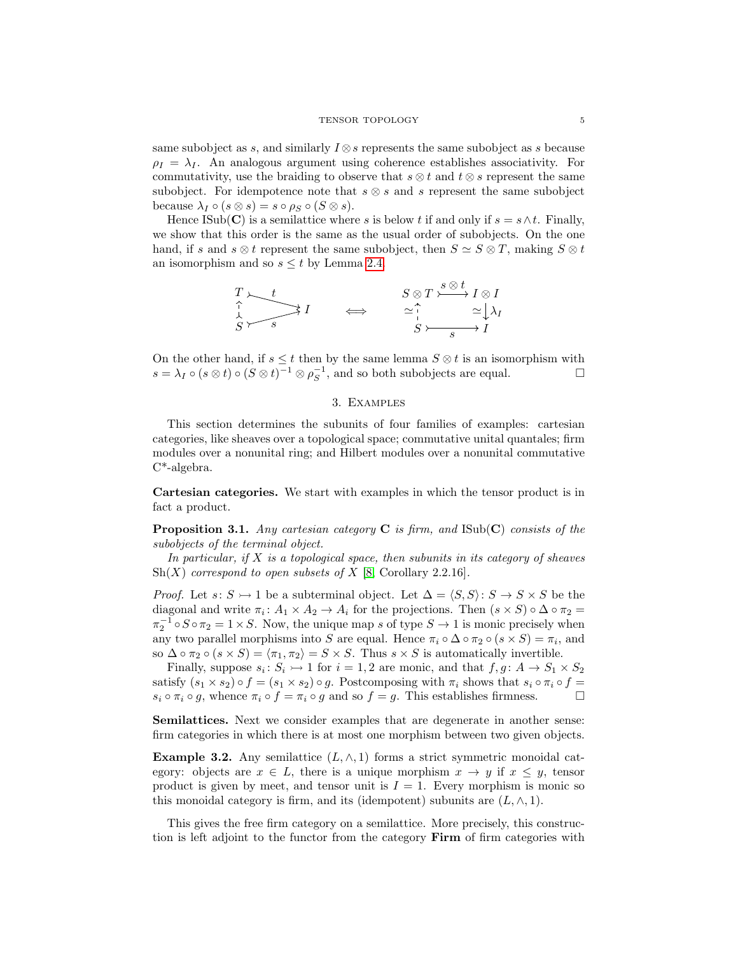same subobject as s, and similarly  $I \otimes s$  represents the same subobject as s because  $\rho_I = \lambda_I$ . An analogous argument using coherence establishes associativity. For commutativity, use the braiding to observe that  $s \otimes t$  and  $t \otimes s$  represent the same subobject. For idempotence note that  $s \otimes s$  and s represent the same subobject because  $\lambda_I \circ (s \otimes s) = s \circ \rho_S \circ (S \otimes s).$ 

Hence ISub(C) is a semilattice where s is below t if and only if  $s = s \wedge t$ . Finally, we show that this order is the same as the usual order of subobjects. On the one hand, if s and s  $\otimes t$  represent the same subobject, then  $S \simeq S \otimes T$ , making  $S \otimes t$ an isomorphism and so  $s \leq t$  by Lemma [2.4.](#page-3-0)

$$
\begin{array}{ccc}\nT & \xrightarrow{} t & S \otimes T \xrightarrow{s \otimes t} I \otimes I \\
\updownarrow & & & \xrightarrow{\uparrow} & \xrightarrow{\downarrow} \\
S & & S & S & \xrightarrow{} I\n\end{array}
$$

On the other hand, if  $s \leq t$  then by the same lemma  $S \otimes t$  is an isomorphism with  $s = \lambda_I \circ (s \otimes t) \circ (S \otimes t)^{-1} \otimes \rho_S^{-1}$ , and so both subobjects are equal.

# 3. Examples

<span id="page-4-0"></span>This section determines the subunits of four families of examples: cartesian categories, like sheaves over a topological space; commutative unital quantales; firm modules over a nonunital ring; and Hilbert modules over a nonunital commutative C\*-algebra.

Cartesian categories. We start with examples in which the tensor product is in fact a product.

<span id="page-4-1"></span>**Proposition 3.1.** Any cartesian category  $C$  is firm, and  $\text{Isub}(C)$  consists of the subobjects of the terminal object.

In particular, if  $X$  is a topological space, then subunits in its category of sheaves  $\mathrm{Sh}(X)$  correspond to open subsets of X [\[8,](#page-33-10) Corollary 2.2.16].

*Proof.* Let  $s: S \rightarrow 1$  be a subterminal object. Let  $\Delta = \langle S, S \rangle: S \rightarrow S \times S$  be the diagonal and write  $\pi_i: A_1 \times A_2 \to A_i$  for the projections. Then  $(s \times S) \circ \Delta \circ \pi_2 =$  $\pi_2^{-1} \circ S \circ \pi_2 = 1 \times S$ . Now, the unique map s of type  $S \to 1$  is monic precisely when any two parallel morphisms into S are equal. Hence  $\pi_i \circ \Delta \circ \pi_2 \circ (s \times S) = \pi_i$ , and so  $\Delta \circ \pi_2 \circ (s \times S) = \langle \pi_1, \pi_2 \rangle = S \times S$ . Thus  $s \times S$  is automatically invertible.

Finally, suppose  $s_i: S_i \rightarrow 1$  for  $i = 1, 2$  are monic, and that  $f, g: A \rightarrow S_1 \times S_2$ satisfy  $(s_1 \times s_2) \circ f = (s_1 \times s_2) \circ g$ . Postcomposing with  $\pi_i$  shows that  $s_i \circ \pi_i \circ f =$  $s_i \circ \pi_i \circ g$ , whence  $\pi_i \circ f = \pi_i \circ g$  and so  $f = g$ . This establishes firmness.

Semilattices. Next we consider examples that are degenerate in another sense: firm categories in which there is at most one morphism between two given objects.

<span id="page-4-2"></span>**Example 3.2.** Any semilattice  $(L, \wedge, 1)$  forms a strict symmetric monoidal category: objects are  $x \in L$ , there is a unique morphism  $x \to y$  if  $x \leq y$ , tensor product is given by meet, and tensor unit is  $I = 1$ . Every morphism is monic so this monoidal category is firm, and its (idempotent) subunits are  $(L, \wedge, 1)$ .

This gives the free firm category on a semilattice. More precisely, this construction is left adjoint to the functor from the category Firm of firm categories with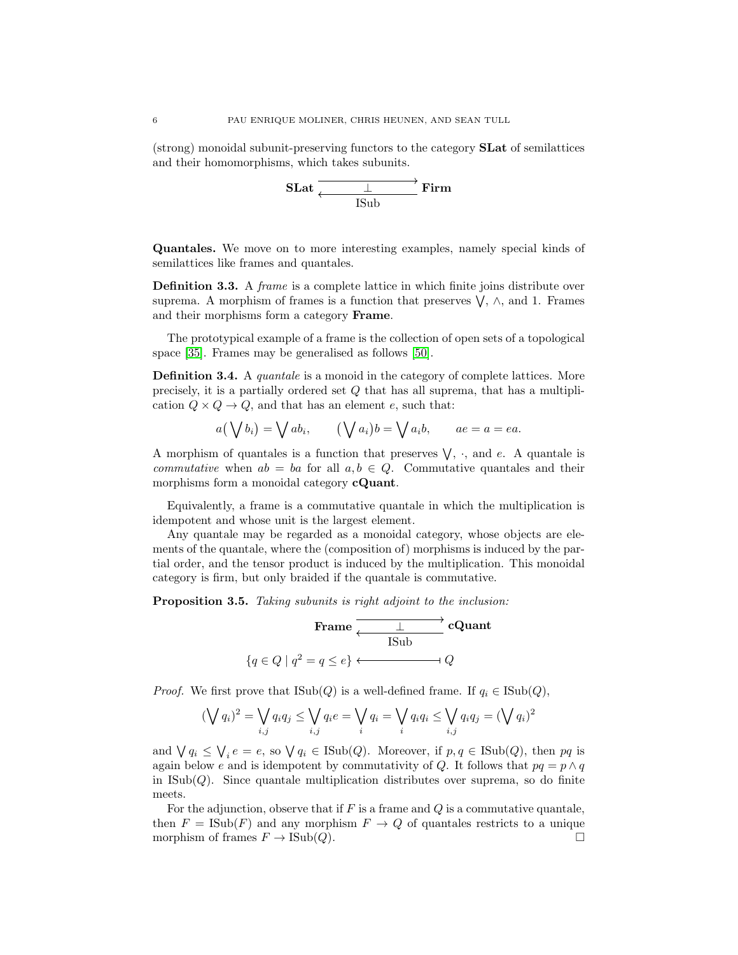(strong) monoidal subunit-preserving functors to the category SLat of semilattices and their homomorphisms, which takes subunits.



Quantales. We move on to more interesting examples, namely special kinds of semilattices like frames and quantales.

Definition 3.3. A frame is a complete lattice in which finite joins distribute over suprema. A morphism of frames is a function that preserves  $\bigvee$ ,  $\wedge$ , and 1. Frames and their morphisms form a category Frame.

The prototypical example of a frame is the collection of open sets of a topological space [\[35\]](#page-33-0). Frames may be generalised as follows [\[50\]](#page-34-12).

**Definition 3.4.** A *quantale* is a monoid in the category of complete lattices. More precisely, it is a partially ordered set Q that has all suprema, that has a multiplication  $Q \times Q \rightarrow Q$ , and that has an element e, such that:

$$
a(\bigvee b_i) = \bigvee ab_i, \qquad (\bigvee a_i)b = \bigvee a_ib, \qquad ae = a = ea.
$$

A morphism of quantales is a function that preserves  $\vee$ ,  $\cdot$ , and e. A quantale is *commutative* when  $ab = ba$  for all  $a, b \in Q$ . Commutative quantales and their morphisms form a monoidal category **cQuant**.

Equivalently, a frame is a commutative quantale in which the multiplication is idempotent and whose unit is the largest element.

Any quantale may be regarded as a monoidal category, whose objects are elements of the quantale, where the (composition of) morphisms is induced by the partial order, and the tensor product is induced by the multiplication. This monoidal category is firm, but only braided if the quantale is commutative.

<span id="page-5-0"></span>Proposition 3.5. Taking subunits is right adjoint to the inclusion:



*Proof.* We first prove that  $\text{Isub}(Q)$  is a well-defined frame. If  $q_i \in \text{Isub}(Q)$ ,

$$
(\bigvee q_i)^2 = \bigvee_{i,j} q_i q_j \le \bigvee_{i,j} q_i e = \bigvee_i q_i = \bigvee_i q_i q_i \le \bigvee_{i,j} q_i q_j = (\bigvee q_i)^2
$$

and  $\bigvee q_i \leq \bigvee_i e = e$ , so  $\bigvee q_i \in \text{ISub}(Q)$ . Moreover, if  $p, q \in \text{ISub}(Q)$ , then  $pq$  is again below e and is idempotent by commutativity of Q. It follows that  $pq = p \wedge q$ in  $\text{Isub}(Q)$ . Since quantale multiplication distributes over suprema, so do finite meets.

For the adjunction, observe that if  $F$  is a frame and  $Q$  is a commutative quantale, then  $F = \text{ISub}(F)$  and any morphism  $F \to Q$  of quantales restricts to a unique morphism of frames  $F \to \text{Isub}(Q)$ .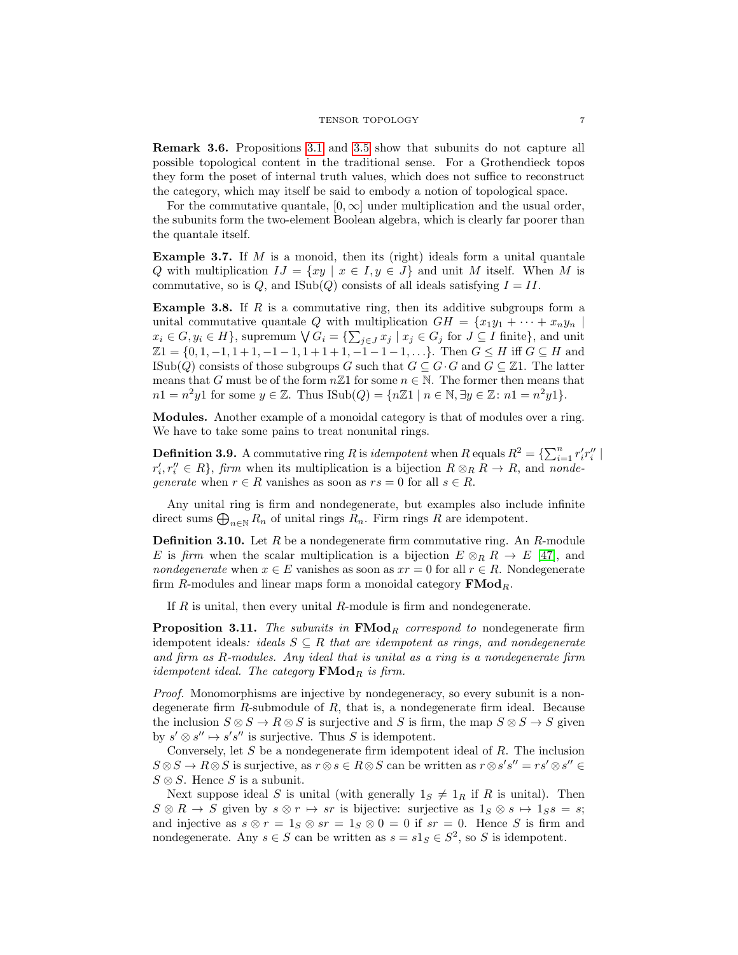Remark 3.6. Propositions [3.1](#page-4-1) and [3.5](#page-5-0) show that subunits do not capture all possible topological content in the traditional sense. For a Grothendieck topos they form the poset of internal truth values, which does not suffice to reconstruct the category, which may itself be said to embody a notion of topological space.

For the commutative quantale,  $[0, \infty]$  under multiplication and the usual order, the subunits form the two-element Boolean algebra, which is clearly far poorer than the quantale itself.

**Example 3.7.** If  $M$  is a monoid, then its (right) ideals form a unital quantale Q with multiplication  $IJ = \{xy \mid x \in I, y \in J\}$  and unit M itself. When M is commutative, so is Q, and  $\text{Isub}(Q)$  consists of all ideals satisfying  $I = II$ .

**Example 3.8.** If R is a commutative ring, then its additive subgroups form a unital commutative quantale Q with multiplication  $GH = \{x_1y_1 + \cdots + x_ny_n\mid$  $x_i \in G, y_i \in H$ , supremum  $\bigvee G_i = \{\sum_{j \in J} x_j \mid x_j \in G_j \text{ for } J \subseteq I \text{ finite}\},\$ and unit  $\mathbb{Z}1 = \{0, 1, -1, 1 + 1, -1 - 1, 1 + 1 + 1, -1 - 1 - 1, \ldots\}$ . Then  $G \leq H$  iff  $G \subseteq H$  and ISub(Q) consists of those subgroups G such that  $G \subseteq G \cdot G$  and  $G \subseteq \mathbb{Z}1$ . The latter means that G must be of the form  $n\mathbb{Z}1$  for some  $n \in \mathbb{N}$ . The former then means that  $n1 = n^2y1$  for some  $y \in \mathbb{Z}$ . Thus  $\text{Isub}(Q) = \{n\mathbb{Z}1 \mid n \in \mathbb{N}, \exists y \in \mathbb{Z} \colon n1 = n^2y1\}.$ 

Modules. Another example of a monoidal category is that of modules over a ring. We have to take some pains to treat nonunital rings.

**Definition 3.9.** A commutative ring R is *idempotent* when R equals  $R^2 = \sum_{i=1}^n r'_i r''_i$  $r'_{i}, r''_{i} \in R$ , firm when its multiplication is a bijection  $R \otimes_{R} R \to R$ , and nondegenerate when  $r \in R$  vanishes as soon as  $rs = 0$  for all  $s \in R$ .

Any unital ring is firm and nondegenerate, but examples also include infinite direct sums  $\bigoplus_{n\in\mathbb{N}} R_n$  of unital rings  $R_n$ . Firm rings R are idempotent.

**Definition 3.10.** Let  $R$  be a nondegenerate firm commutative ring. An  $R$ -module E is firm when the scalar multiplication is a bijection  $E \otimes_R R \to E$  [\[47\]](#page-34-1), and nondegenerate when  $x \in E$  vanishes as soon as  $xr = 0$  for all  $r \in R$ . Nondegenerate firm R-modules and linear maps form a monoidal category  $\mathbf{FMod}_R$ .

If  $R$  is unital, then every unital  $R$ -module is firm and nondegenerate.

<span id="page-6-0"></span>**Proposition 3.11.** The subunits in  $\mathbf{FMod}_R$  correspond to nondegenerate firm idempotent ideals: ideals  $S \subseteq R$  that are idempotent as rings, and nondegenerate and firm as R-modules. Any ideal that is unital as a ring is a nondegenerate firm idempotent ideal. The category  $\mathbf{FMod}_R$  is firm.

Proof. Monomorphisms are injective by nondegeneracy, so every subunit is a nondegenerate firm  $R$ -submodule of  $R$ , that is, a nondegenerate firm ideal. Because the inclusion  $S \otimes S \to R \otimes S$  is surjective and S is firm, the map  $S \otimes S \to S$  given by  $s' \otimes s'' \mapsto s's''$  is surjective. Thus S is idempotent.

Conversely, let  $S$  be a nondegenerate firm idempotent ideal of  $R$ . The inclusion  $S \otimes S \to R \otimes S$  is surjective, as  $r \otimes s \in R \otimes S$  can be written as  $r \otimes s's'' = rs' \otimes s'' \in$  $S \otimes S$ . Hence S is a subunit.

Next suppose ideal S is unital (with generally  $1_S \neq 1_R$  if R is unital). Then  $S \otimes R \to S$  given by  $s \otimes r \mapsto sr$  is bijective: surjective as  $1_S \otimes s \mapsto 1_S s = s;$ and injective as  $s \otimes r = 1_S \otimes sr = 1_S \otimes 0 = 0$  if  $sr = 0$ . Hence S is firm and nondegenerate. Any  $s \in S$  can be written as  $s = s1_S \in S^2$ , so S is idempotent.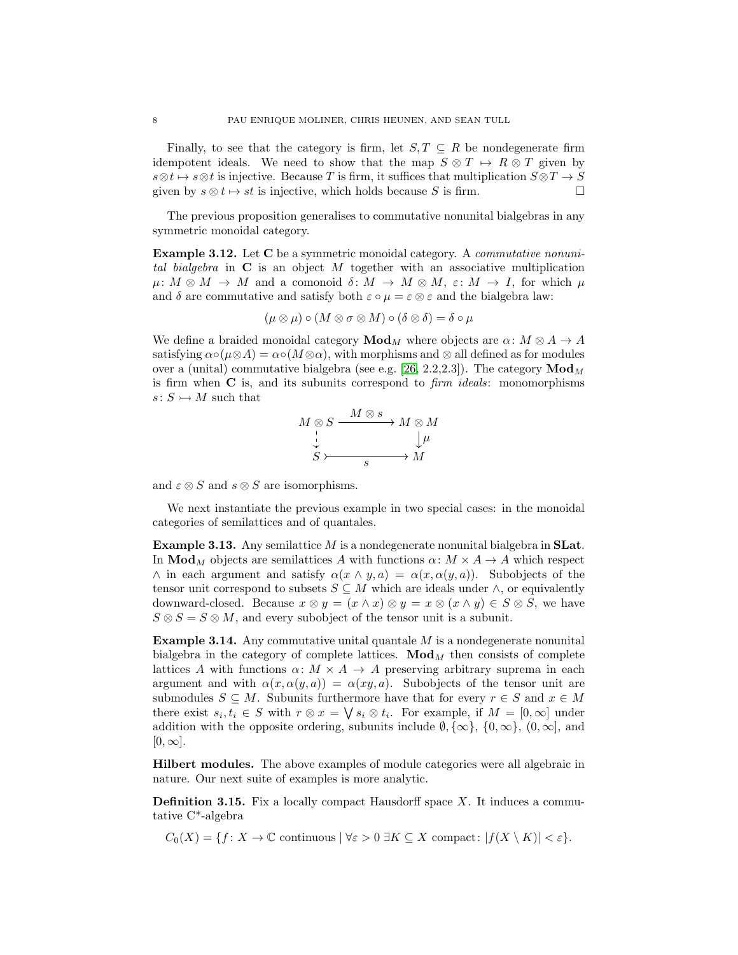Finally, to see that the category is firm, let  $S, T \subseteq R$  be nondegenerate firm idempotent ideals. We need to show that the map  $S \otimes T \mapsto R \otimes T$  given by  $s \otimes t \mapsto s \otimes t$  is injective. Because T is firm, it suffices that multiplication  $S \otimes T \to S$ given by  $s \otimes t \mapsto st$  is injective, which holds because S is firm.

The previous proposition generalises to commutative nonunital bialgebras in any symmetric monoidal category.

Example 3.12. Let C be a symmetric monoidal category. A commutative nonunital bialgebra in  $C$  is an object M together with an associative multiplication  $\mu: M \otimes M \to M$  and a comonoid  $\delta: M \to M \otimes M$ ,  $\varepsilon: M \to I$ , for which  $\mu$ and  $\delta$  are commutative and satisfy both  $\varepsilon \circ \mu = \varepsilon \otimes \varepsilon$  and the bialgebra law:

$$
(\mu \otimes \mu) \circ (M \otimes \sigma \otimes M) \circ (\delta \otimes \delta) = \delta \circ \mu
$$

We define a braided monoidal category  $\mathbf{Mod}_M$  where objects are  $\alpha: M \otimes A \to A$ satisfying  $\alpha \circ (\mu \otimes A) = \alpha \circ (M \otimes \alpha)$ , with morphisms and  $\otimes$  all defined as for modules over a (unital) commutative bialgebra (see e.g. [\[26,](#page-33-11) 2.2,2.3]). The category  $\mathbf{Mod}_{M}$ is firm when  $C$  is, and its subunits correspond to  $\lim$  ideals: monomorphisms  $s: S \rightarrow M$  such that

$$
M \underset{S}{\otimes} S \xrightarrow{\begin{array}{c} M \otimes s \\ \downarrow \\ \downarrow \\ S \end{array}} M \underset{S}{\otimes} M
$$

and  $\varepsilon \otimes S$  and  $s \otimes S$  are isomorphisms.

We next instantiate the previous example in two special cases: in the monoidal categories of semilattices and of quantales.

**Example 3.13.** Any semilattice  $M$  is a nondegenerate nonunital bialgebra in **SLat**. In  $\text{Mod}_M$  objects are semilattices A with functions  $\alpha: M \times A \rightarrow A$  which respect  $\wedge$  in each argument and satisfy  $\alpha(x \wedge y, a) = \alpha(x, \alpha(y, a))$ . Subobjects of the tensor unit correspond to subsets  $S \subseteq M$  which are ideals under  $\wedge$ , or equivalently downward-closed. Because  $x \otimes y = (x \wedge x) \otimes y = x \otimes (x \wedge y) \in S \otimes S$ , we have  $S \otimes S = S \otimes M$ , and every subobject of the tensor unit is a subunit.

Example 3.14. Any commutative unital quantale M is a nondegenerate nonunital bialgebra in the category of complete lattices.  $\mathbf{Mod}_{M}$  then consists of complete lattices A with functions  $\alpha: M \times A \rightarrow A$  preserving arbitrary suprema in each argument and with  $\alpha(x, \alpha(y, a)) = \alpha(xy, a)$ . Subobjects of the tensor unit are submodules  $S \subseteq M$ . Subunits furthermore have that for every  $r \in S$  and  $x \in M$ there exist  $s_i, t_i \in S$  with  $r \otimes x = \bigvee s_i \otimes t_i$ . For example, if  $M = [0, \infty]$  under addition with the opposite ordering, subunits include  $\emptyset$ ,  $\{\infty\}$ ,  $\{0,\infty\}$ ,  $(0,\infty]$ , and  $[0, \infty]$ .

Hilbert modules. The above examples of module categories were all algebraic in nature. Our next suite of examples is more analytic.

**Definition 3.15.** Fix a locally compact Hausdorff space  $X$ . It induces a commutative C\*-algebra

 $C_0(X) = \{f: X \to \mathbb{C} \text{ continuous } | \forall \varepsilon > 0 \ \exists K \subseteq X \text{ compact}: |f(X \setminus K)| < \varepsilon \}.$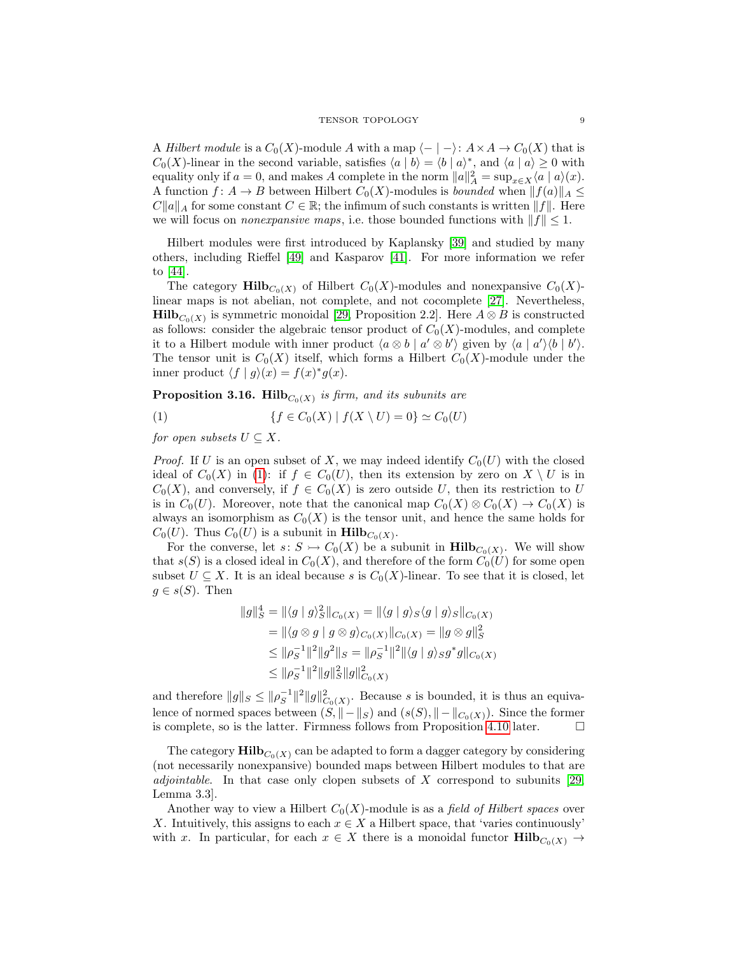A Hilbert module is a  $C_0(X)$ -module A with a map  $\langle - | - \rangle: A \times A \to C_0(X)$  that is  $C_0(X)$ -linear in the second variable, satisfies  $\langle a | b \rangle = \langle b | a \rangle^*$ , and  $\langle a | a \rangle \geq 0$  with equality only if  $a = 0$ , and makes A complete in the norm  $||a||_A^2 = \sup_{x \in X} \langle a | a \rangle(x)$ . A function  $f: A \to B$  between Hilbert  $C_0(X)$ -modules is *bounded* when  $||f(a)||_A \le$  $C||a||_A$  for some constant  $C \in \mathbb{R}$ ; the infimum of such constants is written  $||f||$ . Here we will focus on *nonexpansive maps*, i.e. those bounded functions with  $||f|| \leq 1$ .

Hilbert modules were first introduced by Kaplansky [\[39\]](#page-34-13) and studied by many others, including Rieffel [\[49\]](#page-34-14) and Kasparov [\[41\]](#page-34-15). For more information we refer to [\[44\]](#page-34-16).

The category  $\text{Hilb}_{C_0(X)}$  of Hilbert  $C_0(X)$ -modules and nonexpansive  $C_0(X)$ linear maps is not abelian, not complete, and not cocomplete [\[27\]](#page-33-12). Nevertheless, **Hilb** $C_0(X)$  is symmetric monoidal [\[29,](#page-33-13) Proposition 2.2]. Here  $A \otimes B$  is constructed as follows: consider the algebraic tensor product of  $C_0(X)$ -modules, and complete it to a Hilbert module with inner product  $\langle a \otimes b | a' \otimes b' \rangle$  given by  $\langle a | a' \rangle \langle b | b' \rangle$ . The tensor unit is  $C_0(X)$  itself, which forms a Hilbert  $C_0(X)$ -module under the inner product  $\langle f | g \rangle(x) = f(x)^* g(x)$ .

<span id="page-8-1"></span>**Proposition 3.16.** Hilb $_{C_0(X)}$  is firm, and its subunits are

<span id="page-8-0"></span>(1) 
$$
\{f \in C_0(X) \mid f(X \setminus U) = 0\} \simeq C_0(U)
$$

for open subsets  $U \subseteq X$ .

*Proof.* If U is an open subset of X, we may indeed identify  $C_0(U)$  with the closed ideal of  $C_0(X)$  in [\(1\)](#page-8-0): if  $f \in C_0(U)$ , then its extension by zero on  $X \setminus U$  is in  $C_0(X)$ , and conversely, if  $f \in C_0(X)$  is zero outside U, then its restriction to U is in  $C_0(U)$ . Moreover, note that the canonical map  $C_0(X) \otimes C_0(X) \to C_0(X)$  is always an isomorphism as  $C_0(X)$  is the tensor unit, and hence the same holds for  $C_0(U)$ . Thus  $C_0(U)$  is a subunit in  $\text{Hilb}_{C_0(X)}$ .

For the converse, let  $s: S \to C_0(X)$  be a subunit in  $\mathbf{Hilb}_{C_0(X)}$ . We will show that  $s(S)$  is a closed ideal in  $C_0(X)$ , and therefore of the form  $C_0(U)$  for some open subset  $U \subseteq X$ . It is an ideal because s is  $C_0(X)$ -linear. To see that it is closed, let  $g \in s(S)$ . Then

$$
||g||_S^4 = ||\langle g | g \rangle_S^2 ||_{C_0(X)} = ||\langle g | g \rangle_S \langle g | g \rangle_S ||_{C_0(X)}
$$
  
\n
$$
= ||\langle g \otimes g | g \otimes g \rangle_{C_0(X)} ||_{C_0(X)} = ||g \otimes g||_S^2
$$
  
\n
$$
\leq ||\rho_S^{-1}||^2 ||g^2||_S = ||\rho_S^{-1}||^2 ||\langle g | g \rangle_S g^* g||_{C_0(X)}
$$
  
\n
$$
\leq ||\rho_S^{-1}||^2 ||g||_S^2 ||g||_{C_0(X)}^2
$$

and therefore  $||g||_S \le ||\rho_S^{-1}||^2 ||g||^2_{C_0(X)}$ . Because s is bounded, it is thus an equivalence of normed spaces between  $(S, || - ||_S)$  and  $(s(S), || - ||_{C_0(X)})$ . Since the former is complete, so is the latter. Firmness follows from Proposition [4.10](#page-11-0) later.  $\Box$ 

The category  $\text{Hilb}_{C_0(X)}$  can be adapted to form a dagger category by considering (not necessarily nonexpansive) bounded maps between Hilbert modules to that are *adjointable.* In that case only clopen subsets of X correspond to subunits  $[29,$ Lemma 3.3].

Another way to view a Hilbert  $C_0(X)$ -module is as a *field of Hilbert spaces* over X. Intuitively, this assigns to each  $x \in X$  a Hilbert space, that 'varies continuously' with x. In particular, for each  $x \in X$  there is a monoidal functor  $\text{Hilb}_{C_0(X)} \to$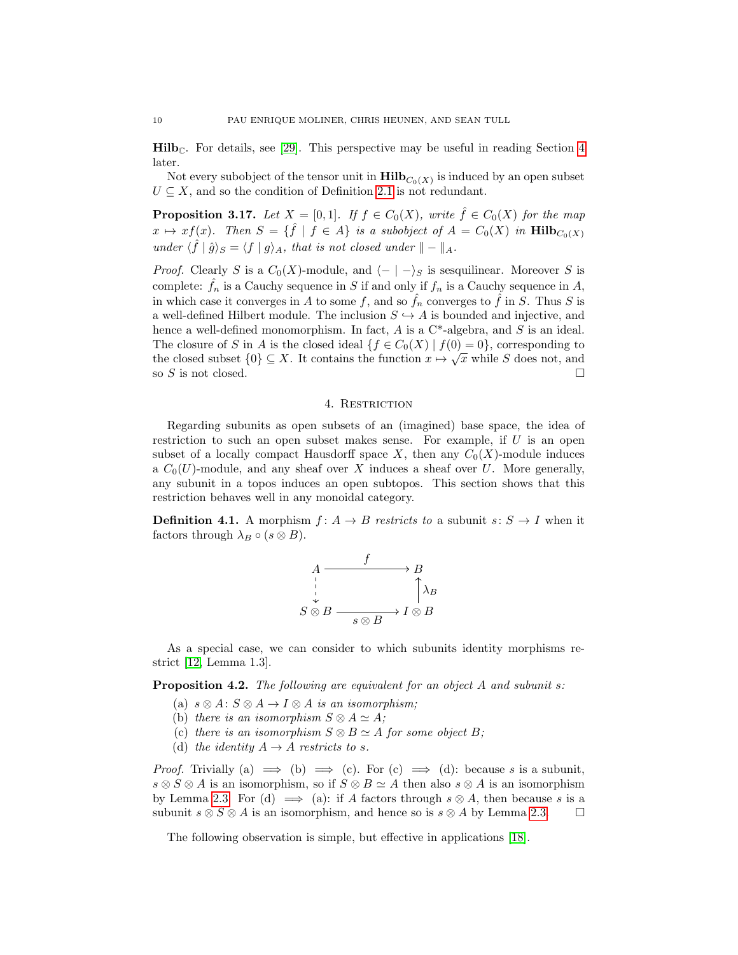$\text{Hilb}_{\mathbb{C}}$ . For details, see [\[29\]](#page-33-13). This perspective may be useful in reading Section [4](#page-9-0) later.

Not every subobject of the tensor unit in  $\mathbf{Hilb}_{C_0(X)}$  is induced by an open subset  $U \subseteq X$ , and so the condition of Definition [2.1](#page-2-3) is not redundant.

**Proposition 3.17.** Let  $X = [0, 1]$ . If  $f \in C_0(X)$ , write  $\hat{f} \in C_0(X)$  for the map  $x \mapsto xf(x)$ . Then  $S = \{\hat{f} \mid f \in A\}$  is a subobject of  $A = C_0(X)$  in  $\text{Hilb}_{C_0(X)}$ under  $\langle \hat{f} | \hat{g} \rangle_S = \langle f | g \rangle_A$ , that is not closed under  $|| - ||_A$ .

*Proof.* Clearly S is a  $C_0(X)$ -module, and  $\langle - | - \rangle_S$  is sesquilinear. Moreover S is complete:  $\hat{f}_n$  is a Cauchy sequence in S if and only if  $f_n$  is a Cauchy sequence in A, in which case it converges in A to some f, and so  $f_n$  converges to f in S. Thus S is a well-defined Hilbert module. The inclusion  $S \hookrightarrow A$  is bounded and injective, and hence a well-defined monomorphism. In fact,  $A$  is a  $C^*$ -algebra, and  $S$  is an ideal. The closure of S in A is the closed ideal  $\{f \in C_0(X) \mid f(0) = 0\}$ , corresponding to the closed subset  $\{0\} \subseteq X$ . It contains the function  $x \mapsto \sqrt{x}$  while S does not, and so S is not closed.

### 4. RESTRICTION

<span id="page-9-0"></span>Regarding subunits as open subsets of an (imagined) base space, the idea of restriction to such an open subset makes sense. For example, if  $U$  is an open subset of a locally compact Hausdorff space X, then any  $C_0(X)$ -module induces a  $C_0(U)$ -module, and any sheaf over X induces a sheaf over U. More generally, any subunit in a topos induces an open subtopos. This section shows that this restriction behaves well in any monoidal category.

**Definition 4.1.** A morphism  $f: A \rightarrow B$  restricts to a subunit  $s: S \rightarrow I$  when it factors through  $\lambda_B \circ (s \otimes B)$ .



As a special case, we can consider to which subunits identity morphisms restrict [\[12,](#page-33-14) Lemma 1.3].

Proposition 4.2. The following are equivalent for an object A and subunit s:

- (a)  $s \otimes A : S \otimes A \rightarrow I \otimes A$  is an isomorphism;
- (b) there is an isomorphism  $S \otimes A \simeq A$ ;
- (c) there is an isomorphism  $S \otimes B \simeq A$  for some object B;
- (d) the identity  $A \rightarrow A$  restricts to s.

*Proof.* Trivially (a)  $\implies$  (b)  $\implies$  (c). For (c)  $\implies$  (d): because s is a subunit,  $s \otimes S \otimes A$  is an isomorphism, so if  $S \otimes B \simeq A$  then also  $s \otimes A$  is an isomorphism by Lemma [2.3.](#page-2-2) For (d)  $\implies$  (a): if A factors through  $s \otimes A$ , then because s is a subunit  $s \otimes S \otimes A$  is an isomorphism, and hence so is  $s \otimes A$  by Lemma [2.3.](#page-2-2)  $\Box$ 

The following observation is simple, but effective in applications [\[18\]](#page-33-8).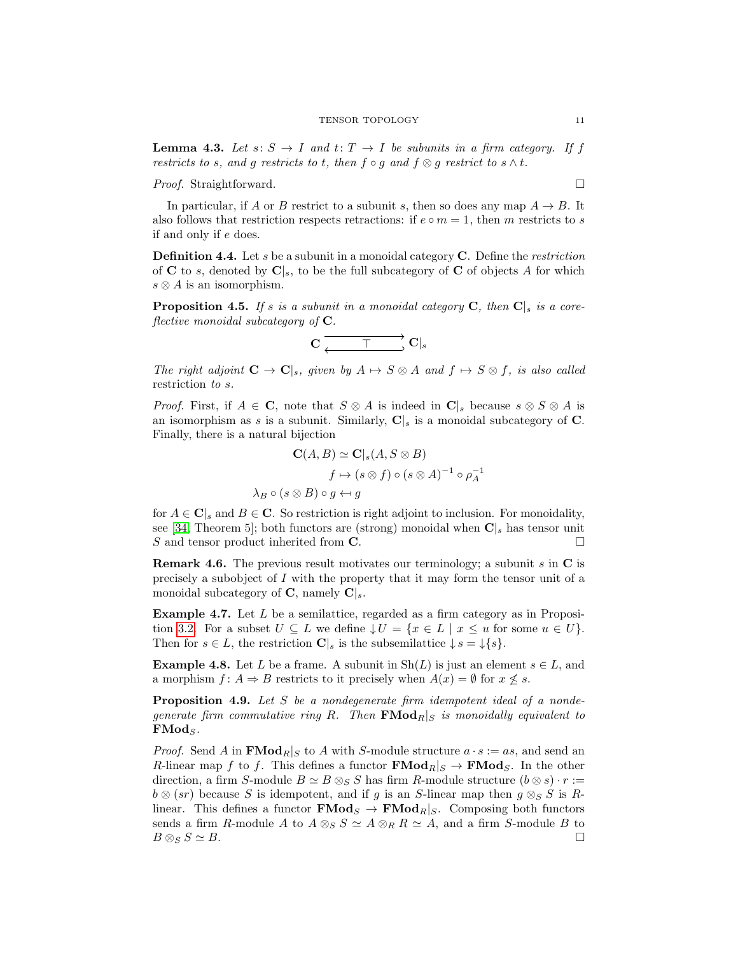### TENSOR TOPOLOGY 11

**Lemma 4.3.** Let  $s: S \to I$  and  $t: T \to I$  be subunits in a firm category. If f restricts to s, and g restricts to t, then  $f \circ g$  and  $f \otimes g$  restrict to  $s \wedge t$ .

*Proof.* Straightforward. □

In particular, if A or B restrict to a subunit s, then so does any map  $A \rightarrow B$ . It also follows that restriction respects retractions: if  $e \circ m = 1$ , then m restricts to s if and only if e does.

**Definition 4.4.** Let  $s$  be a subunit in a monoidal category  $C$ . Define the *restriction* of C to s, denoted by  $C|s$ , to be the full subcategory of C of objects A for which  $s \otimes A$  is an isomorphism.

<span id="page-10-0"></span>**Proposition 4.5.** If s is a subunit in a monoidal category C, then  $\mathbf{C}|_s$  is a coreflective monoidal subcategory of  $C$ .

$$
\mathbf{C} \xrightarrow[\longleftarrow]{\hspace*{1.5cm}} \mathbf{C}|_s
$$

The right adjoint  $C \to C|_s$ , given by  $A \mapsto S \otimes A$  and  $f \mapsto S \otimes f$ , is also called restriction to s.

*Proof.* First, if  $A \in \mathbf{C}$ , note that  $S \otimes A$  is indeed in  $\mathbf{C}|_s$  because  $s \otimes S \otimes A$  is an isomorphism as s is a subunit. Similarly,  $C|s$  is a monoidal subcategory of C. Finally, there is a natural bijection

$$
\mathbf{C}(A, B) \simeq \mathbf{C}|_s(A, S \otimes B)
$$
  

$$
f \mapsto (s \otimes f) \circ (s \otimes A)^{-1} \circ \rho_A^{-1}
$$
  

$$
\lambda_B \circ (s \otimes B) \circ g \leftrightarrow g
$$

for  $A \in \mathbf{C}$ <sub>s</sub> and  $B \in \mathbf{C}$ . So restriction is right adjoint to inclusion. For monoidality, see [\[34,](#page-33-15) Theorem 5]; both functors are (strong) monoidal when  $\mathbf{C}|_s$  has tensor unit S and tensor product inherited from  $\mathbf C$ .

**Remark 4.6.** The previous result motivates our terminology; a subunit s in  $\mathbf C$  is precisely a subobject of  $I$  with the property that it may form the tensor unit of a monoidal subcategory of  $\mathbf{C}$ , namely  $\mathbf{C}|_s$ .

**Example 4.7.** Let  $L$  be a semilattice, regarded as a firm category as in Proposi-tion [3.2.](#page-4-2) For a subset  $U \subseteq L$  we define  $\downarrow U = \{x \in L \mid x \le u \text{ for some } u \in U\}.$ Then for  $s \in L$ , the restriction  $\mathbf{C}|_s$  is the subsemilattice  $\downarrow s = \downarrow \{s\}.$ 

**Example 4.8.** Let L be a frame. A subunit in  $\text{Sh}(L)$  is just an element  $s \in L$ , and a morphism  $f: A \Rightarrow B$  restricts to it precisely when  $A(x) = \emptyset$  for  $x \not\leq s$ .

Proposition 4.9. Let S be a nondegenerate firm idempotent ideal of a nondegenerate firm commutative ring R. Then  $\mathbf{FMod}_R|_S$  is monoidally equivalent to  $\mathbf{FMod}_S$ .

*Proof.* Send A in  $\mathbf{FMod}_R|_S$  to A with S-module structure  $a \cdot s := as$ , and send an R-linear map f to f. This defines a functor  $\mathbf{FMod}_{R}|_{S} \to \mathbf{FMod}_{S}$ . In the other direction, a firm S-module  $B \simeq B \otimes_S S$  has firm R-module structure  $(b \otimes s) \cdot r :=$  $b \otimes (sr)$  because S is idempotent, and if g is an S-linear map then  $g \otimes_S S$  is Rlinear. This defines a functor  $\mathbf{FMod}_S \to \mathbf{FMod}_R|_S$ . Composing both functors sends a firm R-module A to  $A \otimes_S S \simeq A \otimes_R R \simeq A$ , and a firm S-module B to  $B \otimes_S S \simeq B.$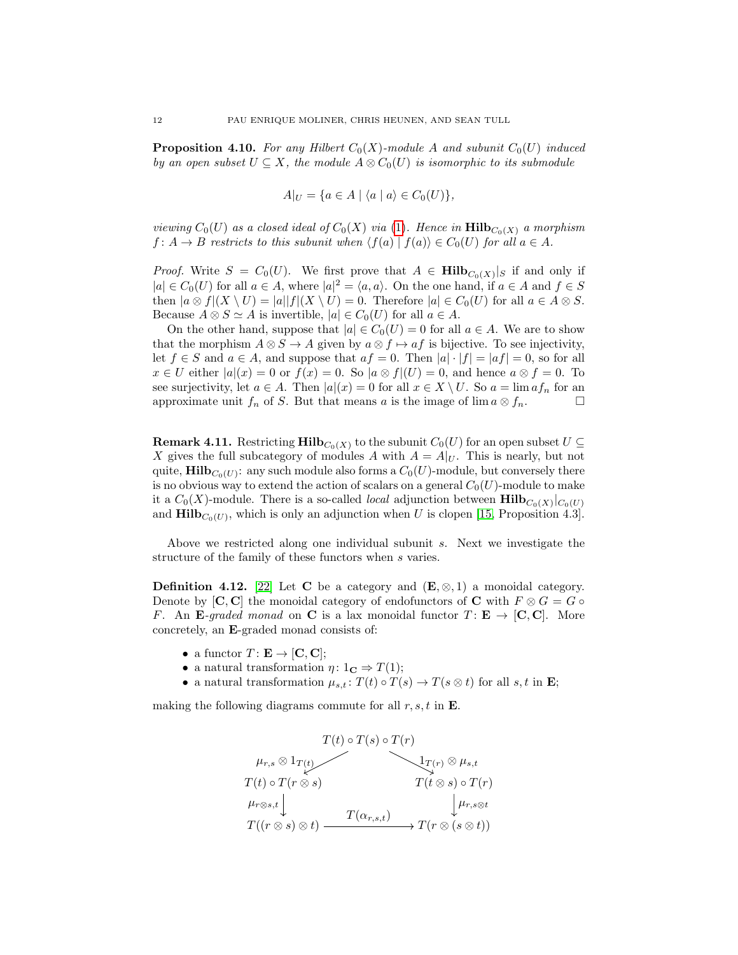<span id="page-11-0"></span>**Proposition 4.10.** For any Hilbert  $C_0(X)$ -module A and subunit  $C_0(U)$  induced by an open subset  $U \subseteq X$ , the module  $A \otimes C_0(U)$  is isomorphic to its submodule

$$
A|_U = \{ a \in A \mid \langle a \mid a \rangle \in C_0(U) \},
$$

viewing  $C_0(U)$  as a closed ideal of  $C_0(X)$  via [\(1\)](#page-8-0). Hence in  $\text{Hilb}_{C_0(X)}$  a morphism  $f: A \to B$  restricts to this subunit when  $\langle f(a) | f(a) \rangle \in C_0(U)$  for all  $a \in A$ .

*Proof.* Write  $S = C_0(U)$ . We first prove that  $A \in \textbf{Hilb}_{C_0(X)}|_S$  if and only if  $|a| \in C_0(U)$  for all  $a \in A$ , where  $|a|^2 = \langle a, a \rangle$ . On the one hand, if  $a \in A$  and  $f \in S$ then  $|a \otimes f|(X \setminus U) = |a||f|(X \setminus U) = 0$ . Therefore  $|a| \in C_0(U)$  for all  $a \in A \otimes S$ . Because  $A \otimes S \simeq A$  is invertible,  $|a| \in C_0(U)$  for all  $a \in A$ .

On the other hand, suppose that  $|a| \in C_0(U) = 0$  for all  $a \in A$ . We are to show that the morphism  $A \otimes S \to A$  given by  $a \otimes f \mapsto af$  is bijective. To see injectivity, let  $f \in S$  and  $a \in A$ , and suppose that  $af = 0$ . Then  $|a| \cdot |f| = |af| = 0$ , so for all  $x \in U$  either  $|a|(x) = 0$  or  $f(x) = 0$ . So  $|a \otimes f|(U) = 0$ , and hence  $a \otimes f = 0$ . To see surjectivity, let  $a \in A$ . Then  $|a|(x) = 0$  for all  $x \in X \setminus U$ . So  $a = \lim_{n \to \infty} af_n$  for an approximate unit  $f_n$  of S. But that means a is the image of lim  $a \otimes f_n$ .

**Remark 4.11.** Restricting  $\text{Hilb}_{C_0(X)}$  to the subunit  $C_0(U)$  for an open subset  $U \subseteq$ X gives the full subcategory of modules A with  $A = A|_{U}$ . This is nearly, but not quite,  $\mathbf{Hilb}_{C_0(U)}$ : any such module also forms a  $C_0(U)$ -module, but conversely there is no obvious way to extend the action of scalars on a general  $C_0(U)$ -module to make it a  $C_0(X)$ -module. There is a so-called *local* adjunction between  $\text{Hilb}_{C_0(X)}|_{C_0(U)}$ and  $\text{Hilb}_{C_0(U)}$ , which is only an adjunction when U is clopen [\[15,](#page-33-16) Proposition 4.3].

Above we restricted along one individual subunit s. Next we investigate the structure of the family of these functors when s varies.

**Definition 4.12.** [\[22\]](#page-33-17) Let C be a category and  $(E, \otimes, 1)$  a monoidal category. Denote by  $[C, C]$  the monoidal category of endofunctors of C with  $F \otimes G = G \circ$ F. An E-graded monad on C is a lax monoidal functor  $T: E \to [C, C]$ . More concretely, an E-graded monad consists of:

- a functor  $T: E \to [C, C];$
- a natural transformation  $\eta: 1_{\mathbf{C}} \Rightarrow T(1);$
- a natural transformation  $\mu_{s,t}$ :  $T(t) \circ T(s) \to T(s \otimes t)$  for all  $s,t$  in **E**;

making the following diagrams commute for all  $r, s, t$  in  $\bf{E}$ .

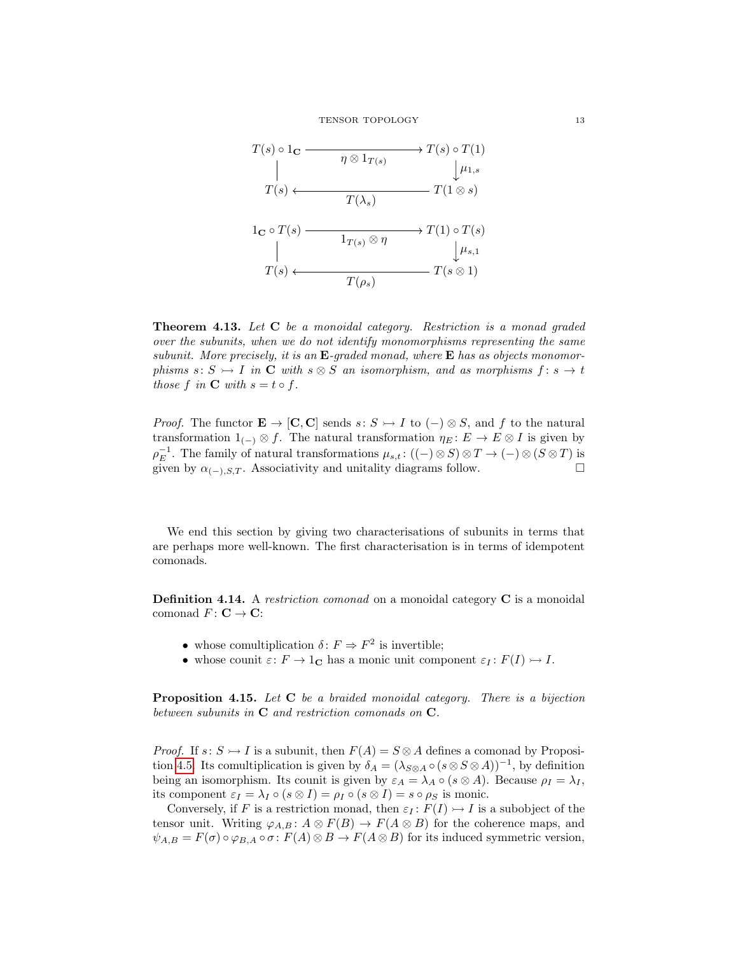TENSOR TOPOLOGY 13



Theorem 4.13. Let C be a monoidal category. Restriction is a monad graded over the subunits, when we do not identify monomorphisms representing the same subunit. More precisely, it is an  $E$ -graded monad, where  $E$  has as objects monomorphisms  $s: S \rightarrow I$  in C with  $s \otimes S$  an isomorphism, and as morphisms  $f: s \rightarrow t$ those f in  $C$  with  $s = t \circ f$ .

*Proof.* The functor  $\mathbf{E} \to [\mathbf{C}, \mathbf{C}]$  sends  $s: S \to I$  to  $(-) \otimes S$ , and f to the natural transformation  $1_{(-)} \otimes f$ . The natural transformation  $\eta_E : E \to E \otimes I$  is given by  $\rho_E^{-1}$ . The family of natural transformations  $\mu_{s,t}$ :  $((-) \otimes S) \otimes T \to (-) \otimes (S \otimes T)$  is given by  $\alpha_{(-),S,T}$ . Associativity and unitality diagrams follow.

We end this section by giving two characterisations of subunits in terms that are perhaps more well-known. The first characterisation is in terms of idempotent comonads.

**Definition 4.14.** A restriction comonad on a monoidal category  $C$  is a monoidal comonad  $F: \mathbf{C} \to \mathbf{C}$ :

- whose comultiplication  $\delta: F \Rightarrow F^2$  is invertible;
- whose counit  $\varepsilon: F \to 1_{\mathbf{C}}$  has a monic unit component  $\varepsilon_I: F(I) \to I$ .

**Proposition 4.15.** Let C be a braided monoidal category. There is a bijection between subunits in  $C$  and restriction comonads on  $C$ .

*Proof.* If  $s: S \rightarrow I$  is a subunit, then  $F(A) = S \otimes A$  defines a comonad by Proposi-tion [4.5.](#page-10-0) Its comultiplication is given by  $\delta_A = (\lambda_{S\otimes A} \circ (s \otimes S \otimes A))^{-1}$ , by definition being an isomorphism. Its counit is given by  $\varepsilon_A = \lambda_A \circ (s \otimes A)$ . Because  $\rho_I = \lambda_I$ , its component  $\varepsilon_I = \lambda_I \circ (s \otimes I) = \rho_I \circ (s \otimes I) = s \circ \rho_S$  is monic.

Conversely, if F is a restriction monad, then  $\varepsilon_I : F(I) \rightarrowtail I$  is a subobject of the tensor unit. Writing  $\varphi_{A,B}$ :  $A \otimes F(B) \to F(A \otimes B)$  for the coherence maps, and  $\psi_{A,B} = F(\sigma) \circ \varphi_{B,A} \circ \sigma \colon F(A) \otimes B \to F(A \otimes B)$  for its induced symmetric version,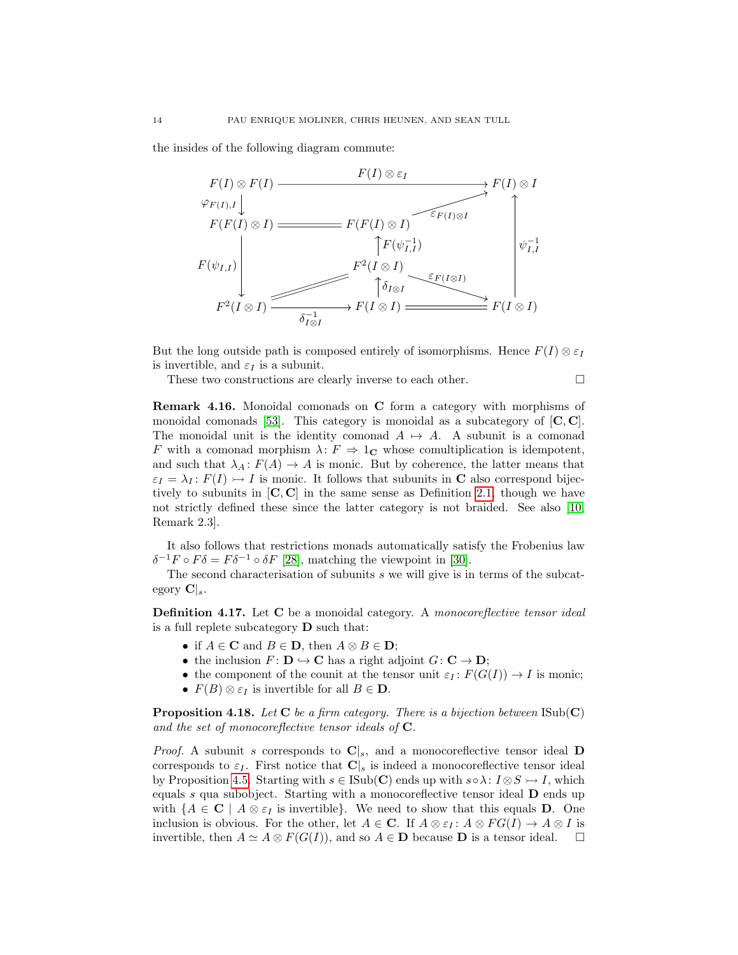the insides of the following diagram commute:



But the long outside path is composed entirely of isomorphisms. Hence  $F(I) \otimes \varepsilon_I$ is invertible, and  $\varepsilon_I$  is a subunit.

These two constructions are clearly inverse to each other.

Remark 4.16. Monoidal comonads on C form a category with morphisms of monoidal comonads [\[53\]](#page-34-17). This category is monoidal as a subcategory of  $[C, C]$ . The monoidal unit is the identity comonad  $A \mapsto A$ . A subunit is a comonad F with a comonad morphism  $\lambda: F \Rightarrow 1_{\mathbb{C}}$  whose comultiplication is idempotent, and such that  $\lambda_A \colon F(A) \to A$  is monic. But by coherence, the latter means that  $\varepsilon_I = \lambda_I : F(I) \rightarrow I$  is monic. It follows that subunits in C also correspond bijectively to subunits in  $[C, C]$  in the same sense as Definition [2.1,](#page-2-3) though we have not strictly defined these since the latter category is not braided. See also [\[10,](#page-33-1) Remark 2.3].

It also follows that restrictions monads automatically satisfy the Frobenius law  $\delta^{-1}F \circ F \delta = F \delta^{-1} \circ \delta F$  [\[28\]](#page-33-18), matching the viewpoint in [\[30\]](#page-33-19).

The second characterisation of subunits s we will give is in terms of the subcategory  $\mathbf{C}|_s$ .

**Definition 4.17.** Let C be a monoidal category. A monocoreflective tensor ideal is a full replete subcategory  $\bf{D}$  such that:

- if  $A \in \mathbf{C}$  and  $B \in \mathbf{D}$ , then  $A \otimes B \in \mathbf{D}$ ;
- the inclusion  $F: \mathbf{D} \hookrightarrow \mathbf{C}$  has a right adjoint  $G: \mathbf{C} \to \mathbf{D}$ ;
- the component of the counit at the tensor unit  $\varepsilon_I : F(G(I)) \to I$  is monic;
- $F(B) \otimes \varepsilon_I$  is invertible for all  $B \in \mathbf{D}$ .

<span id="page-13-0"></span>**Proposition 4.18.** Let C be a firm category. There is a bijection between  $\text{ISub}(\mathbf{C})$ and the set of monocoreflective tensor ideals of  $C$ .

*Proof.* A subunit s corresponds to  $C|_s$ , and a monocoreflective tensor ideal D corresponds to  $\varepsilon_I$ . First notice that  $\mathbf{C}|_s$  is indeed a monocoreflective tensor ideal by Proposition [4.5.](#page-10-0) Starting with  $s \in \text{Isub}(\mathbf{C})$  ends up with  $s \circ \lambda : I \otimes S \rightarrow I$ , which equals s qua subobject. Starting with a monocoreflective tensor ideal  **ends up** with  $\{A \in \mathbf{C} \mid A \otimes \varepsilon_I \text{ is invertible}\}.$  We need to show that this equals **D**. One inclusion is obvious. For the other, let  $A \in \mathbb{C}$ . If  $A \otimes \varepsilon_I : A \otimes FG(I) \to A \otimes I$  is invertible, then  $A \simeq A \otimes F(G(I))$ , and so  $A \in \mathbf{D}$  because  $\mathbf{D}$  is a tensor ideal.  $\square$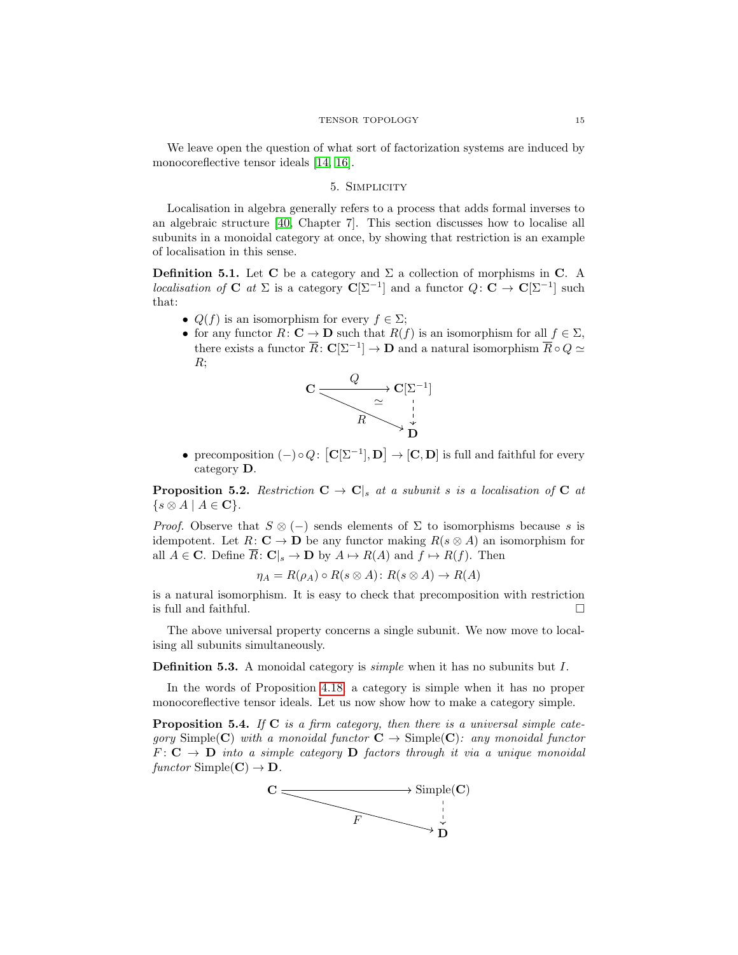We leave open the question of what sort of factorization systems are induced by monocoreflective tensor ideals [\[14,](#page-33-20) [16\]](#page-33-21).

### 5. Simplicity

<span id="page-14-0"></span>Localisation in algebra generally refers to a process that adds formal inverses to an algebraic structure [\[40,](#page-34-11) Chapter 7]. This section discusses how to localise all subunits in a monoidal category at once, by showing that restriction is an example of localisation in this sense.

**Definition 5.1.** Let **C** be a category and  $\Sigma$  a collection of morphisms in **C**. A localisation of **C** at  $\Sigma$  is a category  $\mathbf{C}[\Sigma^{-1}]$  and a functor  $Q: \mathbf{C} \to \mathbf{C}[\Sigma^{-1}]$  such that:

- $Q(f)$  is an isomorphism for every  $f \in \Sigma$ ;
- for any functor  $R: \mathbf{C} \to \mathbf{D}$  such that  $R(f)$  is an isomorphism for all  $f \in \Sigma$ , there exists a functor  $\overline{R} \colon \mathbf{C}[\Sigma^{-1}] \to \mathbf{D}$  and a natural isomorphism  $\overline{R} \circ Q \simeq$ R;



• precomposition  $(-)\circ Q: [\mathbf{C}[\Sigma^{-1}], \mathbf{D}] \to [\mathbf{C}, \mathbf{D}]$  is full and faithful for every category D.

**Proposition 5.2.** Restriction  $C \rightarrow C$ , at a subunit s is a localisation of C at  $\{s \otimes A \mid A \in \mathbf{C}\}.$ 

*Proof.* Observe that  $S \otimes (-)$  sends elements of  $\Sigma$  to isomorphisms because s is idempotent. Let  $R: \mathbf{C} \to \mathbf{D}$  be any functor making  $R(s \otimes A)$  an isomorphism for all  $A \in \mathbf{C}$ . Define  $\overline{R} : \mathbf{C}|_s \to \mathbf{D}$  by  $A \mapsto R(A)$  and  $f \mapsto R(f)$ . Then

$$
\eta_A = R(\rho_A) \circ R(s \otimes A) \colon R(s \otimes A) \to R(A)
$$

is a natural isomorphism. It is easy to check that precomposition with restriction is full and faithful.  $\Box$ 

The above universal property concerns a single subunit. We now move to localising all subunits simultaneously.

Definition 5.3. A monoidal category is *simple* when it has no subunits but I.

In the words of Proposition [4.18,](#page-13-0) a category is simple when it has no proper monocoreflective tensor ideals. Let us now show how to make a category simple.

**Proposition 5.4.** If  $C$  is a firm category, then there is a universal simple category Simple(C) with a monoidal functor  $C \rightarrow$  Simple(C): any monoidal functor  $F: \mathbf{C} \to \mathbf{D}$  into a simple category  $\mathbf{D}$  factors through it via a unique monoidal functor Simple( $\mathbf{C}$ )  $\rightarrow \mathbf{D}$ .

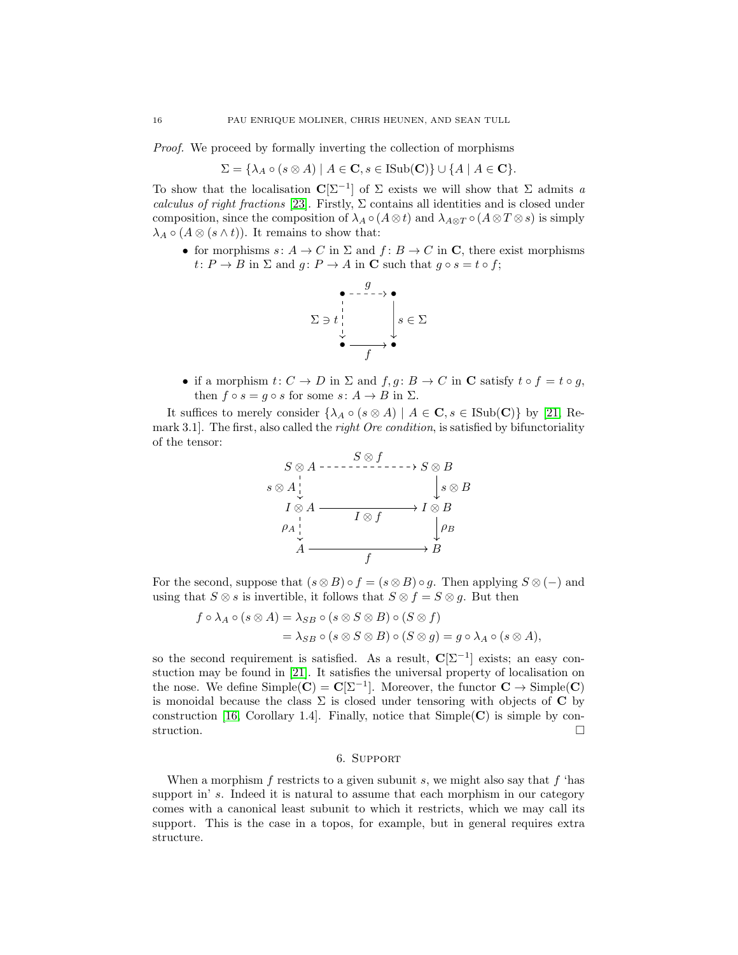Proof. We proceed by formally inverting the collection of morphisms

$$
\Sigma = \{ \lambda_A \circ (s \otimes A) \mid A \in \mathbf{C}, s \in \text{ISub}(\mathbf{C}) \} \cup \{ A \mid A \in \mathbf{C} \}.
$$

To show that the localisation  $\mathbb{C}[\Sigma^{-1}]$  of  $\Sigma$  exists we will show that  $\Sigma$  admits a calculus of right fractions [\[23\]](#page-33-22). Firstly,  $\Sigma$  contains all identities and is closed under composition, since the composition of  $\lambda_A \circ (A \otimes t)$  and  $\lambda_{A \otimes T} \circ (A \otimes T \otimes s)$  is simply  $\lambda_A \circ (A \otimes (s \wedge t))$ . It remains to show that:

• for morphisms  $s: A \to C$  in  $\Sigma$  and  $f: B \to C$  in C, there exist morphisms  $t: P \to B$  in  $\Sigma$  and  $g: P \to A$  in **C** such that  $g \circ s = t \circ f$ ;



• if a morphism  $t: C \to D$  in  $\Sigma$  and  $f, g: B \to C$  in **C** satisfy  $t \circ f = t \circ g$ , then  $f \circ s = g \circ s$  for some  $s: A \to B$  in  $\Sigma$ .

It suffices to merely consider  $\{\lambda_A \circ (s \otimes A) \mid A \in \mathbf{C}, s \in \text{Isub}(\mathbf{C})\}$  by [\[21,](#page-33-23) Remark 3.1. The first, also called the *right Ore condition*, is satisfied by bifunctoriality of the tensor:



For the second, suppose that  $(s \otimes B) \circ f = (s \otimes B) \circ g$ . Then applying  $S \otimes (-)$  and using that  $S \otimes s$  is invertible, it follows that  $S \otimes f = S \otimes g$ . But then

$$
f \circ \lambda_A \circ (s \otimes A) = \lambda_{SB} \circ (s \otimes S \otimes B) \circ (S \otimes f)
$$
  
=  $\lambda_{SB} \circ (s \otimes S \otimes B) \circ (S \otimes g) = g \circ \lambda_A \circ (s \otimes A),$ 

so the second requirement is satisfied. As a result,  $\mathbf{C}[\Sigma^{-1}]$  exists; an easy constuction may be found in [\[21\]](#page-33-23). It satisfies the universal property of localisation on the nose. We define  $Simple(C) = C[\Sigma^{-1}]$ . Moreover, the functor  $C \rightarrow Simple(C)$ is monoidal because the class  $\Sigma$  is closed under tensoring with objects of **C** by construction [\[16,](#page-33-21) Corollary 1.4]. Finally, notice that  $Simple(C)$  is simple by construction.  $\Box$ 

## 6. Support

<span id="page-15-0"></span>When a morphism  $f$  restricts to a given subunit  $s$ , we might also say that  $f$  'has support in' s. Indeed it is natural to assume that each morphism in our category comes with a canonical least subunit to which it restricts, which we may call its support. This is the case in a topos, for example, but in general requires extra structure.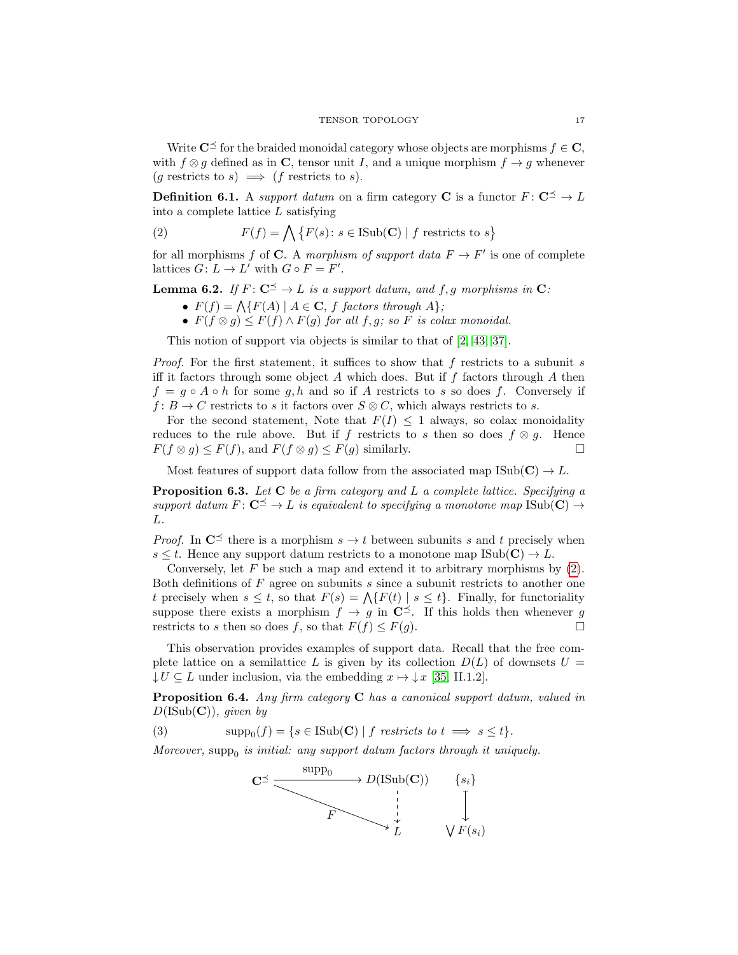Write  $\mathbb{C}^{\preceq}$  for the braided monoidal category whose objects are morphisms  $f \in \mathbb{C}$ , with  $f \otimes g$  defined as in C, tensor unit I, and a unique morphism  $f \rightarrow g$  whenever  $(g$  restricts to  $s) \implies (f$  restricts to  $s)$ .

**Definition 6.1.** A support datum on a firm category C is a functor  $F: \mathbb{C}^{\preceq} \to L$ into a complete lattice  $L$  satisfying

<span id="page-16-0"></span>(2) 
$$
F(f) = \bigwedge \{ F(s) \colon s \in \text{ISub}(\mathbf{C}) \mid f \text{ restricts to } s \}
$$

for all morphisms f of C. A morphism of support data  $F \to F'$  is one of complete lattices  $G: L \to L'$  with  $G \circ F = F'.$ 

**Lemma 6.2.** If  $F: \mathbb{C}^{\leq} \to L$  is a support datum, and f, g morphisms in  $\mathbb{C}:$ 

- $F(f) = \Lambda \{ F(A) \mid A \in \mathbf{C}, f \text{ factors through } A \};$
- $F(f \otimes q) \leq F(f) \wedge F(q)$  for all f, q; so F is colax monoidal.

This notion of support via objects is similar to that of [\[2,](#page-32-1) [43,](#page-34-5) [37\]](#page-34-4).

*Proof.* For the first statement, it suffices to show that f restricts to a subunit s iff it factors through some object  $A$  which does. But if  $f$  factors through  $A$  then  $f = g \circ A \circ h$  for some g, h and so if A restricts to s so does f. Conversely if  $f: B \to C$  restricts to s it factors over  $S \otimes C$ , which always restricts to s.

For the second statement, Note that  $F(I) \leq 1$  always, so colax monoidality reduces to the rule above. But if f restricts to s then so does  $f \otimes g$ . Hence  $F(f \otimes g) \leq F(f)$ , and  $F(f \otimes g) \leq F(g)$  similarly.

Most features of support data follow from the associated map  $\text{Isub}(\mathbf{C}) \to L$ .

<span id="page-16-1"></span>**Proposition 6.3.** Let  $C$  be a firm category and  $L$  a complete lattice. Specifying a support datum  $F: \mathbb{C}^{\preceq} \to L$  is equivalent to specifying a monotone map  $\text{Isub}(\mathbb{C}) \to$ L.

*Proof.* In  $\mathbb{C}^{\preceq}$  there is a morphism  $s \to t$  between subunits s and t precisely when  $s \leq t$ . Hence any support datum restricts to a monotone map  $\text{Sub}(\mathbf{C}) \to L$ .

Conversely, let  $F$  be such a map and extend it to arbitrary morphisms by  $(2)$ . Both definitions of  $F$  agree on subunits  $s$  since a subunit restricts to another one t precisely when  $s \leq t$ , so that  $F(s) = \bigwedge \{F(t) \mid s \leq t\}$ . Finally, for functoriality suppose there exists a morphism  $f \to g$  in  $\mathbb{C}^{\preceq}$ . If this holds then whenever g restricts to s then so does f, so that  $F(f) \leq F(q)$ .

This observation provides examples of support data. Recall that the free complete lattice on a semilattice L is given by its collection  $D(L)$  of downsets  $U =$  $\downarrow U \subseteq L$  under inclusion, via the embedding  $x \mapsto \downarrow x$  [\[35,](#page-33-0) II.1.2].

<span id="page-16-3"></span>Proposition 6.4. Any firm category C has a canonical support datum, valued in  $D(\text{Isub}(\mathbf{C}))$ , given by

(3)  $\text{supp}_0(f) = \{s \in \text{ISub}(\mathbf{C}) \mid f \text{ restricts to } t \implies s \leq t\}.$ 

Moreover,  $\text{supp}_0$  is initial: any support datum factors through it uniquely.

<span id="page-16-2"></span>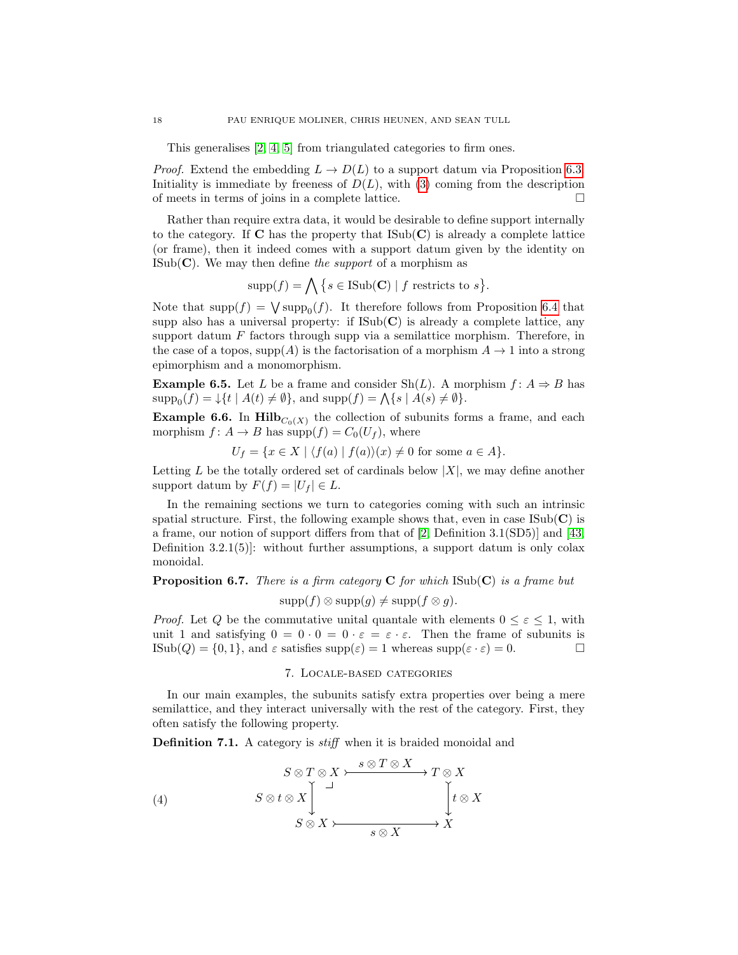This generalises [\[2,](#page-32-1) [4,](#page-32-2) [5\]](#page-32-3) from triangulated categories to firm ones.

*Proof.* Extend the embedding  $L \to D(L)$  to a support datum via Proposition [6.3.](#page-16-1) Initiality is immediate by freeness of  $D(L)$ , with [\(3\)](#page-16-2) coming from the description of meets in terms of joins in a complete lattice.  $\Box$ 

Rather than require extra data, it would be desirable to define support internally to the category. If  $C$  has the property that  $\text{Isub}(C)$  is already a complete lattice (or frame), then it indeed comes with a support datum given by the identity on  $\text{ISub}(\mathbf{C})$ . We may then define the support of a morphism as

$$
supp(f) = \bigwedge \{ s \in \text{ISub}(\mathbf{C}) \mid f \text{ restricts to } s \}.
$$

Note that  $\text{supp}(f) = \bigvee \text{supp}(f)$ . It therefore follows from Proposition [6.4](#page-16-3) that supp also has a universal property: if  $\text{Isub}(\mathbf{C})$  is already a complete lattice, any support datum  $F$  factors through supp via a semilattice morphism. Therefore, in the case of a topos,  $\text{supp}(A)$  is the factorisation of a morphism  $A \to 1$  into a strong epimorphism and a monomorphism.

**Example 6.5.** Let L be a frame and consider Sh(L). A morphism  $f: A \Rightarrow B$  has  $\text{supp}_0(f) = \downarrow \{t \mid A(t) \neq \emptyset\},\$  and  $\text{supp}(f) = \bigwedge \{s \mid A(s) \neq \emptyset\}.$ 

**Example 6.6.** In  $\text{Hilb}_{C_0(X)}$  the collection of subunits forms a frame, and each morphism  $f: A \to B$  has supp $(f) = C_0(U_f)$ , where

$$
U_f = \{ x \in X \mid \langle f(a) \mid f(a) \rangle(x) \neq 0 \text{ for some } a \in A \}.
$$

Letting L be the totally ordered set of cardinals below  $|X|$ , we may define another support datum by  $F(f) = |U_f| \in L$ .

In the remaining sections we turn to categories coming with such an intrinsic spatial structure. First, the following example shows that, even in case  $\text{Isub}(\mathbf{C})$  is a frame, our notion of support differs from that of [\[2,](#page-32-1) Definition 3.1(SD5)] and [\[43,](#page-34-5) Definition 3.2.1(5)]: without further assumptions, a support datum is only colax monoidal.

# **Proposition 6.7.** There is a firm category  $C$  for which  $ISub(C)$  is a frame but  $\text{supp}(f) \otimes \text{supp}(g) \neq \text{supp}(f \otimes g).$

*Proof.* Let Q be the commutative unital quantale with elements  $0 \leq \varepsilon \leq 1$ , with unit 1 and satisfying  $0 = 0 \cdot 0 = 0 \cdot \varepsilon = \varepsilon \cdot \varepsilon$ . Then the frame of subunits is  $\text{ISub}(Q) = \{0, 1\}$ , and  $\varepsilon$  satisfies  $\text{supp}(\varepsilon) = 1$  whereas  $\text{supp}(\varepsilon \cdot \varepsilon) = 0$ .

### 7. Locale-based categories

<span id="page-17-0"></span>In our main examples, the subunits satisfy extra properties over being a mere semilattice, and they interact universally with the rest of the category. First, they often satisfy the following property.

Definition 7.1. A category is *stiff* when it is braided monoidal and

<span id="page-17-1"></span>(4) 
$$
S \otimes T \otimes X \xrightarrow{\qquad S \otimes T \otimes X} T \otimes X
$$

$$
S \otimes t \otimes X \downarrow^{\qquad \qquad J} \downarrow^{\qquad \qquad \downarrow} t \otimes X
$$

$$
S \otimes X \xrightarrow{\qquad \qquad S \otimes X} X \xrightarrow{\qquad \qquad S \otimes X} X
$$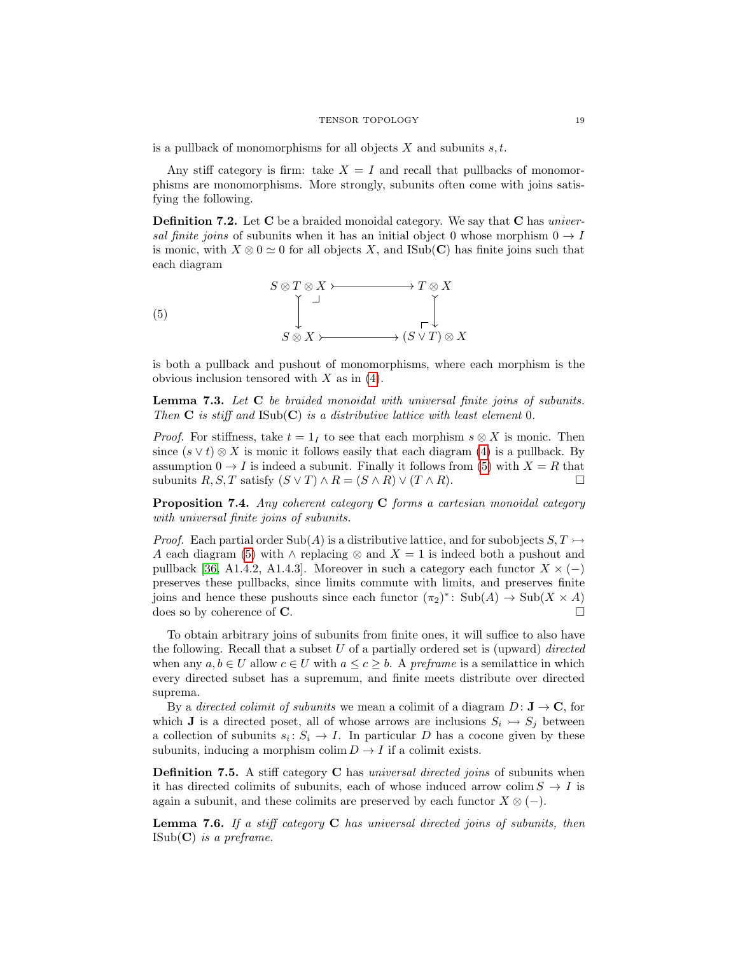is a pullback of monomorphisms for all objects  $X$  and subunits  $s, t$ .

Any stiff category is firm: take  $X = I$  and recall that pullbacks of monomorphisms are monomorphisms. More strongly, subunits often come with joins satisfying the following.

<span id="page-18-1"></span>**Definition 7.2.** Let C be a braided monoidal category. We say that C has universal finite joins of subunits when it has an initial object 0 whose morphism  $0 \rightarrow I$ is monic, with  $X \otimes 0 \simeq 0$  for all objects X, and ISub(C) has finite joins such that each diagram

<span id="page-18-0"></span>

is both a pullback and pushout of monomorphisms, where each morphism is the obvious inclusion tensored with  $X$  as in  $(4)$ .

<span id="page-18-4"></span>Lemma 7.3. Let C be braided monoidal with universal finite joins of subunits. Then  $C$  is stiff and  $\text{Isub}(C)$  is a distributive lattice with least element 0.

*Proof.* For stiffness, take  $t = 1<sub>I</sub>$  to see that each morphism  $s \otimes X$  is monic. Then since  $(s \vee t) \otimes X$  is monic it follows easily that each diagram [\(4\)](#page-17-1) is a pullback. By assumption  $0 \to I$  is indeed a subunit. Finally it follows from [\(5\)](#page-18-0) with  $X = R$  that subunits  $R, S, T$  satisfy  $(S \vee T) \wedge R = (S \wedge R) \vee (T \wedge R)$ .

<span id="page-18-5"></span>Proposition 7.4. Any coherent category C forms a cartesian monoidal category with universal finite joins of subunits.

*Proof.* Each partial order Sub(A) is a distributive lattice, and for subobjects  $S, T \rightarrow$ A each diagram [\(5\)](#page-18-0) with  $\land$  replacing  $\otimes$  and  $X = 1$  is indeed both a pushout and pullback [\[36,](#page-33-7) A1.4.2, A1.4.3]. Moreover in such a category each functor  $X \times (-)$ preserves these pullbacks, since limits commute with limits, and preserves finite joins and hence these pushouts since each functor  $(\pi_2)^*$ :  $\text{Sub}(A) \to \text{Sub}(X \times A)$ does so by coherence of **C**.

To obtain arbitrary joins of subunits from finite ones, it will suffice to also have the following. Recall that a subset  $U$  of a partially ordered set is (upward) directed when any  $a, b \in U$  allow  $c \in U$  with  $a \leq c \geq b$ . A preframe is a semilattice in which every directed subset has a supremum, and finite meets distribute over directed suprema.

By a directed colimit of subunits we mean a colimit of a diagram  $D: \mathbf{J} \to \mathbf{C}$ , for which **J** is a directed poset, all of whose arrows are inclusions  $S_i \rightarrow S_j$  between a collection of subunits  $s_i: S_i \to I$ . In particular D has a cocone given by these subunits, inducing a morphism colim  $D \to I$  if a colimit exists.

<span id="page-18-2"></span>**Definition 7.5.** A stiff category **C** has *universal directed joins* of subunits when it has directed colimits of subunits, each of whose induced arrow colim  $S \to I$  is again a subunit, and these colimits are preserved by each functor  $X \otimes (-)$ .

<span id="page-18-3"></span>**Lemma 7.6.** If a stiff category  $C$  has universal directed joins of subunits, then  $\text{ISub}(\mathbf{C})$  is a preframe.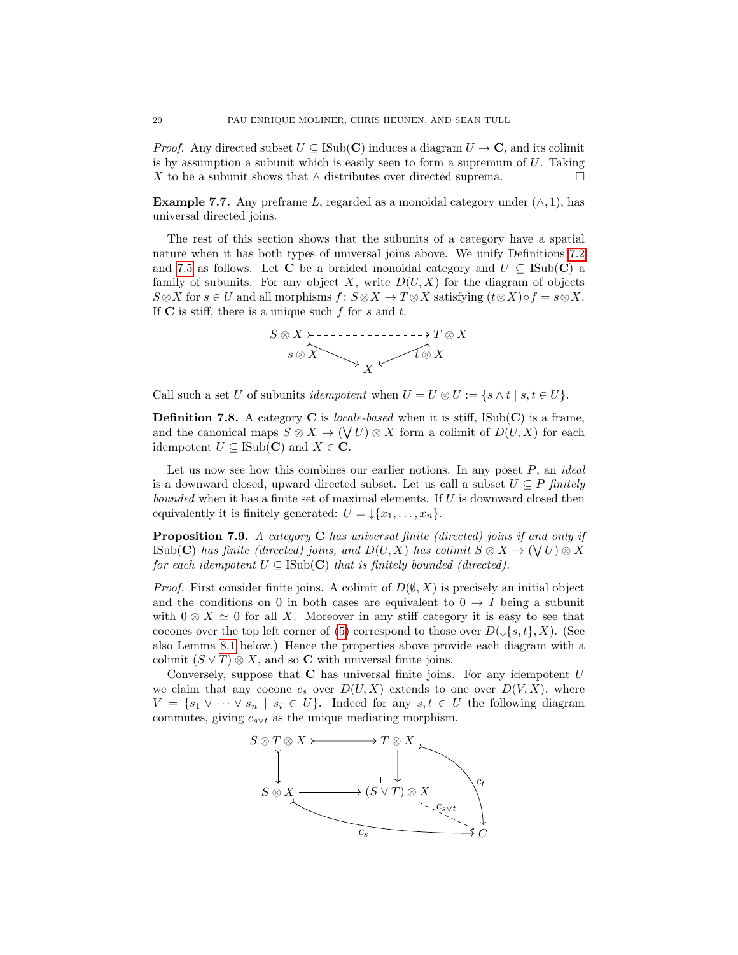*Proof.* Any directed subset  $U \subseteq \text{Isub}(\mathbf{C})$  induces a diagram  $U \to \mathbf{C}$ , and its colimit is by assumption a subunit which is easily seen to form a supremum of  $U$ . Taking X to be a subunit shows that  $\land$  distributes over directed suprema.

**Example 7.7.** Any preframe L, regarded as a monoidal category under  $(\wedge, 1)$ , has universal directed joins.

The rest of this section shows that the subunits of a category have a spatial nature when it has both types of universal joins above. We unify Definitions [7.2](#page-18-1) and [7.5](#page-18-2) as follows. Let C be a braided monoidal category and  $U \subseteq \text{Isub}(\mathbf{C})$  a family of subunits. For any object X, write  $D(U, X)$  for the diagram of objects  $S\otimes X$  for  $s\in U$  and all morphisms  $f: S\otimes X \to T\otimes X$  satisfying  $(t\otimes X)\circ f = s\otimes X$ . If  $C$  is stiff, there is a unique such f for s and t.



Call such a set U of subunits *idempotent* when  $U = U \otimes U := \{s \wedge t \mid s, t \in U\}.$ 

**Definition 7.8.** A category **C** is *locale-based* when it is stiff,  $\text{ISub}(\mathbf{C})$  is a frame, and the canonical maps  $S \otimes X \to (\bigvee U) \otimes X$  form a colimit of  $D(U, X)$  for each idempotent  $U \subseteq \text{ISub}(\mathbf{C})$  and  $X \in \mathbf{C}$ .

Let us now see how this combines our earlier notions. In any poset  $P$ , an *ideal* is a downward closed, upward directed subset. Let us call a subset  $U \subseteq P$  finitely bounded when it has a finite set of maximal elements. If  $U$  is downward closed then equivalently it is finitely generated:  $U = \frac{1}{x_1, \ldots, x_n}$ .

<span id="page-19-0"></span>**Proposition 7.9.** A category  $C$  has universal finite (directed) joins if and only if  $\text{ISub}(\mathbf{C})$  has finite (directed) joins, and  $D(U, X)$  has colimit  $S \otimes X \to (\forall U) \otimes X$ for each idempotent  $U \subseteq \text{ISub}(\mathbf{C})$  that is finitely bounded (directed).

*Proof.* First consider finite joins. A colimit of  $D(\emptyset, X)$  is precisely an initial object and the conditions on 0 in both cases are equivalent to  $0 \rightarrow I$  being a subunit with  $0 \otimes X \simeq 0$  for all X. Moreover in any stiff category it is easy to see that cocones over the top left corner of [\(5\)](#page-18-0) correspond to those over  $D(\downarrow \{s, t\}, X)$ . (See also Lemma [8.1](#page-22-1) below.) Hence the properties above provide each diagram with a colimit  $(S \vee T) \otimes X$ , and so **C** with universal finite joins.

Conversely, suppose that  $C$  has universal finite joins. For any idempotent  $U$ we claim that any cocone  $c_s$  over  $D(U, X)$  extends to one over  $D(V, X)$ , where  $V = \{s_1 \vee \cdots \vee s_n \mid s_i \in U\}.$  Indeed for any  $s, t \in U$  the following diagram commutes, giving  $c_{s\vee t}$  as the unique mediating morphism.

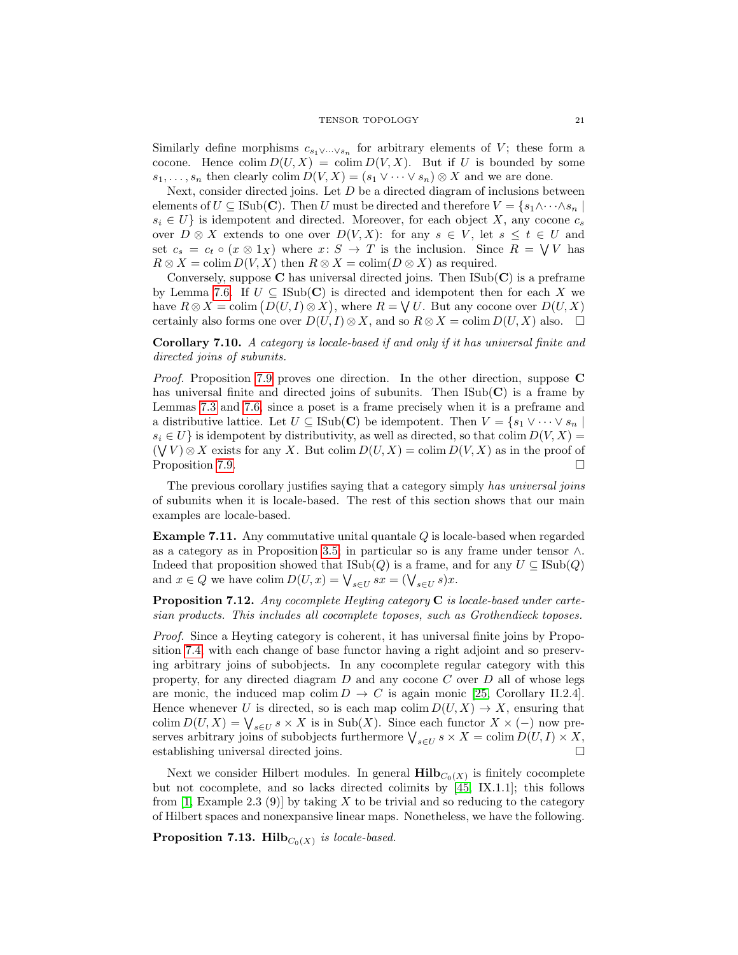Similarly define morphisms  $c_{s_1 \vee \cdots \vee s_n}$  for arbitrary elements of V; these form a cocone. Hence  $\text{colim } D(U, X) = \text{colim } D(V, X)$ . But if U is bounded by some  $s_1, \ldots, s_n$  then clearly colim  $D(V, X) = (s_1 \vee \cdots \vee s_n) \otimes X$  and we are done.

Next, consider directed joins. Let  $D$  be a directed diagram of inclusions between elements of  $U \subseteq \text{Isub}(\mathbf{C})$ . Then U must be directed and therefore  $V = \{s_1 \wedge \cdots \wedge s_n\}$  $s_i \in U$  is idempotent and directed. Moreover, for each object X, any cocone  $c_s$ over  $D \otimes X$  extends to one over  $D(V, X)$ : for any  $s \in V$ , let  $s \leq t \in U$  and set  $c_s = c_t \circ (x \otimes 1_X)$  where  $x: S \to T$  is the inclusion. Since  $R = \bigvee V$  has  $R \otimes X = \text{colim } D(V, X)$  then  $R \otimes X = \text{colim}(D \otimes X)$  as required.

Conversely, suppose  $C$  has universal directed joins. Then  $\text{Isub}(C)$  is a preframe by Lemma [7.6.](#page-18-3) If  $U \subseteq \text{ISub}(\mathbf{C})$  is directed and idempotent then for each X we have  $R \otimes X = \text{colim} (D(U, I) \otimes X)$ , where  $R = \bigvee U$ . But any cocone over  $D(U, X)$ certainly also forms one over  $D(U, I) \otimes X$ , and so  $R \otimes X = \text{colim } D(U, X)$  also.  $\Box$ 

<span id="page-20-0"></span>Corollary 7.10. A category is locale-based if and only if it has universal finite and directed joins of subunits.

Proof. Proposition [7.9](#page-19-0) proves one direction. In the other direction, suppose C has universal finite and directed joins of subunits. Then  $\text{Isub}(\mathbf{C})$  is a frame by Lemmas [7.3](#page-18-4) and [7.6,](#page-18-3) since a poset is a frame precisely when it is a preframe and a distributive lattice. Let  $U \subseteq \text{Isub}(\mathbf{C})$  be idempotent. Then  $V = \{s_1 \vee \cdots \vee s_n \mid s_i \in V\}$  $s_i \in U$  is idempotent by distributivity, as well as directed, so that colim  $D(V, X) =$  $(\bigvee V) \otimes X$  exists for any X. But colim  $D(U, X) = \text{colim } D(V, X)$  as in the proof of Proposition [7.9.](#page-19-0)

The previous corollary justifies saying that a category simply has universal joins of subunits when it is locale-based. The rest of this section shows that our main examples are locale-based.

Example 7.11. Any commutative unital quantale Q is locale-based when regarded as a category as in Proposition [3.5;](#page-5-0) in particular so is any frame under tensor ∧. Indeed that proposition showed that  $\text{Isub}(Q)$  is a frame, and for any  $U \subseteq \text{Isub}(Q)$ and  $x \in Q$  we have colim  $D(U, x) = \bigvee_{s \in U} sx = (\bigvee_{s \in U} s)x$ .

**Proposition 7.12.** Any cocomplete Heyting category  $C$  is locale-based under cartesian products. This includes all cocomplete toposes, such as Grothendieck toposes.

Proof. Since a Heyting category is coherent, it has universal finite joins by Proposition [7.4,](#page-18-5) with each change of base functor having a right adjoint and so preserving arbitrary joins of subobjects. In any cocomplete regular category with this property, for any directed diagram  $D$  and any cocone  $C$  over  $D$  all of whose legs are monic, the induced map colim  $D \to C$  is again monic [\[25,](#page-33-24) Corollary II.2.4]. Hence whenever U is directed, so is each map colim  $D(U, X) \to X$ , ensuring that colim  $D(U, X) = \bigvee_{s \in U} s \times X$  is in Sub(X). Since each functor  $X \times (-)$  now preserves arbitrary joins of subobjects furthermore  $\bigvee_{s\in U} s \times X = \text{colim } D(U, I) \times X$ , establishing universal directed joins.

Next we consider Hilbert modules. In general  $\mathbf{Hilb}_{C_0(X)}$  is finitely cocomplete but not cocomplete, and so lacks directed colimits by [\[45,](#page-34-10) IX.1.1]; this follows from  $[1, \text{Example } 2.3 (9)]$  $[1, \text{Example } 2.3 (9)]$  by taking X to be trivial and so reducing to the category of Hilbert spaces and nonexpansive linear maps. Nonetheless, we have the following.

Proposition 7.13. Hilb $_{C_0(X)}$  is locale-based.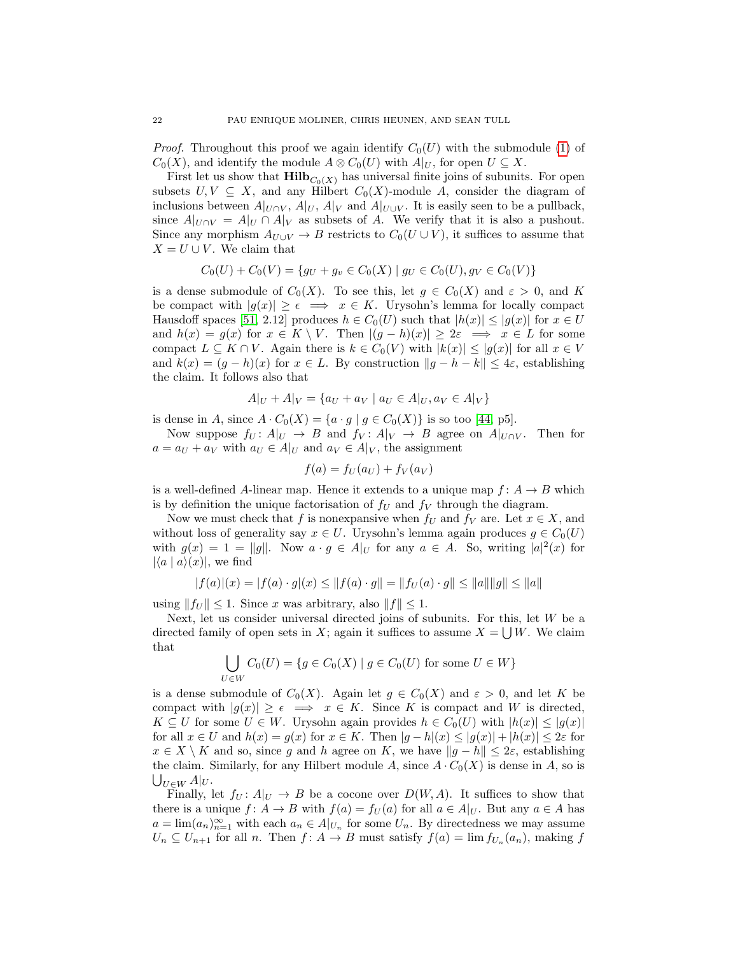*Proof.* Throughout this proof we again identify  $C_0(U)$  with the submodule [\(1\)](#page-8-0) of  $C_0(X)$ , and identify the module  $A \otimes C_0(U)$  with  $A|_U$ , for open  $U \subseteq X$ .

First let us show that  $\text{Hilb}_{C_0(X)}$  has universal finite joins of subunits. For open subsets  $U, V \subseteq X$ , and any Hilbert  $C_0(X)$ -module A, consider the diagram of inclusions between  $A|_{U\cap V}$ ,  $A|_{V}$ ,  $A|_{V}$  and  $A|_{U\cup V}$ . It is easily seen to be a pullback, since  $A|_{U\cap V} = A|_U \cap A|_V$  as subsets of A. We verify that it is also a pushout. Since any morphism  $A_{U\cup V} \to B$  restricts to  $C_0(U \cup V)$ , it suffices to assume that  $X = U \cup V$ . We claim that

$$
C_0(U) + C_0(V) = \{ g_U + g_v \in C_0(X) \mid g_U \in C_0(U), g_V \in C_0(V) \}
$$

is a dense submodule of  $C_0(X)$ . To see this, let  $g \in C_0(X)$  and  $\varepsilon > 0$ , and K be compact with  $|g(x)| \geq \epsilon \implies x \in K$ . Urysohn's lemma for locally compact Hausdoff spaces [\[51,](#page-34-18) 2.12] produces  $h \in C_0(U)$  such that  $|h(x)| \leq |g(x)|$  for  $x \in U$ and  $h(x) = g(x)$  for  $x \in K \setminus V$ . Then  $|(g-h)(x)| \geq 2\varepsilon \implies x \in L$  for some compact  $L \subseteq K \cap V$ . Again there is  $k \in C_0(V)$  with  $|k(x)| \leq |g(x)|$  for all  $x \in V$ and  $k(x) = (g - h)(x)$  for  $x \in L$ . By construction  $||g - h - k|| \leq 4\varepsilon$ , establishing the claim. It follows also that

$$
A|_U + A|_V = \{a_U + a_V \mid a_U \in A|_U, a_V \in A|_V\}
$$

is dense in A, since  $A \cdot C_0(X) = \{a \cdot g \mid g \in C_0(X)\}$  is so too [\[44,](#page-34-16) p5].

Now suppose  $f_U: A|_U \to B$  and  $f_V: A|_V \to B$  agree on  $A|_{U \cap V}$ . Then for  $a = a_U + a_V$  with  $a_U \in A|_U$  and  $a_V \in A|_V$ , the assignment

$$
f(a) = f_U(a_U) + f_V(a_V)
$$

is a well-defined A-linear map. Hence it extends to a unique map  $f: A \rightarrow B$  which is by definition the unique factorisation of  $f_U$  and  $f_V$  through the diagram.

Now we must check that f is nonexpansive when  $f_U$  and  $f_V$  are. Let  $x \in X$ , and without loss of generality say  $x \in U$ . Urysohn's lemma again produces  $g \in C_0(U)$ with  $g(x) = 1 = ||g||$ . Now  $a \cdot g \in A|_U$  for any  $a \in A$ . So, writing  $|a|^2(x)$  for  $|\langle a | a \rangle(x)|$ , we find

$$
|f(a)|(x) = |f(a) \cdot g|(x) \le ||f(a) \cdot g|| = ||f_U(a) \cdot g|| \le ||a|| ||g|| \le ||a||
$$

using  $||f_U|| \leq 1$ . Since x was arbitrary, also  $||f|| \leq 1$ .

Next, let us consider universal directed joins of subunits. For this, let  $W$  be a directed family of open sets in X; again it suffices to assume  $X = \bigcup W$ . We claim that

$$
\bigcup_{U \in W} C_0(U) = \{ g \in C_0(X) \mid g \in C_0(U) \text{ for some } U \in W \}
$$

is a dense submodule of  $C_0(X)$ . Again let  $g \in C_0(X)$  and  $\varepsilon > 0$ , and let K be compact with  $|g(x)| \geq \epsilon \implies x \in K$ . Since K is compact and W is directed,  $K \subseteq U$  for some  $U \in W$ . Urysohn again provides  $h \in C_0(U)$  with  $|h(x)| \leq |g(x)|$ for all  $x \in U$  and  $h(x) = g(x)$  for  $x \in K$ . Then  $|g - h|(x) \leq |g(x)| + |h(x)| \leq 2\varepsilon$  for  $x \in X \setminus K$  and so, since g and h agree on K, we have  $||g - h|| \leq 2\varepsilon$ , establishing the claim. Similarly, for any Hilbert module A, since  $A \cdot C_0(X)$  is dense in A, so is  $\bigcup_{U\in W} A|_U.$ 

Finally, let  $f_U: A|_U \to B$  be a cocone over  $D(W, A)$ . It suffices to show that there is a unique  $f: A \to B$  with  $f(a) = f_U(a)$  for all  $a \in A|_U$ . But any  $a \in A$  has  $a = \lim_{n \to \infty} (a_n)_{n=1}^{\infty}$  with each  $a_n \in A|_{U_n}$  for some  $U_n$ . By directedness we may assume  $U_n \subseteq U_{n+1}$  for all n. Then  $f: A \to B$  must satisfy  $f(a) = \lim f_{U_n}(a_n)$ , making f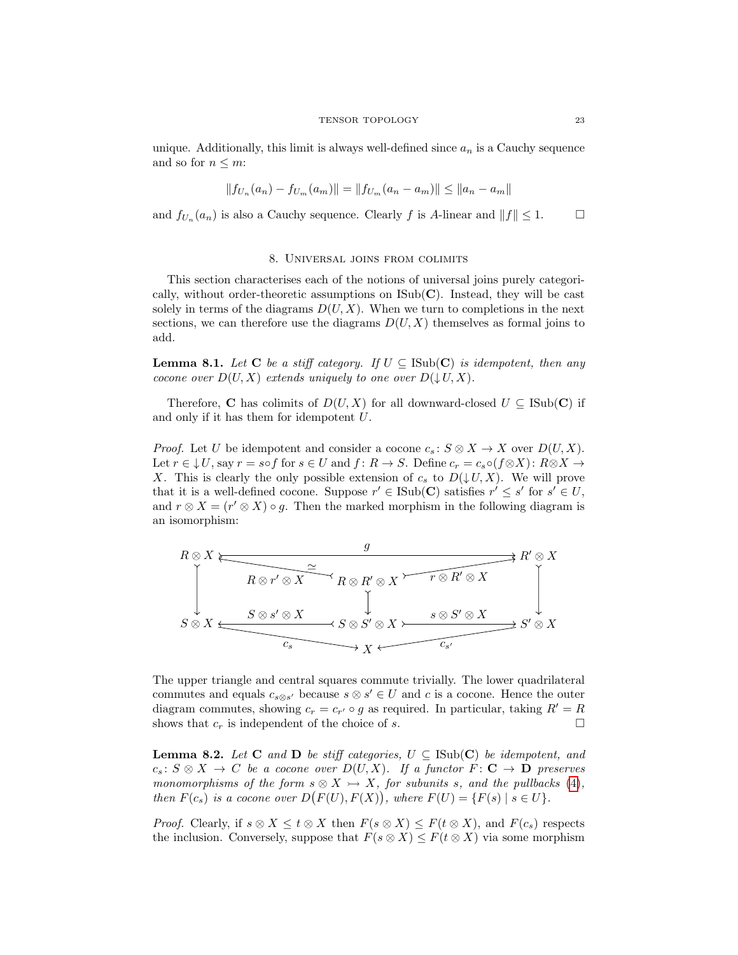unique. Additionally, this limit is always well-defined since  $a_n$  is a Cauchy sequence and so for  $n \leq m$ :

$$
||f_{U_n}(a_n) - f_{U_m}(a_m)|| = ||f_{U_m}(a_n - a_m)|| \le ||a_n - a_m||
$$

and  $f_{U_n}(a_n)$  is also a Cauchy sequence. Clearly f is A-linear and  $||f|| \leq 1$ .

### 8. Universal joins from colimits

<span id="page-22-0"></span>This section characterises each of the notions of universal joins purely categorically, without order-theoretic assumptions on  $\text{Isub}(\mathbf{C})$ . Instead, they will be cast solely in terms of the diagrams  $D(U, X)$ . When we turn to completions in the next sections, we can therefore use the diagrams  $D(U, X)$  themselves as formal joins to add.

<span id="page-22-1"></span>**Lemma 8.1.** Let C be a stiff category. If  $U \subseteq \text{Isub}(\mathbf{C})$  is idempotent, then any cocone over  $D(U, X)$  extends uniquely to one over  $D(\downarrow U, X)$ .

Therefore, C has colimits of  $D(U, X)$  for all downward-closed  $U \subseteq \text{ISub}(\mathbb{C})$  if and only if it has them for idempotent U.

*Proof.* Let U be idempotent and consider a cocone  $c_s : S \otimes X \to X$  over  $D(U, X)$ . Let  $r \in \downarrow U$ , say  $r = s \circ f$  for  $s \in U$  and  $f: R \to S$ . Define  $c_r = c_s \circ (f \otimes X) : R \otimes X \to$ X. This is clearly the only possible extension of  $c_s$  to  $D(\downarrow U, X)$ . We will prove that it is a well-defined cocone. Suppose  $r' \in \text{Isub}(\mathbf{C})$  satisfies  $r' \leq s'$  for  $s' \in U$ , and  $r \otimes X = (r' \otimes X) \circ g$ . Then the marked morphism in the following diagram is an isomorphism:



The upper triangle and central squares commute trivially. The lower quadrilateral commutes and equals  $c_{s\otimes s'}$  because  $s\otimes s' \in U$  and c is a cocone. Hence the outer diagram commutes, showing  $c_r = c_{r'} \circ g$  as required. In particular, taking  $R' = R$ shows that  $c_r$  is independent of the choice of s.

<span id="page-22-2"></span>**Lemma 8.2.** Let **C** and **D** be stiff categories,  $U \subseteq \text{Sub}(\mathbf{C})$  be idempotent, and  $c_s: S \otimes X \to C$  be a cocone over  $D(U, X)$ . If a functor  $F: \mathbf{C} \to \mathbf{D}$  preserves monomorphisms of the form  $s \otimes X \rightarrow X$ , for subunits s, and the pullbacks [\(4\)](#page-17-1), then  $F(c_s)$  is a cocone over  $D(F(U), F(X))$ , where  $F(U) = {F(s) | s \in U}.$ 

*Proof.* Clearly, if  $s \otimes X \leq t \otimes X$  then  $F(s \otimes X) \leq F(t \otimes X)$ , and  $F(c_s)$  respects the inclusion. Conversely, suppose that  $F(s \otimes X) \leq F(t \otimes X)$  via some morphism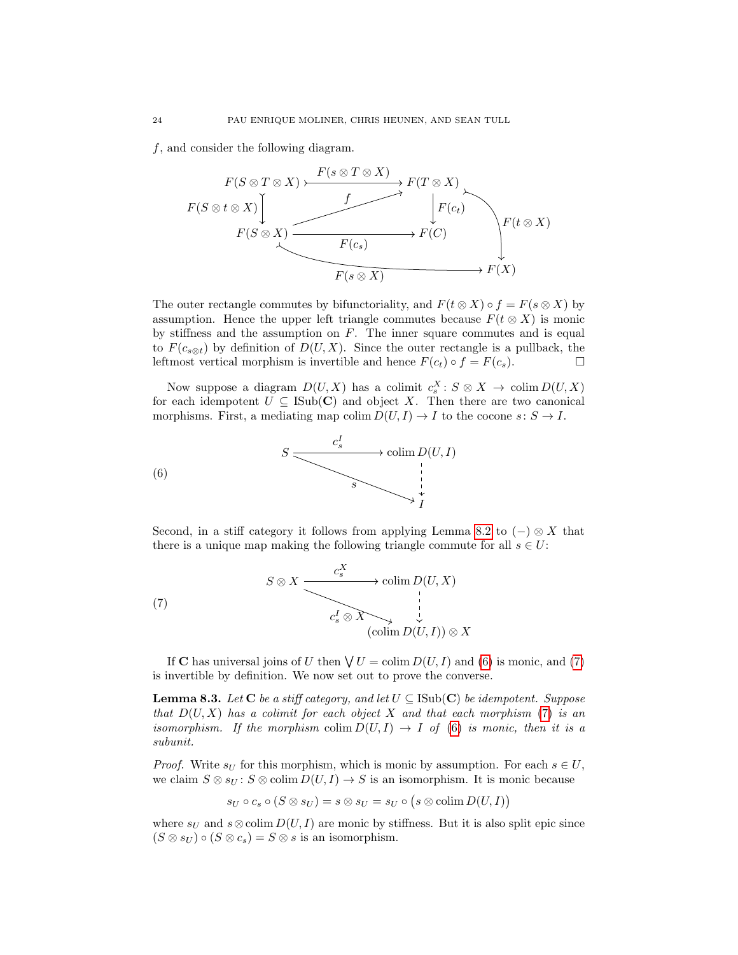f, and consider the following diagram.



The outer rectangle commutes by bifunctoriality, and  $F(t \otimes X) \circ f = F(s \otimes X)$  by assumption. Hence the upper left triangle commutes because  $F(t \otimes X)$  is monic by stiffness and the assumption on  $F$ . The inner square commutes and is equal to  $F(c_{s\otimes t})$  by definition of  $D(U, X)$ . Since the outer rectangle is a pullback, the leftmost vertical morphism is invertible and hence  $F(c_t) \circ f = F(c_s)$ .

Now suppose a diagram  $D(U, X)$  has a colimit  $c_s^X : S \otimes X \to \text{colim } D(U, X)$ for each idempotent  $U \subseteq \text{Isub}(\mathbf{C})$  and object X. Then there are two canonical morphisms. First, a mediating map colim  $D(U, I) \to I$  to the cocone  $s: S \to I$ .



<span id="page-23-0"></span>Second, in a stiff category it follows from applying Lemma [8.2](#page-22-2) to  $(-) \otimes X$  that there is a unique map making the following triangle commute for all  $s \in U$ :

<span id="page-23-1"></span>(7) 
$$
S \otimes X \xrightarrow{c_s^X} \text{colim } D(U, X)
$$

$$
c_s^I \otimes X \xrightarrow{\phantom{A} \downarrow \phantom{A}} \downarrow
$$

$$
(\text{colim } D(U, I)) \otimes X
$$

If **C** has universal joins of U then  $\bigvee U = \text{colim } D(U, I)$  and [\(6\)](#page-23-0) is monic, and [\(7\)](#page-23-1) is invertible by definition. We now set out to prove the converse.

<span id="page-23-2"></span>**Lemma 8.3.** Let C be a stiff category, and let  $U \subseteq \text{ISub}(\mathbf{C})$  be idempotent. Suppose that  $D(U, X)$  has a colimit for each object X and that each morphism [\(7\)](#page-23-1) is an isomorphism. If the morphism colim  $D(U, I) \to I$  of [\(6\)](#page-23-0) is monic, then it is a subunit.

*Proof.* Write  $s_U$  for this morphism, which is monic by assumption. For each  $s \in U$ , we claim  $S \otimes s_U : S \otimes \text{colim } D(U, I) \to S$  is an isomorphism. It is monic because

$$
s_U \circ c_s \circ (S \otimes s_U) = s \otimes s_U = s_U \circ (s \otimes \text{colim } D(U, I))
$$

where  $s_U$  and  $s \otimes \text{colim } D(U, I)$  are monic by stiffness. But it is also split epic since  $(S \otimes s_U) \circ (S \otimes c_s) = S \otimes s$  is an isomorphism.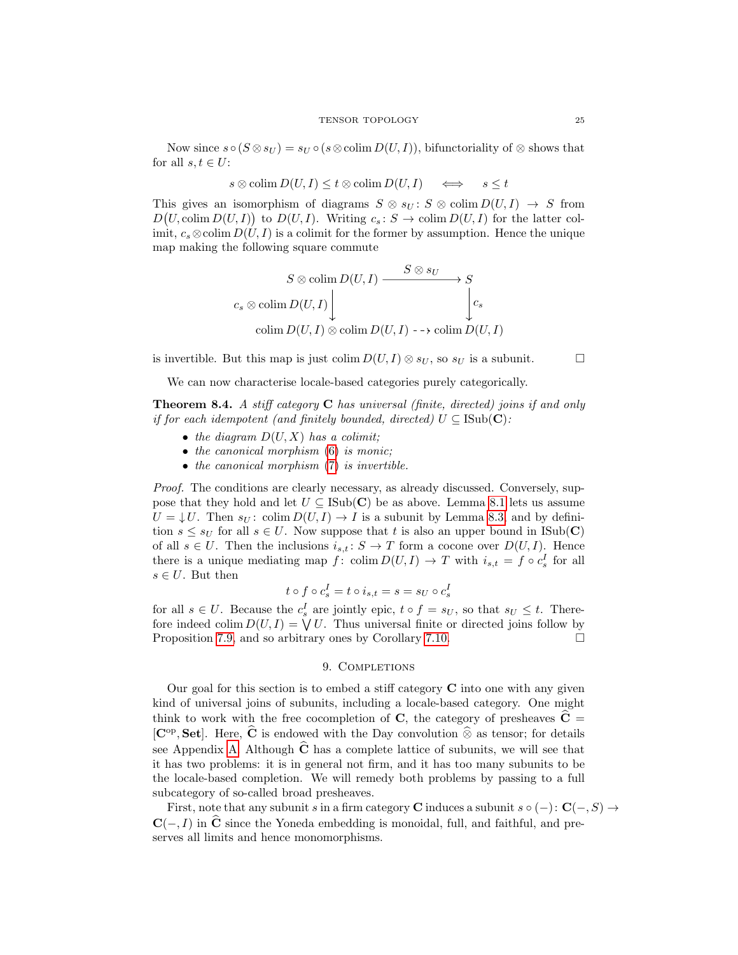Now since  $s \circ (S \otimes s_U) = s_U \circ (s \otimes \text{colim } D(U, I))$ , bifunctoriality of  $\otimes$  shows that for all  $s, t \in U$ :

$$
s \otimes \text{colim } D(U, I) \le t \otimes \text{colim } D(U, I) \quad \iff \quad s \le t
$$

This gives an isomorphism of diagrams  $S \otimes s_U : S \otimes \text{colim } D(U, I) \to S$  from  $D(U, \text{colim } D(U, I))$  to  $D(U, I)$ . Writing  $c_s \colon S \to \text{colim } D(U, I)$  for the latter colimit,  $c_s \otimes \text{colim } D(U, I)$  is a colimit for the former by assumption. Hence the unique map making the following square commute

$$
S \otimes \text{colim } D(U, I) \xrightarrow{\qquad \qquad S \otimes s_U} S
$$

$$
c_s \otimes \text{colim } D(U, I) \downarrow \qquad \qquad c_s
$$

$$
\text{colim } D(U, I) \otimes \text{colim } D(U, I) \dashrightarrow \text{colim } D(U, I)
$$

is invertible. But this map is just colim  $D(U, I) \otimes s_U$ , so  $s_U$  is a subunit.

We can now characterise locale-based categories purely categorically.

<span id="page-24-1"></span>**Theorem 8.4.** A stiff category  $C$  has universal (finite, directed) joins if and only if for each idempotent (and finitely bounded, directed)  $U \subseteq \text{ISub}(\mathbf{C})$ :

- the diagram  $D(U, X)$  has a colimit;
- $\bullet$  the canonical morphism  $(6)$  is monic;
- the canonical morphism  $(7)$  is invertible.

Proof. The conditions are clearly necessary, as already discussed. Conversely, suppose that they hold and let  $U \subseteq \text{Isub}(\mathbb{C})$  be as above. Lemma [8.1](#page-22-1) lets us assume  $U = \downarrow U$ . Then  $s_U$ : colim  $D(U, I) \rightarrow I$  is a subunit by Lemma [8.3,](#page-23-2) and by definition  $s \leq s_U$  for all  $s \in U$ . Now suppose that t is also an upper bound in ISub(C) of all  $s \in U$ . Then the inclusions  $i_{s,t}: S \to T$  form a cocone over  $D(U, I)$ . Hence there is a unique mediating map f: colim  $D(U, I) \to T$  with  $i_{s,t} = f \circ c_s^I$  for all  $s \in U$ . But then

$$
t \circ f \circ c_s^I = t \circ i_{s,t} = s = s_U \circ c_s^I
$$

for all  $s \in U$ . Because the  $c_s^I$  are jointly epic,  $t \circ f = s_U$ , so that  $s_U \leq t$ . Therefore indeed colim  $D(U, I) = \bigvee U$ . Thus universal finite or directed joins follow by Proposition [7.9,](#page-19-0) and so arbitrary ones by Corollary [7.10.](#page-20-0)

### 9. COMPLETIONS

<span id="page-24-0"></span>Our goal for this section is to embed a stiff category  $C$  into one with any given kind of universal joins of subunits, including a locale-based category. One might think to work with the free cocompletion of C, the category of presheaves  $\tilde{C}$  =  $[\mathbf{C}^{\mathrm{op}}, \mathbf{Set}]$ . Here,  $\hat{\mathbf{C}}$  is endowed with the Day convolution  $\hat{\otimes}$  as tensor; for details see Appendix [A.](#page-34-6) Although  $\hat{C}$  has a complete lattice of subunits, we will see that it has two problems: it is in general not firm, and it has too many subunits to be the locale-based completion. We will remedy both problems by passing to a full subcategory of so-called broad presheaves.

First, note that any subunit s in a firm category C induces a subunit s  $\circ$  (-): C(-, S)  $\rightarrow$  $C(-, I)$  in  $\hat{C}$  since the Yoneda embedding is monoidal, full, and faithful, and preserves all limits and hence monomorphisms.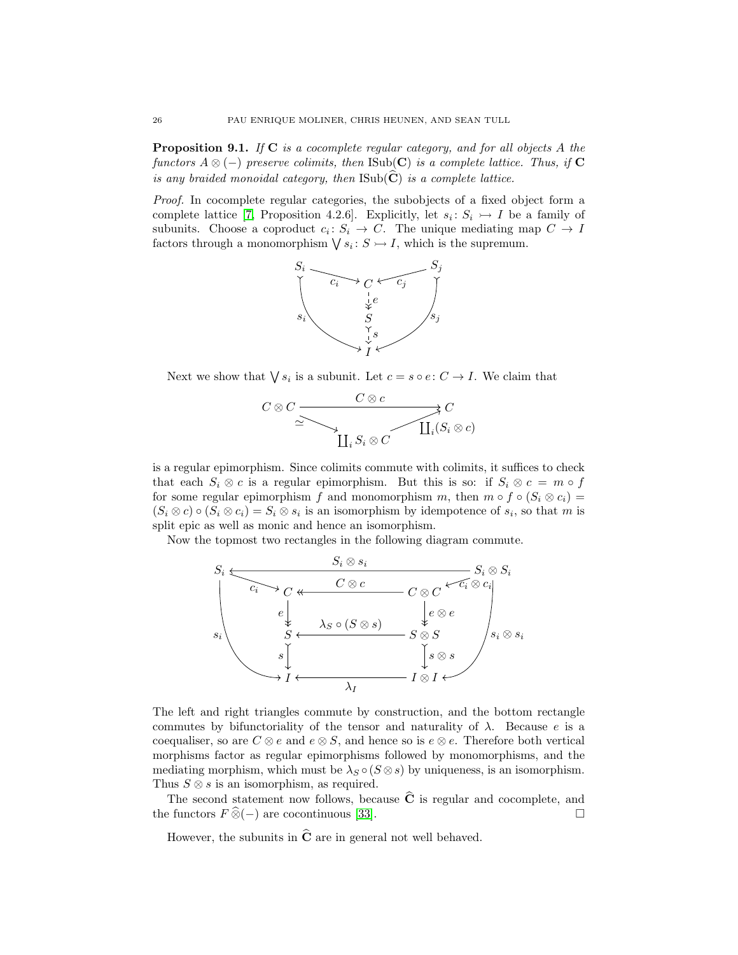<span id="page-25-0"></span>**Proposition 9.1.** If  $C$  is a cocomplete regular category, and for all objects A the functors  $A \otimes (-)$  preserve colimits, then ISub(C) is a complete lattice. Thus, if C is any braided monoidal category, then  $\text{Isub}(\mathbf{C})$  is a complete lattice.

Proof. In cocomplete regular categories, the subobjects of a fixed object form a complete lattice [\[7,](#page-33-25) Proposition 4.2.6]. Explicitly, let  $s_i: S_i \rightarrow I$  be a family of subunits. Choose a coproduct  $c_i: S_i \to C$ . The unique mediating map  $C \to I$ factors through a monomorphism  $\bigvee s_i: S \rightarrow I$ , which is the supremum.



Next we show that  $\bigvee s_i$  is a subunit. Let  $c = s \circ e : C \to I$ . We claim that



is a regular epimorphism. Since colimits commute with colimits, it suffices to check that each  $S_i \otimes c$  is a regular epimorphism. But this is so: if  $S_i \otimes c = m \circ f$ for some regular epimorphism f and monomorphism m, then  $m \circ f \circ (S_i \otimes c_i) =$  $(S_i \otimes c) \circ (S_i \otimes c_i) = S_i \otimes s_i$  is an isomorphism by idempotence of  $s_i$ , so that m is split epic as well as monic and hence an isomorphism.

Now the topmost two rectangles in the following diagram commute.



The left and right triangles commute by construction, and the bottom rectangle commutes by bifunctoriality of the tensor and naturality of  $\lambda$ . Because e is a coequaliser, so are  $C \otimes e$  and  $e \otimes S$ , and hence so is  $e \otimes e$ . Therefore both vertical morphisms factor as regular epimorphisms followed by monomorphisms, and the mediating morphism, which must be  $\lambda_S \circ (S \otimes s)$  by uniqueness, is an isomorphism. Thus  $S \otimes s$  is an isomorphism, as required.

The second statement now follows, because  $\widehat{C}$  is regular and cocomplete, and  $\widehat{P}$  functors  $F \widehat{\otimes} (-)$  are cocontinuous [33]. the functors  $F \widehat{\otimes} (-)$  are cocontinuous [\[33\]](#page-33-26).

However, the subunits in  $\hat{C}$  are in general not well behaved.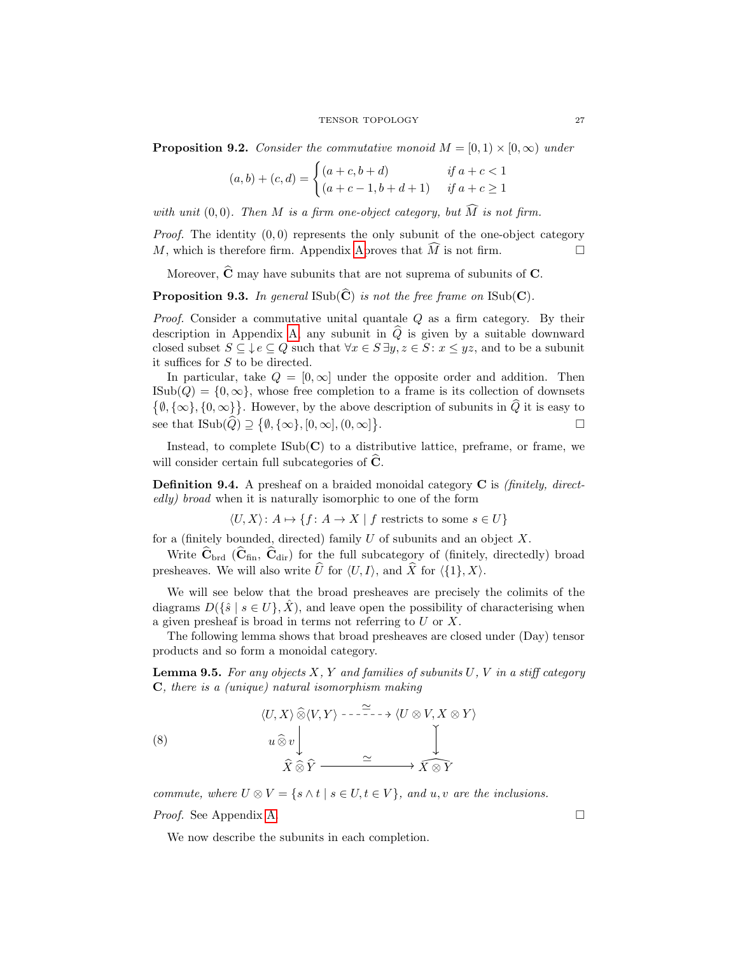<span id="page-26-0"></span>**Proposition 9.2.** Consider the commutative monoid  $M = [0, 1) \times [0, \infty)$  under

$$
(a,b) + (c,d) = \begin{cases} (a+c, b+d) & \text{if } a+c < 1\\ (a+c-1, b+d+1) & \text{if } a+c \ge 1 \end{cases}
$$

with unit (0,0). Then M is a firm one-object category, but  $\widehat{M}$  is not firm.

*Proof.* The identity  $(0,0)$  represents the only subunit of the one-object category M, which is therefore firm. [Ap](#page-34-6)pendix Aproves that M is not firm.

Moreover,  $\hat{\mathbf{C}}$  may have subunits that are not suprema of subunits of C.

**Proposition 9.3.** In general  $\text{Isub}(\tilde{\mathbf{C}})$  is not the free frame on  $\text{Isub}(\mathbf{C})$ .

*Proof.* Consider a commutative unital quantale  $Q$  as a firm category. By their description in Appendix [A,](#page-34-6) any subunit in  $\hat{Q}$  is given by a suitable downward closed subset  $S \subseteq \bigcup e \subseteq Q$  such that  $\forall x \in S \exists y, z \in S : x \leq yz$ , and to be a subunit it suffices for S to be directed.

In particular, take  $Q = [0, \infty]$  under the opposite order and addition. Then  $\text{ISub}(Q) = \{0, \infty\},\$  whose free completion to a frame is its collection of downsets  $\{\emptyset, \{\infty\}, \{0, \infty\}\}\.$  However, by the above description of subunits in  $\hat{Q}$  it is easy to see that  $\text{ISub}(\hat{Q}) \supseteq {\emptyset, {\{\infty\}, [0, \infty], (0, \infty]}}$ .

Instead, to complete  $\text{Isub}(\mathbf{C})$  to a distributive lattice, preframe, or frame, we will consider certain full subcategories of  $C$ .

<span id="page-26-3"></span>**Definition 9.4.** A presheaf on a braided monoidal category  $C$  is *(finitely, direct*edly) broad when it is naturally isomorphic to one of the form

 $\langle U, X \rangle: A \mapsto \{f: A \to X \mid f \text{ restricts to some } s \in U\}$ 

for a (finitely bounded, directed) family  $U$  of subunits and an object  $X$ .

Write  $\hat{\mathbf{C}}_{\text{brd}}$  ( $\hat{\mathbf{C}}_{\text{fin}}$ ,  $\hat{\mathbf{C}}_{\text{dir}}$ ) for the full subcategory of (finitely, directedly) broad presheaves. We will also write  $\hat{U}$  for  $\langle U, I \rangle$ , and  $\hat{X}$  for  $\langle \{1\}, X \rangle$ .

We will see below that the broad presheaves are precisely the colimits of the diagrams  $D(\{\hat{s} \mid s \in U\}, X)$ , and leave open the possibility of characterising when a given presheaf is broad in terms not referring to U or X.

The following lemma shows that broad presheaves are closed under (Day) tensor products and so form a monoidal category.

<span id="page-26-2"></span>**Lemma 9.5.** For any objects  $X$ ,  $Y$  and families of subunits  $U$ ,  $V$  in a stiff category C, there is a (unique) natural isomorphism making

<span id="page-26-1"></span>(8) 
$$
\langle U, X \rangle \widehat{\otimes} \langle V, Y \rangle \cdots \stackrel{\sim}{\longrightarrow} \langle U \otimes V, X \otimes Y \rangle
$$

$$
u \widehat{\otimes} v \downarrow \qquad \qquad \downarrow
$$

$$
\widehat{X} \widehat{\otimes} \widehat{Y} \longrightarrow \widehat{X \otimes Y}
$$

commute, where  $U \otimes V = \{s \wedge t \mid s \in U, t \in V\}$ , and  $u, v$  are the inclusions.

*Proof.* See Appendix [A.](#page-34-6) □

We now describe the subunits in each completion.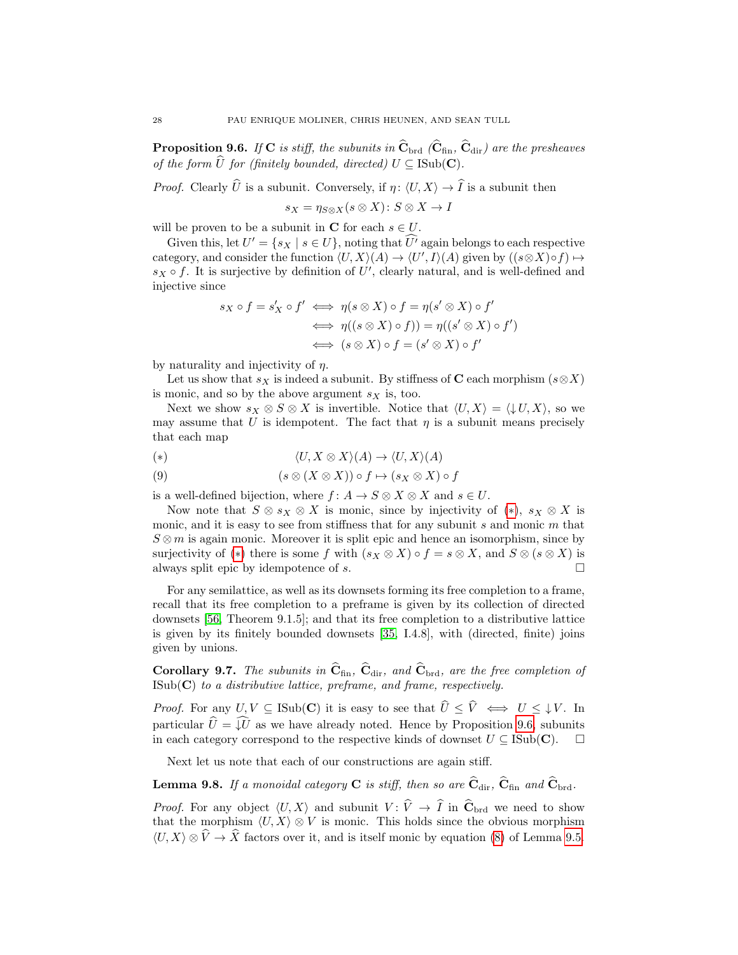<span id="page-27-1"></span>**Proposition 9.6.** If C is stiff, the subunits in  $\hat{\mathbf{C}}_{\text{brd}}$  ( $\hat{\mathbf{C}}_{\text{fin}}$ ,  $\hat{\mathbf{C}}_{\text{dir}}$ ) are the presheaves of the form  $\widehat{U}$  for (finitely bounded, directed)  $U \subseteq \text{Isub}(\mathbf{C})$ .

*Proof.* Clearly  $\widehat{U}$  is a subunit. Conversely, if  $\eta : \langle U, X \rangle \to \widehat{I}$  is a subunit then

 $s_X = \eta_{S \otimes X}(s \otimes X): S \otimes X \to I$ 

will be proven to be a subunit in **C** for each  $s \in U$ .

Given this, let  $U' = \{s_X \mid s \in U\}$ , noting that  $\widehat{U'}$  again belongs to each respective category, and consider the function  $\langle U, X \rangle (A) \to \langle U', I \rangle (A)$  given by  $((s \otimes X) \circ f) \mapsto$  $s_X \circ f$ . It is surjective by definition of U', clearly natural, and is well-defined and injective since

$$
s_X \circ f = s'_X \circ f' \iff \eta(s \otimes X) \circ f = \eta(s' \otimes X) \circ f'
$$
  

$$
\iff \eta((s \otimes X) \circ f)) = \eta((s' \otimes X) \circ f')
$$
  

$$
\iff (s \otimes X) \circ f = (s' \otimes X) \circ f'
$$

by naturality and injectivity of  $\eta$ .

Let us show that  $s_X$  is indeed a subunit. By stiffness of C each morphism  $(s \otimes X)$ is monic, and so by the above argument  $s_X$  is, too.

Next we show  $s_X \otimes S \otimes X$  is invertible. Notice that  $\langle U, X \rangle = \langle \downarrow U, X \rangle$ , so we may assume that U is idempotent. The fact that  $\eta$  is a subunit means precisely that each map

<span id="page-27-0"></span>(\*) 
$$
\langle U, X \otimes X \rangle (A) \to \langle U, X \rangle (A)
$$

(9) 
$$
(s \otimes (X \otimes X)) \circ f \mapsto (s_X \otimes X) \circ f
$$

is a well-defined bijection, where  $f: A \to S \otimes X \otimes X$  and  $s \in U$ .

Now note that  $S \otimes s_X \otimes X$  is monic, since by injectivity of  $(*), s_X \otimes X$  is monic, and it is easy to see from stiffness that for any subunit  $s$  and monic  $m$  that  $S \otimes m$  is again monic. Moreover it is split epic and hence an isomorphism, since by surjectivity of (\*) there is some f with  $(s_X \otimes X) \circ f = s \otimes X$ , and  $S \otimes (s \otimes X)$  is always split epic by idempotence of s.  $\Box$ 

For any semilattice, as well as its downsets forming its free completion to a frame, recall that its free completion to a preframe is given by its collection of directed downsets [\[56,](#page-34-19) Theorem 9.1.5]; and that its free completion to a distributive lattice is given by its finitely bounded downsets [\[35,](#page-33-0) I.4.8], with (directed, finite) joins given by unions.

**Corollary 9.7.** The subunits in  $\hat{\mathbf{C}}_{fin}$ ,  $\hat{\mathbf{C}}_{dir}$ , and  $\hat{\mathbf{C}}_{brd}$ , are the free completion of  $\text{ISub}(\mathbf{C})$  to a distributive lattice, preframe, and frame, respectively.

*Proof.* For any  $U, V \subseteq \text{ISub}(\mathbf{C})$  it is easy to see that  $\widehat{U} \leq \widehat{V} \iff U \leq \downarrow V$ . In particular  $\hat{U} = \hat{U}$  as we have already noted. Hence by Proposition [9.6,](#page-27-1) subunits in each category correspond to the respective kinds of downset  $U \subseteq \text{Isub}(\mathbf{C})$ .  $\Box$ 

Next let us note that each of our constructions are again stiff.

<span id="page-27-2"></span>**Lemma 9.8.** If a monoidal category C is stiff, then so are  $\hat{\mathbf{C}}_{dir}$ ,  $\hat{\mathbf{C}}_{fin}$  and  $\hat{\mathbf{C}}_{brd}$ .

*Proof.* For any object  $\langle U, X \rangle$  and subunit  $V : \widehat{V} \to \widehat{I}$  in  $\widehat{C}_{\text{brd}}$  we need to show that the morphism  $\langle U, X \rangle \otimes V$  is monic. This holds since the obvious morphism  $\langle U, X \rangle \otimes \widehat{V} \to \widehat{X}$  factors over it, and is itself monic by equation [\(8\)](#page-26-1) of Lemma [9.5.](#page-26-2)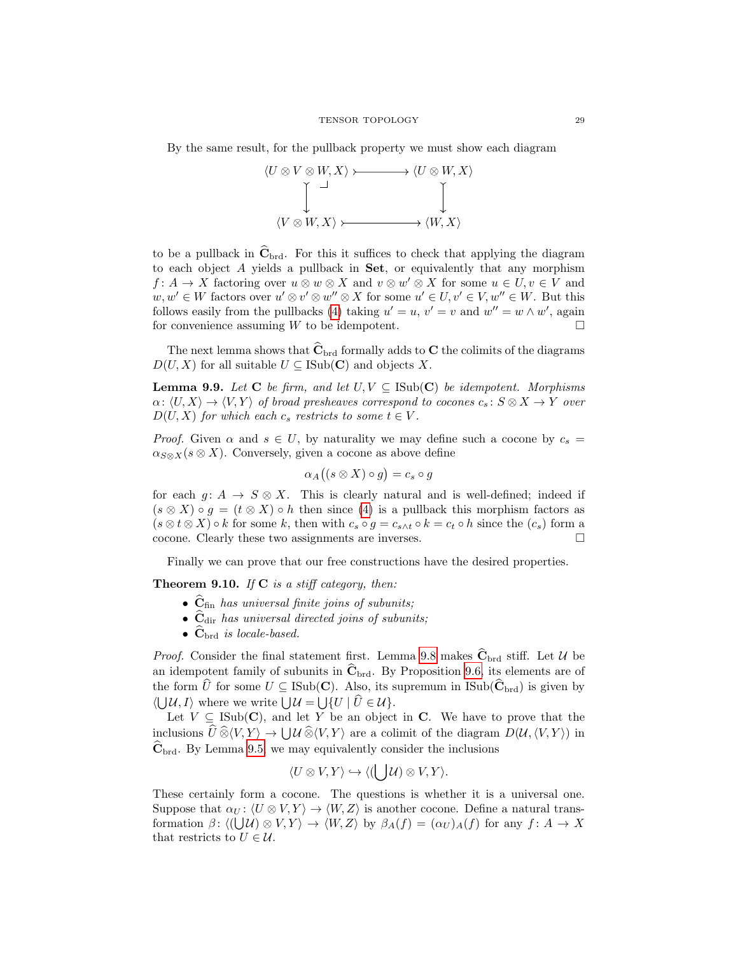By the same result, for the pullback property we must show each diagram



to be a pullback in  $\hat{\mathbf{C}}_{\text{brd}}$ . For this it suffices to check that applying the diagram to each object  $A$  yields a pullback in Set, or equivalently that any morphism  $f: A \to X$  factoring over  $u \otimes w \otimes X$  and  $v \otimes w' \otimes X$  for some  $u \in U, v \in V$  and  $w, w' \in W$  factors over  $u' \otimes v' \otimes w'' \otimes X$  for some  $u' \in U, v' \in V, w'' \in W$ . But this follows easily from the pullbacks [\(4\)](#page-17-1) taking  $u' = u$ ,  $v' = v$  and  $w'' = w \wedge w'$ , again for convenience assuming  $W$  to be idempotent.

The next lemma shows that  $\hat{\mathbf{C}}_{\text{brd}}$  formally adds to C the colimits of the diagrams  $D(U, X)$  for all suitable  $U \subseteq \text{Isub}(\mathbf{C})$  and objects X.

<span id="page-28-0"></span>**Lemma 9.9.** Let C be firm, and let  $U, V \subseteq \text{Isub}(\mathbf{C})$  be idempotent. Morphisms  $\alpha: \langle U, X \rangle \to \langle V, Y \rangle$  of broad presheaves correspond to cocones  $c_s : S \otimes X \to Y$  over  $D(U, X)$  for which each  $c_s$  restricts to some  $t \in V$ .

*Proof.* Given  $\alpha$  and  $s \in U$ , by naturality we may define such a cocone by  $c_s =$  $\alpha_{S\otimes X}(s\otimes X)$ . Conversely, given a cocone as above define

$$
\alpha_A((s\otimes X)\circ g)=c_s\circ g
$$

for each  $g: A \to S \otimes X$ . This is clearly natural and is well-defined; indeed if  $(s \otimes X) \circ g = (t \otimes X) \circ h$  then since [\(4\)](#page-17-1) is a pullback this morphism factors as  $(s \otimes t \otimes X) \circ k$  for some k, then with  $c_s \circ g = c_{s \wedge t} \circ k = c_t \circ h$  since the  $(c_s)$  form a cocone. Clearly these two assignments are inverses.

Finally we can prove that our free constructions have the desired properties.

**Theorem 9.10.** If  $C$  is a stiff category, then:

- $\hat{\mathbf{C}}_{\text{fin}}$  has universal finite joins of subunits;
- $\hat{\mathbf{C}}_{\text{dir}}$  has universal directed joins of subunits;
- $\mathbf{C}_{\text{brd}}$  is locale-based.

*Proof.* Consider the final statement first. Lemma [9.8](#page-27-2) makes  $\hat{\mathbf{C}}_{\text{brd}}$  stiff. Let U be an idempotent family of subunits in  $\hat{\mathbf{C}}_{\text{brd}}$ . By Proposition [9.6,](#page-27-1) its elements are of the form  $\hat{U}$  for some  $U \subseteq \text{Isub}(\mathbf{C})$ . Also, its supremum in ISub $(\widehat{\mathbf{C}}_{\text{brd}})$  is given by  $\langle \bigcup \mathcal{U}, I \rangle$  where we write  $\bigcup \mathcal{U} = \bigcup \{ U \mid U \in \mathcal{U} \}.$ 

Let  $V \subseteq \text{Isub}(\mathbf{C})$ , and let Y be an object in C. We have to prove that the inclusions  $U \widehat{\otimes} \langle V, Y \rangle \to \bigcup \mathcal{U} \widehat{\otimes} \langle V, Y \rangle$  are a colimit of the diagram  $D(\mathcal{U}, \langle V, Y \rangle)$  in  $\mathbf{C}_{\text{brd}}$ . By Lemma [9.5,](#page-26-2) we may equivalently consider the inclusions

$$
\langle U \otimes V, Y \rangle \hookrightarrow \langle (\bigcup \mathcal{U}) \otimes V, Y \rangle.
$$

These certainly form a cocone. The questions is whether it is a universal one. Suppose that  $\alpha_U : \langle U \otimes V, Y \rangle \to \langle W, Z \rangle$  is another cocone. Define a natural transformation  $\beta$ :  $\langle (\bigcup \mathcal{U}) \otimes V, Y \rangle \to \langle W, Z \rangle$  by  $\beta_A(f) = (\alpha_U)_A(f)$  for any  $f: A \to X$ that restricts to  $U \in \mathcal{U}$ .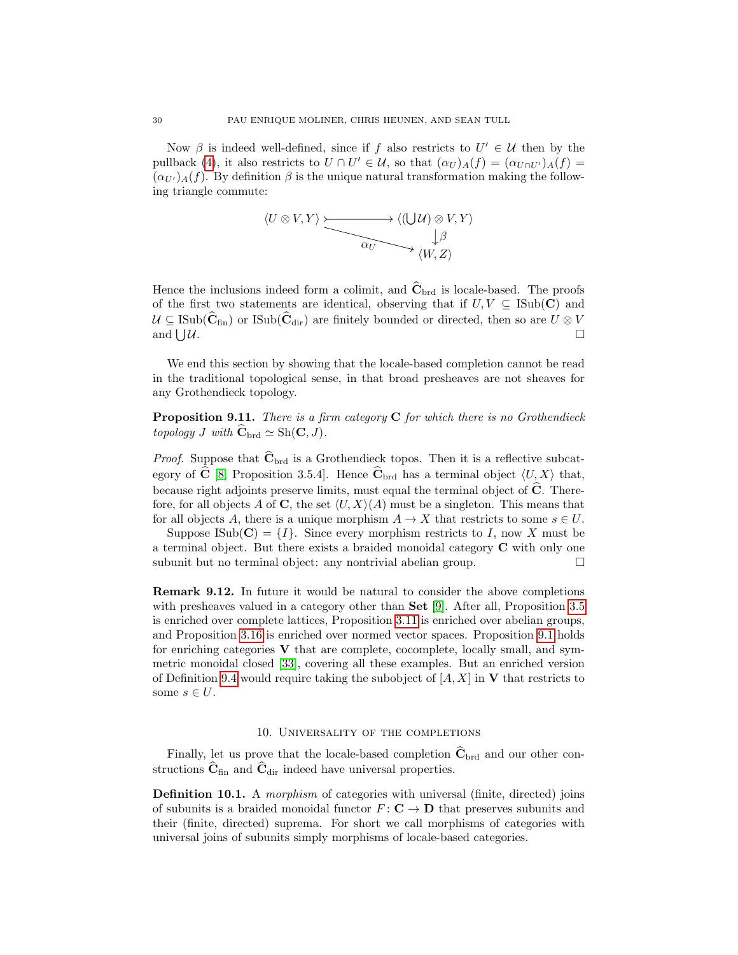Now  $\beta$  is indeed well-defined, since if f also restricts to  $U' \in \mathcal{U}$  then by the pullback [\(4\)](#page-17-1), it also restricts to  $U \cap U' \in \mathcal{U}$ , so that  $(\alpha_U)_A(f) = (\alpha_{U \cap U'})_A(f) =$  $(\alpha_{U'})_A(f)$ . By definition  $\beta$  is the unique natural transformation making the following triangle commute:

$$
\langle U \otimes V, Y \rangle \xrightarrow{\xrightarrow{\qquad \qquad } \langle (\bigcup \mathcal{U}) \otimes V, Y \rangle} \downarrow^{\beta} \downarrow^{\beta} \downarrow^{\beta}
$$

Hence the inclusions indeed form a colimit, and  $\hat{\mathbf{C}}_{\text{brd}}$  is locale-based. The proofs of the first two statements are identical, observing that if  $U, V \subseteq \text{ISub}(\mathbf{C})$  and  $U \subseteq \text{ISub}(\hat{\mathbf{C}}_{\text{fin}})$  or  $\text{ISub}(\hat{\mathbf{C}}_{\text{dir}})$  are finitely bounded or directed, then so are  $U \otimes V$  and  $\Box U$ and  $\vert \, \vert \mathcal{U} \vert$ .  $u.$ 

We end this section by showing that the locale-based completion cannot be read in the traditional topological sense, in that broad presheaves are not sheaves for any Grothendieck topology.

**Proposition 9.11.** There is a firm category  $C$  for which there is no Grothendieck topology J with  $\widehat{\mathbf{C}}_{\text{brd}} \simeq \text{Sh}(\mathbf{C}, J)$ .

*Proof.* Suppose that  $\hat{\mathbf{C}}_{\text{brd}}$  is a Grothendieck topos. Then it is a reflective subcat-egory of C [\[8,](#page-33-10) Proposition 3.5.4]. Hence  $C_{\text{brd}}$  has a terminal object  $\langle U, X \rangle$  that, because right adjoints preserve limits, must equal the terminal object of  $\hat{\mathbf{C}}$ . Therefore, for all objects A of C, the set  $\langle U, X \rangle$  (A) must be a singleton. This means that for all objects A, there is a unique morphism  $A \to X$  that restricts to some  $s \in U$ .

Suppose ISub( $\mathbf{C}$ ) =  $\{I\}$ . Since every morphism restricts to I, now X must be a terminal object. But there exists a braided monoidal category C with only one subunit but no terminal object: any nontrivial abelian group.  $\Box$ 

Remark 9.12. In future it would be natural to consider the above completions with presheaves valued in a category other than Set [\[9\]](#page-33-27). After all, Proposition [3.5](#page-5-0) is enriched over complete lattices, Proposition [3.11](#page-6-0) is enriched over abelian groups, and Proposition [3.16](#page-8-1) is enriched over normed vector spaces. Proposition [9.1](#page-25-0) holds for enriching categories  **that are complete, cocomplete, locally small, and sym**metric monoidal closed [\[33\]](#page-33-26), covering all these examples. But an enriched version of Definition [9.4](#page-26-3) would require taking the subobject of  $[A, X]$  in V that restricts to some  $s \in U$ .

### 10. UNIVERSALITY OF THE COMPLETIONS

<span id="page-29-0"></span>Finally, let us prove that the locale-based completion  $\hat{\mathbf{C}}_{\text{brd}}$  and our other constructions  $\hat{\mathbf{C}}_{\text{fin}}$  and  $\hat{\mathbf{C}}_{\text{dir}}$  indeed have universal properties.

**Definition 10.1.** A morphism of categories with universal (finite, directed) joins of subunits is a braided monoidal functor  $F: \mathbf{C} \to \mathbf{D}$  that preserves subunits and their (finite, directed) suprema. For short we call morphisms of categories with universal joins of subunits simply morphisms of locale-based categories.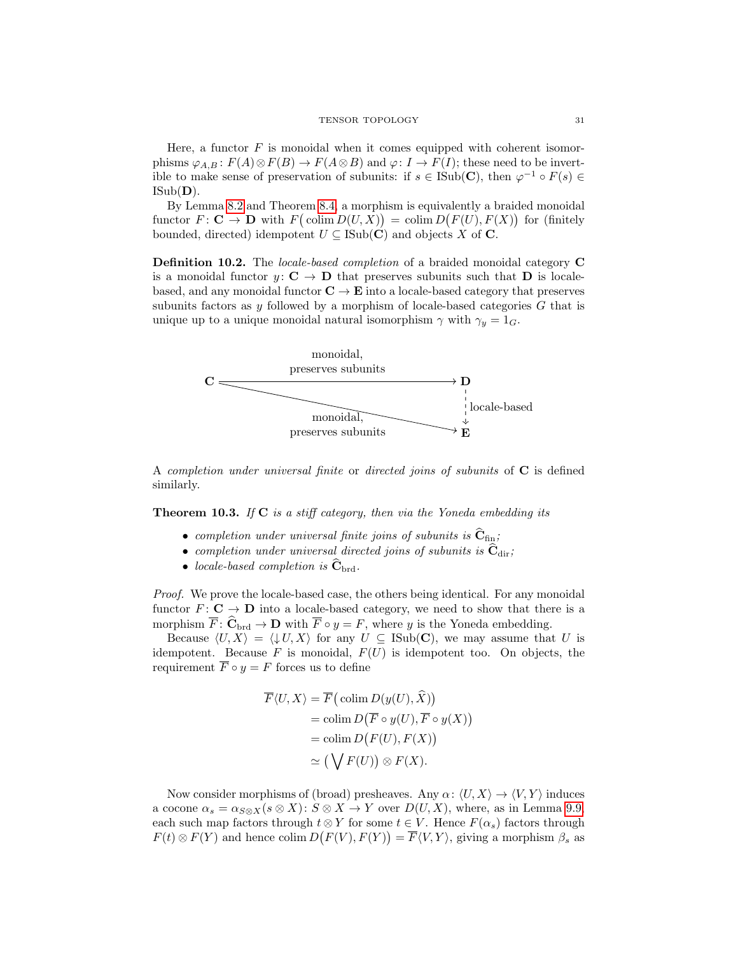Here, a functor  $F$  is monoidal when it comes equipped with coherent isomorphisms  $\varphi_{A,B}$ :  $F(A) \otimes F(B) \to F(A \otimes B)$  and  $\varphi: I \to F(I)$ ; these need to be invertible to make sense of preservation of subunits: if  $s \in \text{Isub}(\mathbf{C})$ , then  $\varphi^{-1} \circ F(s) \in$  $\text{ISub}(\mathbf{D})$ .

By Lemma [8.2](#page-22-2) and Theorem [8.4,](#page-24-1) a morphism is equivalently a braided monoidal functor  $F: \mathbf{C} \to \mathbf{D}$  with  $F(c \text{olim } D(U, X)) = \text{colim } D(F(U), F(X))$  for (finitely bounded, directed) idempotent  $U \subseteq \text{ISub}(\mathbf{C})$  and objects X of **C**.

Definition 10.2. The locale-based completion of a braided monoidal category C is a monoidal functor  $y: \mathbf{C} \to \mathbf{D}$  that preserves subunits such that **D** is localebased, and any monoidal functor  $C \to E$  into a locale-based category that preserves subunits factors as y followed by a morphism of locale-based categories  $G$  that is unique up to a unique monoidal natural isomorphism  $\gamma$  with  $\gamma_y = 1_G$ .



A completion under universal finite or directed joins of subunits of  $C$  is defined similarly.

<span id="page-30-0"></span>**Theorem 10.3.** If  $C$  is a stiff category, then via the Yoneda embedding its

- completion under universal finite joins of subunits is  $\hat{C}_{fin}$ ;
- completion under universal directed joins of subunits is  $\hat{\mathbf{C}}_{\text{dir}}$ ;
- locale-based completion is  $\hat{\mathbf{C}}_{\text{brd}}$ .

Proof. We prove the locale-based case, the others being identical. For any monoidal functor  $F: \mathbf{C} \to \mathbf{D}$  into a locale-based category, we need to show that there is a morphism  $\overline{F}$ :  $\widehat{C}_{\text{brd}} \to \mathbf{D}$  with  $\overline{F} \circ y = F$ , where y is the Yoneda embedding.

Because  $\langle U, X \rangle = \langle \downarrow U, X \rangle$  for any  $U \subseteq \text{Isub}(\mathbf{C})$ , we may assume that U is idempotent. Because  $F$  is monoidal,  $F(U)$  is idempotent too. On objects, the requirement  $\overline{F} \circ y = F$  forces us to define

$$
\overline{F}\langle U, X \rangle = \overline{F}\big(\operatorname{colim} D(y(U), \hat{X})\big) \n= \operatorname{colim} D(\overline{F} \circ y(U), \overline{F} \circ y(X)) \n= \operatorname{colim} D(F(U), F(X)) \n\approx \big(\bigvee F(U)\big) \otimes F(X).
$$

Now consider morphisms of (broad) presheaves. Any  $\alpha: \langle U, X \rangle \to \langle V, Y \rangle$  induces a cocone  $\alpha_s = \alpha_{S \otimes X}(s \otimes X)$ :  $S \otimes X \to Y$  over  $D(U, X)$ , where, as in Lemma [9.9,](#page-28-0) each such map factors through  $t \otimes Y$  for some  $t \in V$ . Hence  $F(\alpha_s)$  factors through  $F(t) \otimes F(Y)$  and hence colim  $D(F(V), F(Y)) = \overline{F}(V, Y)$ , giving a morphism  $\beta_s$  as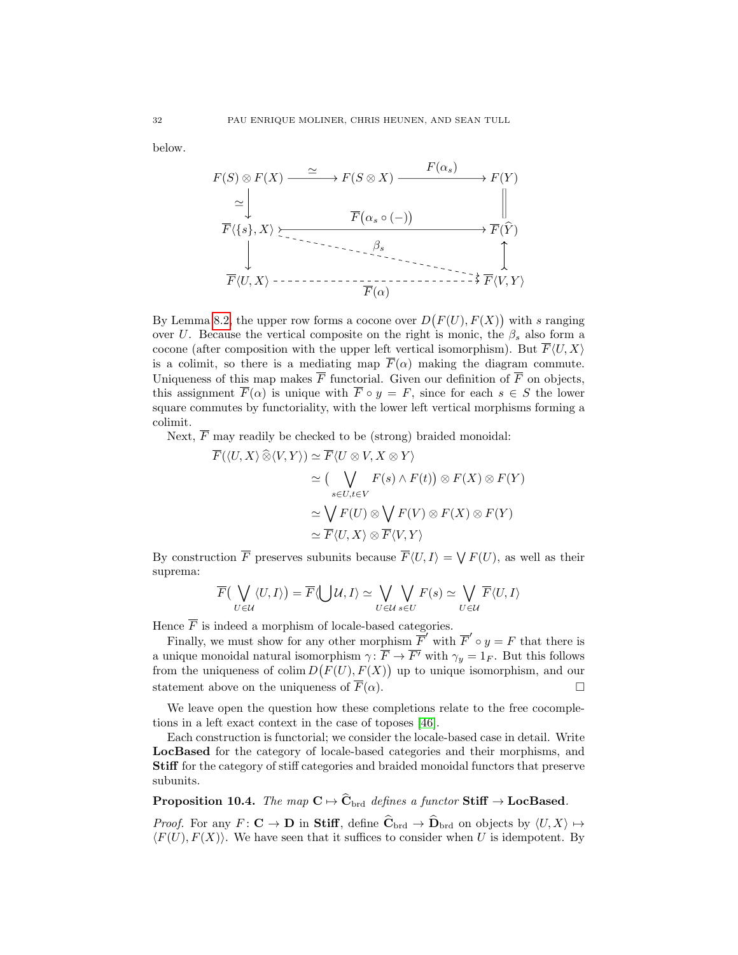below.

F(S) ⊗ F(X) F(S ⊗ X) F(Y ) FhU, Xi FhV, Y i <sup>F</sup>h{s}, X<sup>i</sup> <sup>F</sup>(Yb) ' F(αs) βs 'F(α) F α<sup>s</sup> ◦ (−) 

By Lemma [8.2,](#page-22-2) the upper row forms a cocone over  $D(F(U), F(X))$  with s ranging over U. Because the vertical composite on the right is monic, the  $\beta_s$  also form a cocone (after composition with the upper left vertical isomorphism). But  $\overline{F}\langle U, X\rangle$ is a colimit, so there is a mediating map  $\overline{F}(\alpha)$  making the diagram commute. Uniqueness of this map makes  $\overline{F}$  functorial. Given our definition of  $\overline{F}$  on objects, this assignment  $\overline{F}(\alpha)$  is unique with  $\overline{F} \circ y = F$ , since for each  $s \in S$  the lower square commutes by functoriality, with the lower left vertical morphisms forming a colimit.

Next,  $\overline{F}$  may readily be checked to be (strong) braided monoidal:

$$
\overline{F}(\langle U, X \rangle \widehat{\otimes} \langle V, Y \rangle) \simeq \overline{F} \langle U \otimes V, X \otimes Y \rangle
$$
  
\n
$$
\simeq \left( \bigvee_{s \in U, t \in V} F(s) \wedge F(t) \right) \otimes F(X) \otimes F(Y)
$$
  
\n
$$
\simeq \bigvee_{s \in U, t \in V} F(U) \otimes \bigvee F(V) \otimes F(X) \otimes F(Y)
$$
  
\n
$$
\simeq \overline{F} \langle U, X \rangle \otimes \overline{F} \langle V, Y \rangle
$$

By construction  $\overline{F}$  preserves subunits because  $\overline{F}\langle U, I \rangle = \bigvee F(U)$ , as well as their suprema:

$$
\overline{F}(\bigvee_{U\in\mathcal{U}}\langle U,I\rangle)=\overline{F}\langle\bigcup\mathcal{U},I\rangle\simeq\bigvee_{U\in\mathcal{U}}\bigvee_{s\in U}F(s)\simeq\bigvee_{U\in\mathcal{U}}\overline{F}\langle U,I\rangle
$$

Hence  $\overline{F}$  is indeed a morphism of locale-based categories.

Finally, we must show for any other morphism  $\overline{F}'$  with  $\overline{F}' \circ y = F$  that there is a unique monoidal natural isomorphism  $\gamma: \overline{F} \to \overline{F'}$  with  $\gamma_y = 1_F$ . But this follows from the uniqueness of colim  $D(F(U), F(X))$  up to unique isomorphism, and our statement above on the uniqueness of  $\overline{F}(\alpha)$ .

We leave open the question how these completions relate to the free cocompletions in a left exact context in the case of toposes [\[46\]](#page-34-20).

Each construction is functorial; we consider the locale-based case in detail. Write LocBased for the category of locale-based categories and their morphisms, and Stiff for the category of stiff categories and braided monoidal functors that preserve subunits.

# **Proposition 10.4.** The map  $C \mapsto \widehat{C}_{\text{brd}}$  defines a functor Stiff  $\rightarrow$  LocBased.

*Proof.* For any  $F: \mathbf{C} \to \mathbf{D}$  in Stiff, define  $\widehat{\mathbf{C}}_{\text{brd}} \to \widehat{\mathbf{D}}_{\text{brd}}$  on objects by  $\langle U, X \rangle \mapsto$  $\langle F(U), F(X) \rangle$ . We have seen that it suffices to consider when U is idempotent. By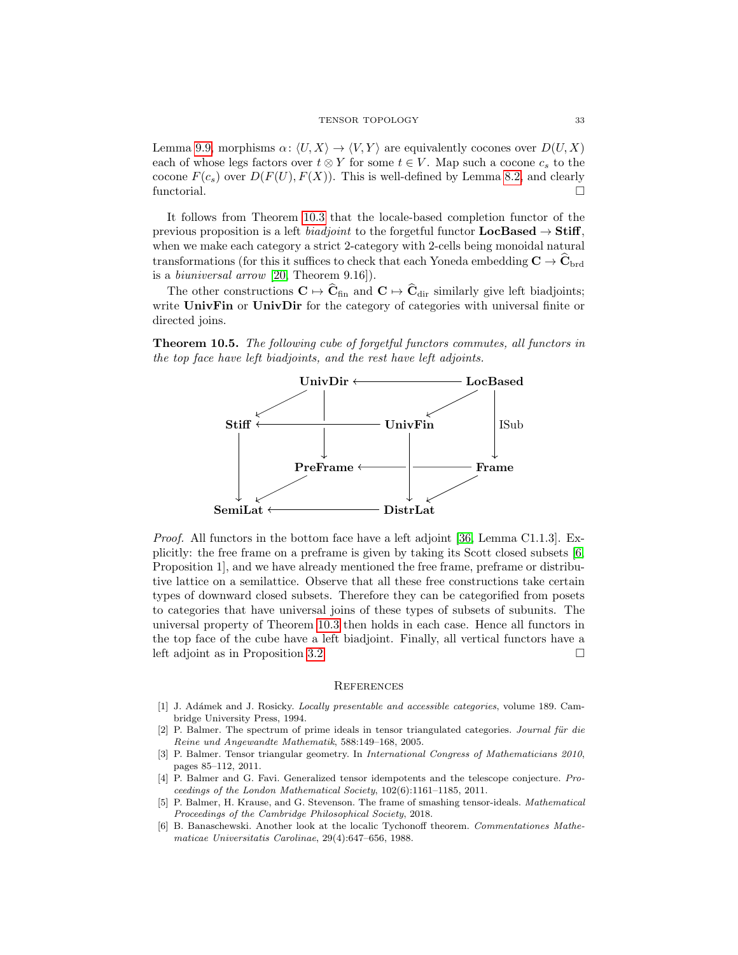Lemma [9.9,](#page-28-0) morphisms  $\alpha: \langle U, X \rangle \to \langle V, Y \rangle$  are equivalently cocones over  $D(U, X)$ each of whose legs factors over  $t \otimes Y$  for some  $t \in V$ . Map such a cocone  $c_s$  to the cocone  $F(c_s)$  over  $D(F(U), F(X))$ . This is well-defined by Lemma [8.2,](#page-22-2) and clearly functorial.

It follows from Theorem [10.3](#page-30-0) that the locale-based completion functor of the previous proposition is a left *biadjoint* to the forgetful functor  $LocBased \rightarrow Stiff$ , when we make each category a strict 2-category with 2-cells being monoidal natural transformations (for this it suffices to check that each Yoneda embedding  $C \rightarrow C_{\text{brd}}$ is a biuniversal arrow [\[20,](#page-33-28) Theorem 9.16]).

The other constructions  $C \mapsto \widehat{C}_{fin}$  and  $C \mapsto \widehat{C}_{dir}$  similarly give left biadjoints; write UnivFin or UnivDir for the category of categories with universal finite or directed joins.

Theorem 10.5. The following cube of forgetful functors commutes, all functors in the top face have left biadjoints, and the rest have left adjoints.



Proof. All functors in the bottom face have a left adjoint [\[36,](#page-33-7) Lemma C1.1.3]. Explicitly: the free frame on a preframe is given by taking its Scott closed subsets [\[6,](#page-32-5) Proposition 1], and we have already mentioned the free frame, preframe or distributive lattice on a semilattice. Observe that all these free constructions take certain types of downward closed subsets. Therefore they can be categorified from posets to categories that have universal joins of these types of subsets of subunits. The universal property of Theorem [10.3](#page-30-0) then holds in each case. Hence all functors in the top face of the cube have a left biadjoint. Finally, all vertical functors have a left adjoint as in Proposition [3.2.](#page-4-2)

### **REFERENCES**

- <span id="page-32-4"></span>[1] J. Adámek and J. Rosicky. *Locally presentable and accessible categories*, volume 189. Cambridge University Press, 1994.
- <span id="page-32-1"></span> $[2]$  P. Balmer. The spectrum of prime ideals in tensor triangulated categories. Journal für die Reine und Angewandte Mathematik, 588:149–168, 2005.
- <span id="page-32-0"></span>[3] P. Balmer. Tensor triangular geometry. In International Congress of Mathematicians 2010, pages 85–112, 2011.
- <span id="page-32-2"></span>[4] P. Balmer and G. Favi. Generalized tensor idempotents and the telescope conjecture. Proceedings of the London Mathematical Society, 102(6):1161–1185, 2011.
- <span id="page-32-3"></span>[5] P. Balmer, H. Krause, and G. Stevenson. The frame of smashing tensor-ideals. Mathematical Proceedings of the Cambridge Philosophical Society, 2018.
- <span id="page-32-5"></span>[6] B. Banaschewski. Another look at the localic Tychonoff theorem. Commentationes Mathematicae Universitatis Carolinae, 29(4):647–656, 1988.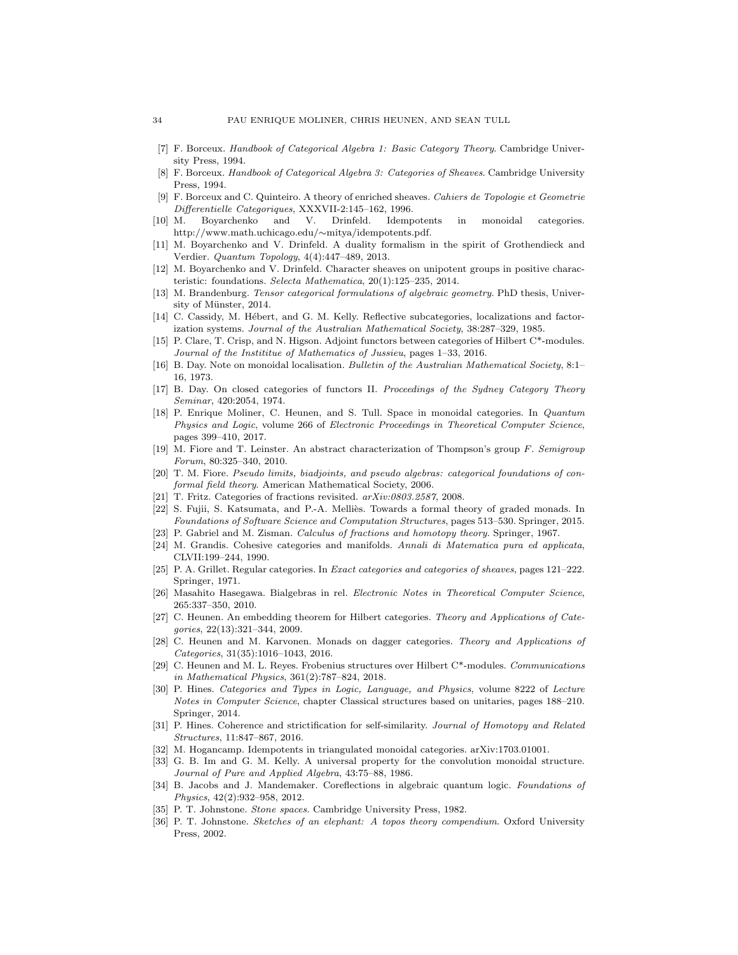- <span id="page-33-25"></span>[7] F. Borceux. Handbook of Categorical Algebra 1: Basic Category Theory. Cambridge University Press, 1994.
- <span id="page-33-10"></span>[8] F. Borceux. Handbook of Categorical Algebra 3: Categories of Sheaves. Cambridge University Press, 1994.
- <span id="page-33-27"></span>[9] F. Borceux and C. Quinteiro. A theory of enriched sheaves. Cahiers de Topologie et Geometrie Differentielle Categoriques, XXXVII-2:145–162, 1996.
- <span id="page-33-1"></span>[10] M. Boyarchenko and V. Drinfeld. Idempotents in monoidal categories. http://www.math.uchicago.edu/∼mitya/idempotents.pdf.
- <span id="page-33-2"></span>[11] M. Boyarchenko and V. Drinfeld. A duality formalism in the spirit of Grothendieck and Verdier. Quantum Topology, 4(4):447–489, 2013.
- <span id="page-33-14"></span>[12] M. Boyarchenko and V. Drinfeld. Character sheaves on unipotent groups in positive characteristic: foundations. Selecta Mathematica, 20(1):125–235, 2014.
- <span id="page-33-6"></span>[13] M. Brandenburg. Tensor categorical formulations of algebraic geometry. PhD thesis, University of Münster, 2014.
- <span id="page-33-20"></span>[14] C. Cassidy, M. Hébert, and G. M. Kelly. Reflective subcategories, localizations and factorization systems. Journal of the Australian Mathematical Society, 38:287–329, 1985.
- <span id="page-33-16"></span>[15] P. Clare, T. Crisp, and N. Higson. Adjoint functors between categories of Hilbert C\*-modules. Journal of the Instititue of Mathematics of Jussieu, pages 1–33, 2016.
- <span id="page-33-21"></span>[16] B. Day. Note on monoidal localisation. Bulletin of the Australian Mathematical Society, 8:1– 16, 1973.
- <span id="page-33-29"></span>[17] B. Day. On closed categories of functors II. Proceedings of the Sydney Category Theory Seminar, 420:2054, 1974.
- <span id="page-33-8"></span>[18] P. Enrique Moliner, C. Heunen, and S. Tull. Space in monoidal categories. In Quantum Physics and Logic, volume 266 of Electronic Proceedings in Theoretical Computer Science, pages 399–410, 2017.
- <span id="page-33-4"></span>[19] M. Fiore and T. Leinster. An abstract characterization of Thompson's group F. Semigroup Forum, 80:325–340, 2010.
- <span id="page-33-28"></span>[20] T. M. Fiore. Pseudo limits, biadjoints, and pseudo algebras: categorical foundations of conformal field theory. American Mathematical Society, 2006.
- <span id="page-33-23"></span>[21] T. Fritz. Categories of fractions revisited. arXiv:0803.2587, 2008.
- <span id="page-33-17"></span>[22] S. Fujii, S. Katsumata, and P.-A. Melliès. Towards a formal theory of graded monads. In Foundations of Software Science and Computation Structures, pages 513–530. Springer, 2015. [23] P. Gabriel and M. Zisman. Calculus of fractions and homotopy theory. Springer, 1967.
- <span id="page-33-22"></span><span id="page-33-9"></span>[24] M. Grandis. Cohesive categories and manifolds. Annali di Matematica pura ed applicata, CLVII:199–244, 1990.
- <span id="page-33-24"></span>[25] P. A. Grillet. Regular categories. In Exact categories and categories of sheaves, pages 121–222. Springer, 1971.
- <span id="page-33-11"></span>[26] Masahito Hasegawa. Bialgebras in rel. Electronic Notes in Theoretical Computer Science, 265:337–350, 2010.
- <span id="page-33-12"></span>[27] C. Heunen. An embedding theorem for Hilbert categories. Theory and Applications of Categories, 22(13):321–344, 2009.
- <span id="page-33-18"></span>[28] C. Heunen and M. Karvonen. Monads on dagger categories. Theory and Applications of Categories, 31(35):1016–1043, 2016.
- <span id="page-33-13"></span>[29] C. Heunen and M. L. Reyes. Frobenius structures over Hilbert C\*-modules. Communications in Mathematical Physics, 361(2):787–824, 2018.
- <span id="page-33-19"></span>[30] P. Hines. Categories and Types in Logic, Language, and Physics, volume 8222 of Lecture Notes in Computer Science, chapter Classical structures based on unitaries, pages 188–210. Springer, 2014.
- <span id="page-33-3"></span>[31] P. Hines. Coherence and strictification for self-similarity. Journal of Homotopy and Related Structures, 11:847–867, 2016.
- <span id="page-33-5"></span>[32] M. Hogancamp. Idempotents in triangulated monoidal categories. arXiv:1703.01001.
- <span id="page-33-26"></span>[33] G. B. Im and G. M. Kelly. A universal property for the convolution monoidal structure. Journal of Pure and Applied Algebra, 43:75–88, 1986.
- <span id="page-33-15"></span>[34] B. Jacobs and J. Mandemaker. Coreflections in algebraic quantum logic. Foundations of Physics, 42(2):932–958, 2012.
- <span id="page-33-0"></span>[35] P. T. Johnstone. Stone spaces. Cambridge University Press, 1982.
- <span id="page-33-7"></span>[36] P. T. Johnstone. Sketches of an elephant: A topos theory compendium. Oxford University Press, 2002.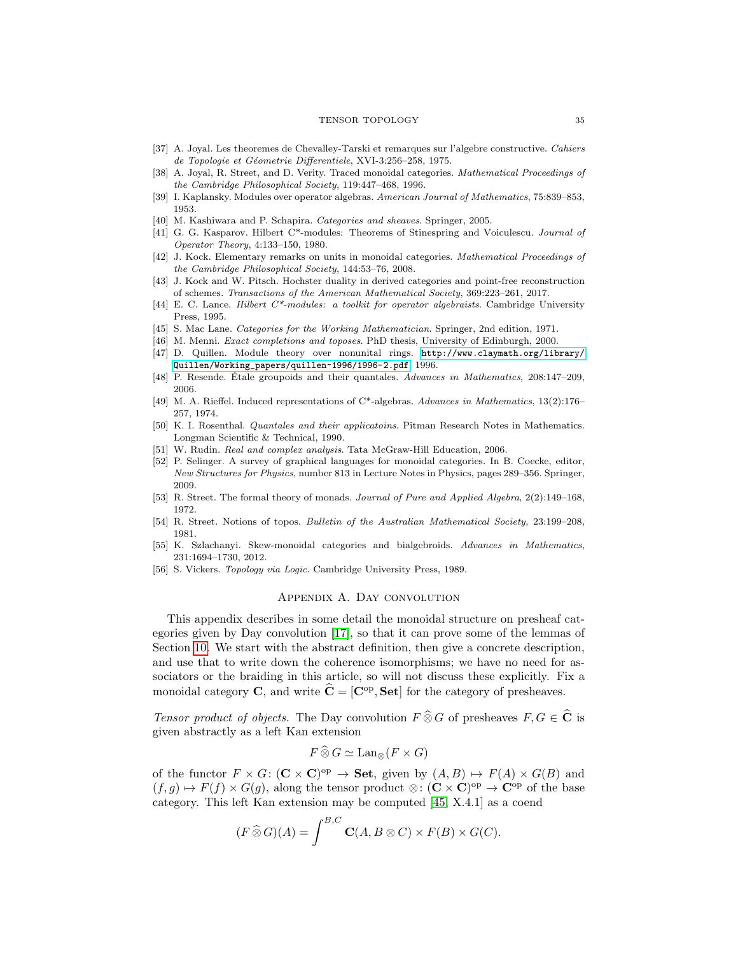### TENSOR TOPOLOGY 35

- <span id="page-34-4"></span>[37] A. Joyal. Les theoremes de Chevalley-Tarski et remarques sur l'algebre constructive. Cahiers de Topologie et Géometrie Differentiele, XVI-3:256-258, 1975.
- <span id="page-34-8"></span>[38] A. Joyal, R. Street, and D. Verity. Traced monoidal categories. Mathematical Proceedings of the Cambridge Philosophical Society, 119:447–468, 1996.
- <span id="page-34-13"></span>[39] I. Kaplansky. Modules over operator algebras. American Journal of Mathematics, 75:839–853, 1953.
- <span id="page-34-11"></span>[40] M. Kashiwara and P. Schapira. Categories and sheaves. Springer, 2005.
- <span id="page-34-15"></span>[41] G. G. Kasparov. Hilbert C\*-modules: Theorems of Stinespring and Voiculescu. Journal of Operator Theory, 4:133–150, 1980.
- <span id="page-34-0"></span>[42] J. Kock. Elementary remarks on units in monoidal categories. Mathematical Proceedings of the Cambridge Philosophical Society, 144:53–76, 2008.
- <span id="page-34-5"></span>[43] J. Kock and W. Pitsch. Hochster duality in derived categories and point-free reconstruction of schemes. Transactions of the American Mathematical Society, 369:223–261, 2017.
- <span id="page-34-16"></span>[44] E. C. Lance. Hilbert C\*-modules: a toolkit for operator algebraists. Cambridge University Press, 1995.
- <span id="page-34-10"></span>[45] S. Mac Lane. Categories for the Working Mathematician. Springer, 2nd edition, 1971.
- <span id="page-34-20"></span>[46] M. Menni. *Exact completions and toposes*. PhD thesis, University of Edinburgh, 2000.
- <span id="page-34-1"></span>[47] D. Quillen. Module theory over nonunital rings. [http://www.claymath.org/library/](http://www.claymath.org/library/Quillen/Working_papers/quillen~1996/1996-2.pdf) [Quillen/Working\\_papers/quillen~1996/1996-2.pdf](http://www.claymath.org/library/Quillen/Working_papers/quillen~1996/1996-2.pdf), 1996.
- <span id="page-34-3"></span>[48] P. Resende. Etale groupoids and their quantales. Advances in Mathematics, 208:147–209, 2006.
- <span id="page-34-14"></span>[49] M. A. Rieffel. Induced representations of C\*-algebras. Advances in Mathematics, 13(2):176– 257, 1974.
- <span id="page-34-12"></span>[50] K. I. Rosenthal. Quantales and their applicatoins. Pitman Research Notes in Mathematics. Longman Scientific & Technical, 1990.
- <span id="page-34-18"></span>[51] W. Rudin. *Real and complex analysis*. Tata McGraw-Hill Education, 2006.
- <span id="page-34-7"></span>[52] P. Selinger. A survey of graphical languages for monoidal categories. In B. Coecke, editor, New Structures for Physics, number 813 in Lecture Notes in Physics, pages 289–356. Springer, 2009.
- <span id="page-34-17"></span>[53] R. Street. The formal theory of monads. Journal of Pure and Applied Algebra, 2(2):149–168, 1972.
- <span id="page-34-2"></span>[54] R. Street. Notions of topos. Bulletin of the Australian Mathematical Society, 23:199–208, 1981.
- <span id="page-34-9"></span>[55] K. Szlachanyi. Skew-monoidal categories and bialgebroids. Advances in Mathematics, 231:1694–1730, 2012.
- <span id="page-34-19"></span><span id="page-34-6"></span>[56] S. Vickers. Topology via Logic. Cambridge University Press, 1989.

# Appendix A. Day convolution

This appendix describes in some detail the monoidal structure on presheaf categories given by Day convolution [\[17\]](#page-33-29), so that it can prove some of the lemmas of Section [10.](#page-29-0) We start with the abstract definition, then give a concrete description, and use that to write down the coherence isomorphisms; we have no need for associators or the braiding in this article, so will not discuss these explicitly. Fix a monoidal category **C**, and write  $\hat{\mathbf{C}} = [\mathbf{C}^{\text{op}}, \mathbf{Set}]$  for the category of presheaves.

Tensor product of objects. The Day convolution  $F \widehat{\otimes} G$  of presheaves  $F, G \in \widehat{C}$  is given abstractly as a left Kan extension

$$
F \widehat{\otimes} G \simeq \text{Lan}_{\otimes}(F \times G)
$$

of the functor  $F \times G$ :  $(\mathbf{C} \times \mathbf{C})^{\text{op}} \to \mathbf{Set}$ , given by  $(A, B) \mapsto F(A) \times G(B)$  and  $(f,g) \mapsto F(f) \times G(g)$ , along the tensor product  $\otimes : (\mathbf{C} \times \mathbf{C})^{\text{op}} \to \mathbf{C}^{\text{op}}$  of the base category. This left Kan extension may be computed [\[45,](#page-34-10) X.4.1] as a coend

$$
(F \widehat{\otimes} G)(A) = \int^{B,C} \mathbf{C}(A, B \otimes C) \times F(B) \times G(C).
$$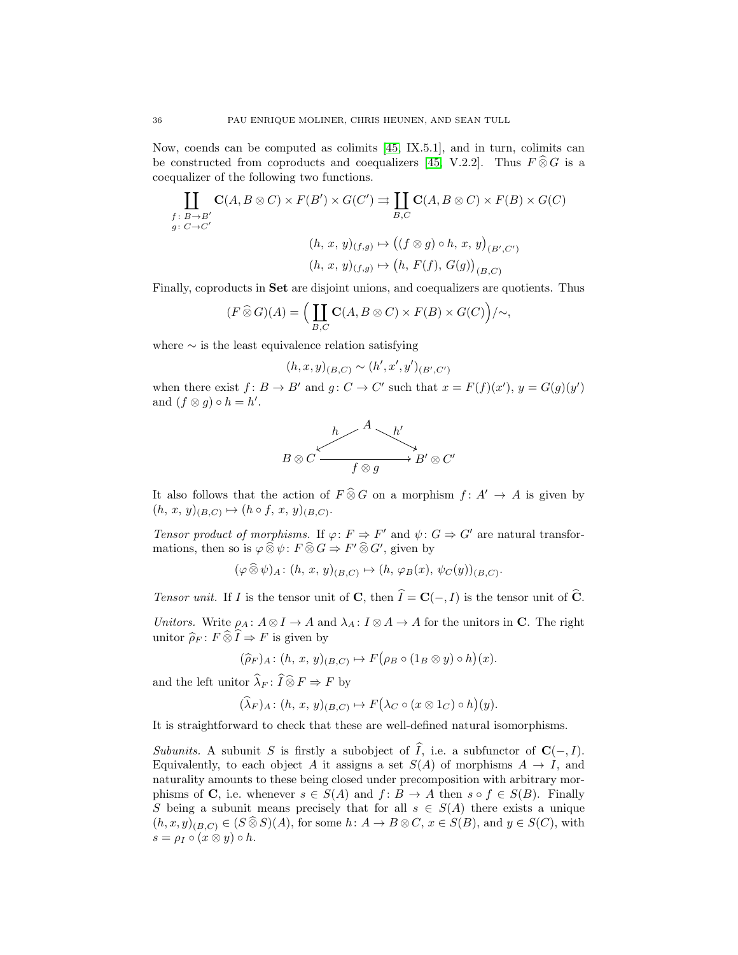Now, coends can be computed as colimits [\[45,](#page-34-10) IX.5.1], and in turn, colimits can be constructed from coproducts and coequalizers [\[45,](#page-34-10) V.2.2]. Thus  $F \widehat{\otimes} G$  is a coequalizer of the following two functions.

$$
\prod_{\substack{f:\ B\to B'\\ g:\ C\to C'}} \mathbf{C}(A, B \otimes C) \times F(B') \times G(C') \rightrightarrows \prod_{B,C} \mathbf{C}(A, B \otimes C) \times F(B) \times G(C)
$$
\n
$$
(h, x, y)_{(f,g)} \mapsto ((f \otimes g) \circ h, x, y)_{(B', C')}
$$
\n
$$
(h, x, y)_{(f,g)} \mapsto (h, F(f), G(g))_{(B,C)}
$$

Finally, coproducts in Set are disjoint unions, and coequalizers are quotients. Thus

$$
(F\widehat{\otimes} G)(A) = \Big(\coprod_{B,C} \mathbf{C}(A, B\otimes C) \times F(B) \times G(C)\Big)/\sim,
$$

where  $\sim$  is the least equivalence relation satisfying

$$
(h, x, y)_{(B,C)} \sim (h', x', y')_{(B', C')}
$$

when there exist  $f: B \to B'$  and  $g: C \to C'$  such that  $x = F(f)(x'), y = G(g)(y')$ and  $(f \otimes g) \circ h = h'.$ 



It also follows that the action of  $F \widehat{\otimes} G$  on a morphism  $f : A' \to A$  is given by  $(h, x, y)_{(B,C)} \mapsto (h \circ f, x, y)_{(B,C)}.$ 

Tensor product of morphisms. If  $\varphi: F \Rightarrow F'$  and  $\psi: G \Rightarrow G'$  are natural transformations, then so is  $\varphi \widehat{\otimes} \psi$ :  $F \widehat{\otimes} G \Rightarrow F' \widehat{\otimes} G'$ , given by

$$
(\varphi \widehat{\otimes} \psi)_{A} \colon (h, x, y)_{(B,C)} \mapsto (h, \varphi_B(x), \psi_C(y))_{(B,C)}.
$$

Tensor unit. If I is the tensor unit of C, then  $\hat{I} = \mathbf{C}(-, I)$  is the tensor unit of  $\hat{C}$ .

Unitors. Write  $\rho_A: A \otimes I \to A$  and  $\lambda_A: I \otimes A \to A$  for the unitors in C. The right unitor  $\widehat{\rho}_F : F \widehat{\otimes} \widehat{I} \Rightarrow F$  is given by

$$
(\widehat{\rho}_F)_A\colon (h, x, y)_{(B,C)} \mapsto F(\rho_B \circ (1_B \otimes y) \circ h)(x).
$$

and the left unitor  $\lambda_F : I \otimes F \Rightarrow F$  by

$$
(\lambda_F)_{A} \colon (h, x, y)_{(B,C)} \mapsto F(\lambda_C \circ (x \otimes 1_C) \circ h)(y).
$$

It is straightforward to check that these are well-defined natural isomorphisms.

Subunits. A subunit S is firstly a subobject of  $\widehat{I}$ , i.e. a subfunctor of  $\mathbf{C}(-, I)$ . Equivalently, to each object A it assigns a set  $S(A)$  of morphisms  $A \to I$ , and naturality amounts to these being closed under precomposition with arbitrary morphisms of C, i.e. whenever  $s \in S(A)$  and  $f: B \to A$  then  $s \circ f \in S(B)$ . Finally S being a subunit means precisely that for all  $s \in S(A)$  there exists a unique  $(h, x, y)_{(B,C)} \in (S \widehat{\otimes} S)(A)$ , for some  $h: A \to B \otimes C$ ,  $x \in S(B)$ , and  $y \in S(C)$ , with  $s = \rho_I \circ (x \otimes y) \circ h.$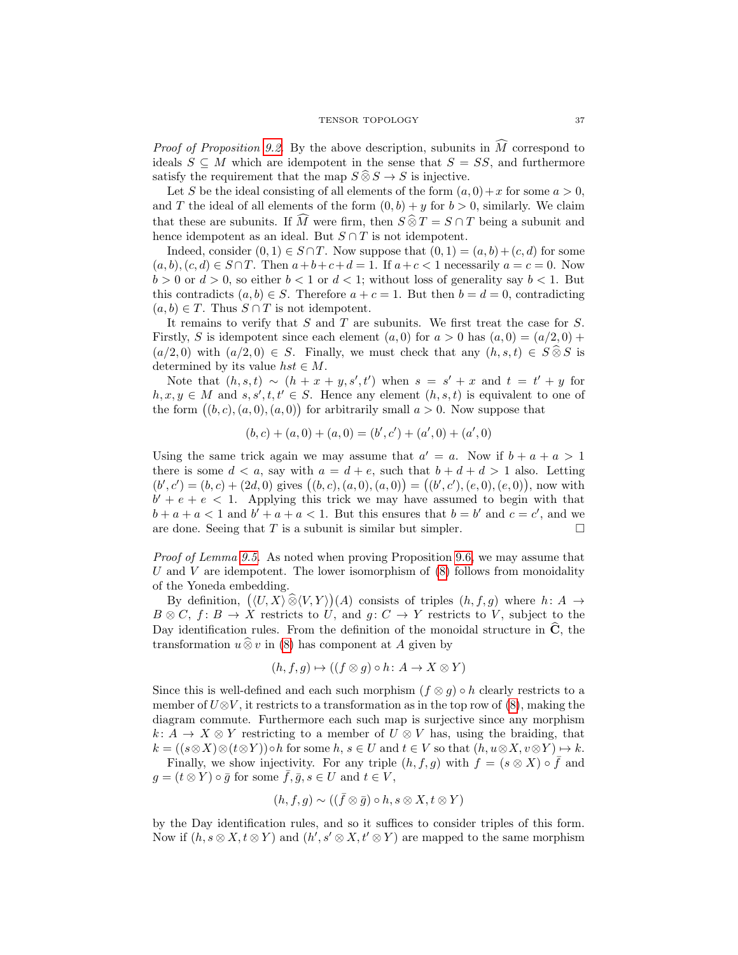*Proof of Proposition [9.2.](#page-26-0)* By the above description, subunits in  $\tilde{M}$  correspond to ideals  $S \subseteq M$  which are idempotent in the sense that  $S = SS$ , and furthermore satisfy the requirement that the map  $S \widehat{\otimes} S \to S$  is injective.

Let S be the ideal consisting of all elements of the form  $(a, 0) + x$  for some  $a > 0$ , and T the ideal of all elements of the form  $(0, b) + y$  for  $b > 0$ , similarly. We claim that these are subunits. If  $\widehat{M}$  were firm, then  $S \widehat{\otimes} T = S \cap T$  being a subunit and hence idempotent as an ideal. But  $S \cap T$  is not idempotent.

Indeed, consider  $(0, 1) \in S \cap T$ . Now suppose that  $(0, 1) = (a, b) + (c, d)$  for some  $(a, b), (c, d) \in S \cap T$ . Then  $a+b+c+d=1$ . If  $a+c<1$  necessarily  $a=c=0$ . Now  $b > 0$  or  $d > 0$ , so either  $b < 1$  or  $d < 1$ ; without loss of generality say  $b < 1$ . But this contradicts  $(a, b) \in S$ . Therefore  $a + c = 1$ . But then  $b = d = 0$ , contradicting  $(a, b) \in T$ . Thus  $S \cap T$  is not idempotent.

It remains to verify that  $S$  and  $T$  are subunits. We first treat the case for  $S$ . Firstly, S is idempotent since each element  $(a, 0)$  for  $a > 0$  has  $(a, 0) = (a/2, 0) +$  $(a/2, 0)$  with  $(a/2, 0) \in S$ . Finally, we must check that any  $(h, s, t) \in S \widehat{\otimes} S$  is determined by its value  $hst \in M$ .

Note that  $(h, s, t) \sim (h + x + y, s', t')$  when  $s = s' + x$  and  $t = t' + y$  for  $h, x, y \in M$  and  $s, s', t, t' \in S$ . Hence any element  $(h, s, t)$  is equivalent to one of the form  $((b, c), (a, 0), (a, 0))$  for arbitrarily small  $a > 0$ . Now suppose that

$$
(b, c) + (a, 0) + (a, 0) = (b', c') + (a', 0) + (a', 0)
$$

Using the same trick again we may assume that  $a' = a$ . Now if  $b + a + a > 1$ there is some  $d < a$ , say with  $a = d + e$ , such that  $b + d + d > 1$  also. Letting  $(b', c') = (b, c) + (2d, 0)$  gives  $((b, c), (a, 0), (a, 0)) = ((b', c'), (e, 0), (e, 0)),$  now with  $b' + e + e < 1$ . Applying this trick we may have assumed to begin with that  $b + a + a < 1$  and  $b' + a + a < 1$ . But this ensures that  $b = b'$  and  $c = c'$ , and we are done. Seeing that T is a subunit is similar but simpler.  $\Box$ 

Proof of Lemma [9.5.](#page-26-2) As noted when proving Proposition [9.6,](#page-27-1) we may assume that U and V are idempotent. The lower isomorphism of  $(8)$  follows from monoidality of the Yoneda embedding.

By definition,  $((U, X) \widehat{\otimes} (V, Y))(A)$  consists of triples  $(h, f, g)$  where  $h: A \rightarrow$  $B \otimes C$ ,  $f: B \to X$  restricts to U, and  $g: C \to Y$  restricts to V, subject to the Day identification rules. From the definition of the monoidal structure in  $\hat{C}$ , the transformation  $u \,\widehat{\otimes}\, v$  in [\(8\)](#page-26-1) has component at A given by

$$
(h, f, g) \mapsto ((f \otimes g) \circ h : A \to X \otimes Y)
$$

Since this is well-defined and each such morphism  $(f \otimes g) \circ h$  clearly restricts to a member of  $U\otimes V$ , it restricts to a transformation as in the top row of  $(8)$ , making the diagram commute. Furthermore each such map is surjective since any morphism  $k: A \to X \otimes Y$  restricting to a member of  $U \otimes V$  has, using the braiding, that  $k = ((s \otimes X) \otimes (t \otimes Y)) \circ h$  for some  $h, s \in U$  and  $t \in V$  so that  $(h, u \otimes X, v \otimes Y) \mapsto k$ .

Finally, we show injectivity. For any triple  $(h, f, g)$  with  $f = (s \otimes X) \circ \overline{f}$  and  $g = (t \otimes Y) \circ \overline{g}$  for some  $f, \overline{g}, s \in U$  and  $t \in V$ ,

$$
(h, f, g) \sim ((\bar{f} \otimes \bar{g}) \circ h, s \otimes X, t \otimes Y)
$$

by the Day identification rules, and so it suffices to consider triples of this form. Now if  $(h, s \otimes X, t \otimes Y)$  and  $(h', s' \otimes X, t' \otimes Y)$  are mapped to the same morphism